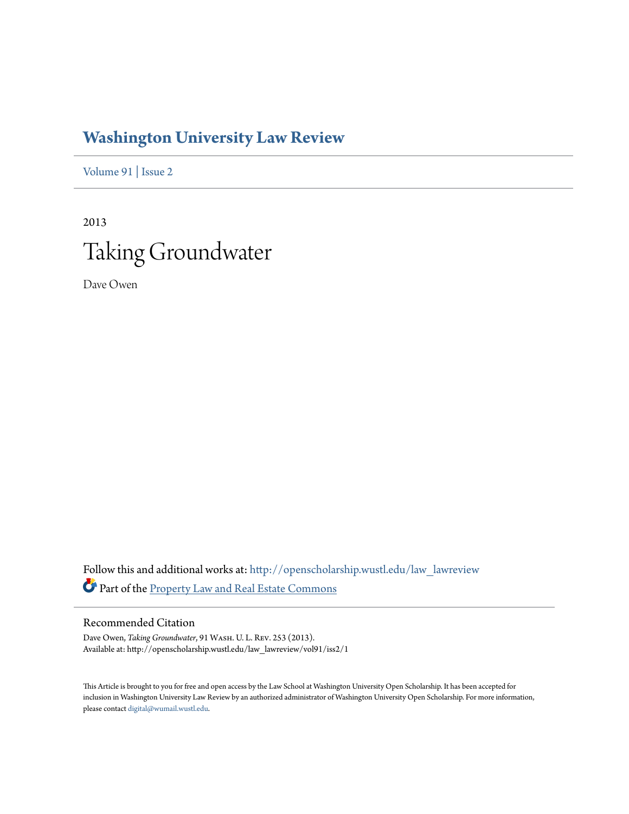# **[Washington University Law Review](http://openscholarship.wustl.edu/law_lawreview?utm_source=openscholarship.wustl.edu%2Flaw_lawreview%2Fvol91%2Fiss2%2F1&utm_medium=PDF&utm_campaign=PDFCoverPages)**

[Volume 91](http://openscholarship.wustl.edu/law_lawreview/vol91?utm_source=openscholarship.wustl.edu%2Flaw_lawreview%2Fvol91%2Fiss2%2F1&utm_medium=PDF&utm_campaign=PDFCoverPages) | [Issue 2](http://openscholarship.wustl.edu/law_lawreview/vol91/iss2?utm_source=openscholarship.wustl.edu%2Flaw_lawreview%2Fvol91%2Fiss2%2F1&utm_medium=PDF&utm_campaign=PDFCoverPages)

2013 Taking Groundwater

Dave Owen

Follow this and additional works at: [http://openscholarship.wustl.edu/law\\_lawreview](http://openscholarship.wustl.edu/law_lawreview?utm_source=openscholarship.wustl.edu%2Flaw_lawreview%2Fvol91%2Fiss2%2F1&utm_medium=PDF&utm_campaign=PDFCoverPages) Part of the [Property Law and Real Estate Commons](http://network.bepress.com/hgg/discipline/897?utm_source=openscholarship.wustl.edu%2Flaw_lawreview%2Fvol91%2Fiss2%2F1&utm_medium=PDF&utm_campaign=PDFCoverPages)

## Recommended Citation

Dave Owen, *Taking Groundwater*, 91 Wash. U. L. Rev. 253 (2013). Available at: http://openscholarship.wustl.edu/law\_lawreview/vol91/iss2/1

This Article is brought to you for free and open access by the Law School at Washington University Open Scholarship. It has been accepted for inclusion in Washington University Law Review by an authorized administrator of Washington University Open Scholarship. For more information, please contact [digital@wumail.wustl.edu.](mailto:digital@wumail.wustl.edu)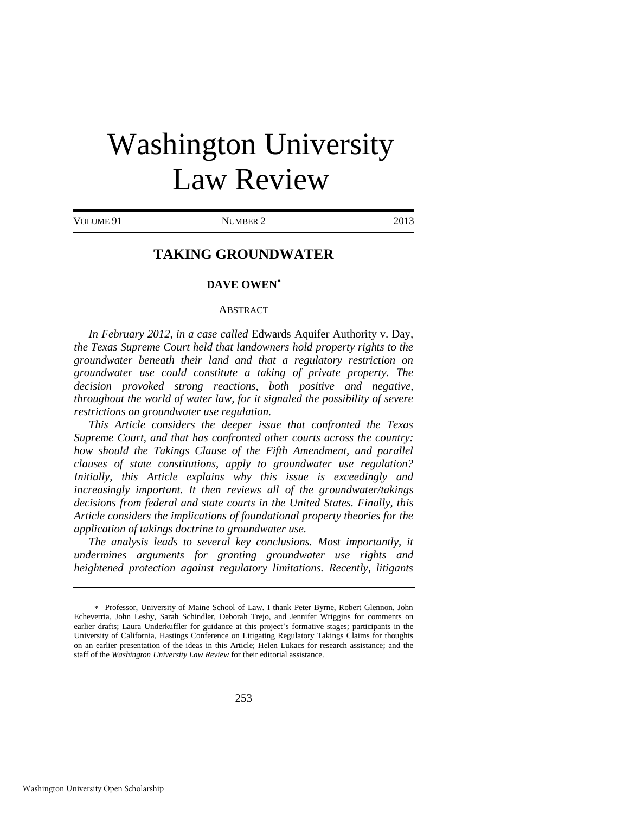# Washington University Law Review

VOLUME 91 NUMBER 2 2013

# **TAKING GROUNDWATER**

#### **DAVE OWEN**

#### **ABSTRACT**

*In February 2012, in a case called* Edwards Aquifer Authority v. Day*, the Texas Supreme Court held that landowners hold property rights to the groundwater beneath their land and that a regulatory restriction on groundwater use could constitute a taking of private property. The decision provoked strong reactions, both positive and negative, throughout the world of water law, for it signaled the possibility of severe restrictions on groundwater use regulation.* 

*This Article considers the deeper issue that confronted the Texas Supreme Court, and that has confronted other courts across the country:*  how should the Takings Clause of the Fifth Amendment, and parallel *clauses of state constitutions, apply to groundwater use regulation? Initially, this Article explains why this issue is exceedingly and increasingly important. It then reviews all of the groundwater/takings decisions from federal and state courts in the United States. Finally, this Article considers the implications of foundational property theories for the application of takings doctrine to groundwater use.* 

*The analysis leads to several key conclusions. Most importantly, it undermines arguments for granting groundwater use rights and heightened protection against regulatory limitations. Recently, litigants* 

Professor, University of Maine School of Law. I thank Peter Byrne, Robert Glennon, John Echeverria, John Leshy, Sarah Schindler, Deborah Trejo, and Jennifer Wriggins for comments on earlier drafts; Laura Underkuffler for guidance at this project's formative stages; participants in the University of California, Hastings Conference on Litigating Regulatory Takings Claims for thoughts on an earlier presentation of the ideas in this Article; Helen Lukacs for research assistance; and the staff of the *Washington University Law Review* for their editorial assistance.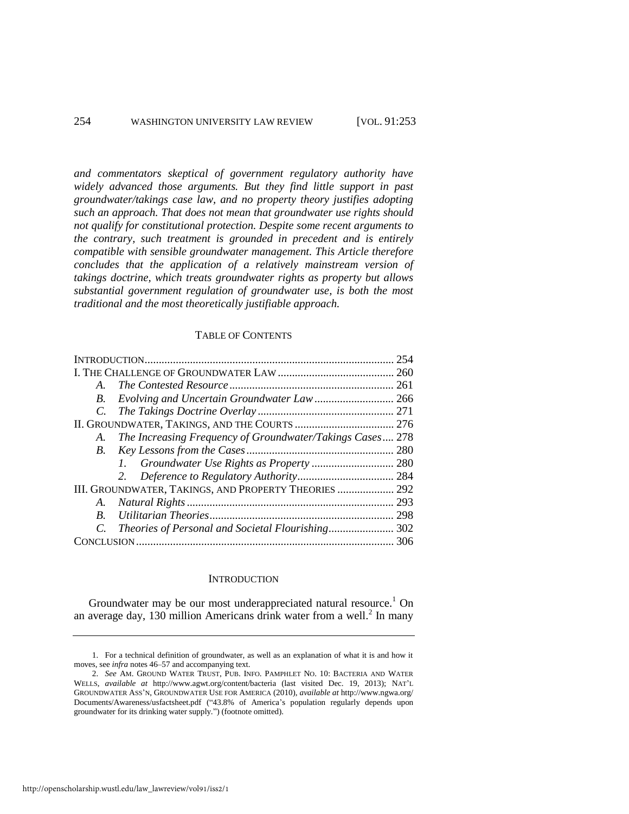*and commentators skeptical of government regulatory authority have widely advanced those arguments. But they find little support in past groundwater/takings case law, and no property theory justifies adopting such an approach. That does not mean that groundwater use rights should not qualify for constitutional protection. Despite some recent arguments to the contrary, such treatment is grounded in precedent and is entirely compatible with sensible groundwater management. This Article therefore concludes that the application of a relatively mainstream version of takings doctrine, which treats groundwater rights as property but allows substantial government regulation of groundwater use, is both the most traditional and the most theoretically justifiable approach.*

### TABLE OF CONTENTS

|                                                                 | 254 |
|-----------------------------------------------------------------|-----|
|                                                                 |     |
| $A_{\cdot}$                                                     |     |
| B.                                                              |     |
| C.                                                              |     |
|                                                                 |     |
| The Increasing Frequency of Groundwater/Takings Cases 278<br>A. |     |
| B.                                                              |     |
|                                                                 |     |
|                                                                 |     |
| III. GROUNDWATER, TAKINGS, AND PROPERTY THEORIES  292           |     |
| A.                                                              |     |
| B.                                                              | 298 |
|                                                                 |     |
|                                                                 | 306 |

#### <span id="page-2-0"></span>**INTRODUCTION**

Groundwater may be our most underappreciated natural resource.<sup>1</sup> On an average day, 130 million Americans drink water from a well. $^2$  In many

<sup>1.</sup> For a technical definition of groundwater, as well as an explanation of what it is and how it moves, see *infra* note[s 46](#page-9-0)[–57 a](#page-10-0)nd accompanying text.

<sup>2.</sup> *See* AM. GROUND WATER TRUST, PUB. INFO. PAMPHLET NO. 10: BACTERIA AND WATER WELLS, *available at* http://www.agwt.org/content/bacteria (last visited Dec. 19, 2013); NAT'L GROUNDWATER ASS'N, GROUNDWATER USE FOR AMERICA (2010), *available at* http://www.ngwa.org/ Documents/Awareness/usfactsheet.pdf ("43.8% of America's population regularly depends upon groundwater for its drinking water supply.") (footnote omitted).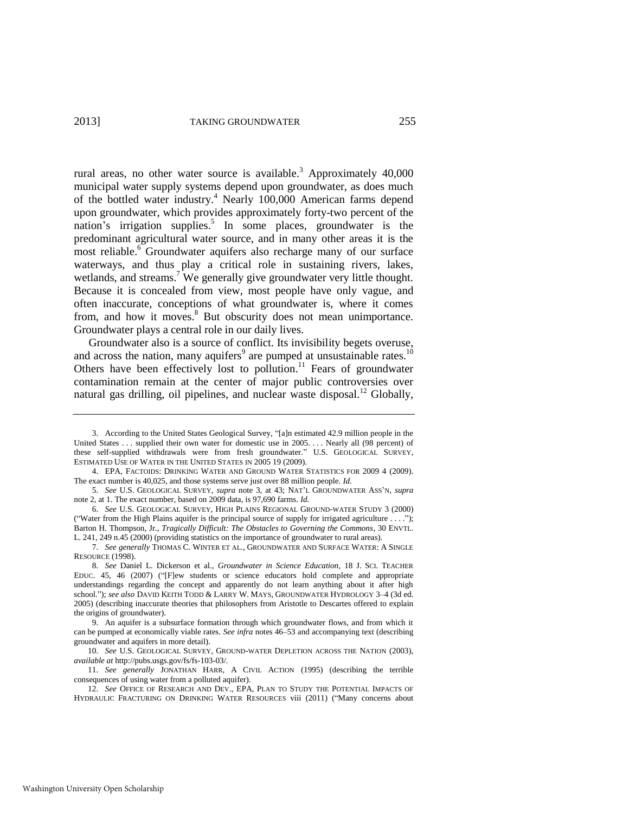<span id="page-3-4"></span><span id="page-3-2"></span><span id="page-3-0"></span>rural areas, no other water source is available.<sup>3</sup> Approximately  $40,000$ municipal water supply systems depend upon groundwater, as does much of the bottled water industry.<sup>4</sup> Nearly 100,000 American farms depend upon groundwater, which provides approximately forty-two percent of the nation's irrigation supplies.<sup>5</sup> In some places, groundwater is the predominant agricultural water source, and in many other areas it is the most reliable.<sup>6</sup> Groundwater aquifers also recharge many of our surface waterways, and thus play a critical role in sustaining rivers, lakes, wetlands, and streams.<sup>7</sup> We generally give groundwater very little thought. Because it is concealed from view, most people have only vague, and often inaccurate, conceptions of what groundwater is, where it comes from, and how it moves.<sup>8</sup> But obscurity does not mean unimportance. Groundwater plays a central role in our daily lives.

<span id="page-3-5"></span><span id="page-3-3"></span><span id="page-3-1"></span>Groundwater also is a source of conflict. Its invisibility begets overuse, and across the nation, many aquifers<sup>9</sup> are pumped at unsustainable rates.<sup>10</sup> Others have been effectively lost to pollution.<sup>11</sup> Fears of groundwater contamination remain at the center of major public controversies over natural gas drilling, oil pipelines, and nuclear waste disposal.<sup>12</sup> Globally,

<sup>3.</sup> According to the United States Geological Survey, "[a]n estimated 42.9 million people in the United States . . . supplied their own water for domestic use in 2005. . . . Nearly all (98 percent) of these self-supplied withdrawals were from fresh groundwater." U.S. GEOLOGICAL SURVEY, ESTIMATED USE OF WATER IN THE UNITED STATES IN 2005 19 (2009).

<sup>4.</sup> EPA, FACTOIDS: DRINKING WATER AND GROUND WATER STATISTICS FOR 2009 4 (2009). The exact number is 40,025, and those systems serve just over 88 million people. *Id.*

<sup>5.</sup> *See* U.S. GEOLOGICAL SURVEY, *supra* note [3,](#page-3-0) at 43; NAT'L GROUNDWATER ASS'N, *supra*  note [2,](#page-2-0) at 1. The exact number, based on 2009 data, is 97,690 farms. *Id.*

<sup>6.</sup> *See* U.S. GEOLOGICAL SURVEY, HIGH PLAINS REGIONAL GROUND-WATER STUDY 3 (2000) ("Water from the High Plains aquifer is the principal source of supply for irrigated agriculture  $\dots$ "); Barton H. Thompson, Jr., *Tragically Difficult: The Obstacles to Governing the Commons*, 30 ENVTL. L. 241, 249 n.45 (2000) (providing statistics on the importance of groundwater to rural areas).

<sup>7.</sup> *See generally* THOMAS C. WINTER ET AL., GROUNDWATER AND SURFACE WATER: A SINGLE RESOURCE (1998).

<sup>8.</sup> *See* Daniel L. Dickerson et al., *Groundwater in Science Education*, 18 J. SCI. TEACHER EDUC. 45, 46 (2007) ("[F]ew students or science educators hold complete and appropriate understandings regarding the concept and apparently do not learn anything about it after high school."); *see also* DAVID KEITH TODD & LARRY W. MAYS, GROUNDWATER HYDROLOGY 3–4 (3d ed. 2005) (describing inaccurate theories that philosophers from Aristotle to Descartes offered to explain the origins of groundwater).

<sup>9.</sup> An aquifer is a subsurface formation through which groundwater flows, and from which it can be pumped at economically viable rates. *See infra* note[s 46](#page-9-0)[–53 a](#page-10-1)nd accompanying text (describing groundwater and aquifers in more detail).

<sup>10.</sup> *See* U.S. GEOLOGICAL SURVEY, GROUND-WATER DEPLETION ACROSS THE NATION (2003), *available at* http://pubs.usgs.gov/fs/fs-103-03/.

<sup>11.</sup> *See generally* JONATHAN HARR, A CIVIL ACTION (1995) (describing the terrible consequences of using water from a polluted aquifer).

<sup>12.</sup> *See* OFFICE OF RESEARCH AND DEV., EPA, PLAN TO STUDY THE POTENTIAL IMPACTS OF HYDRAULIC FRACTURING ON DRINKING WATER RESOURCES viii (2011) ("Many concerns about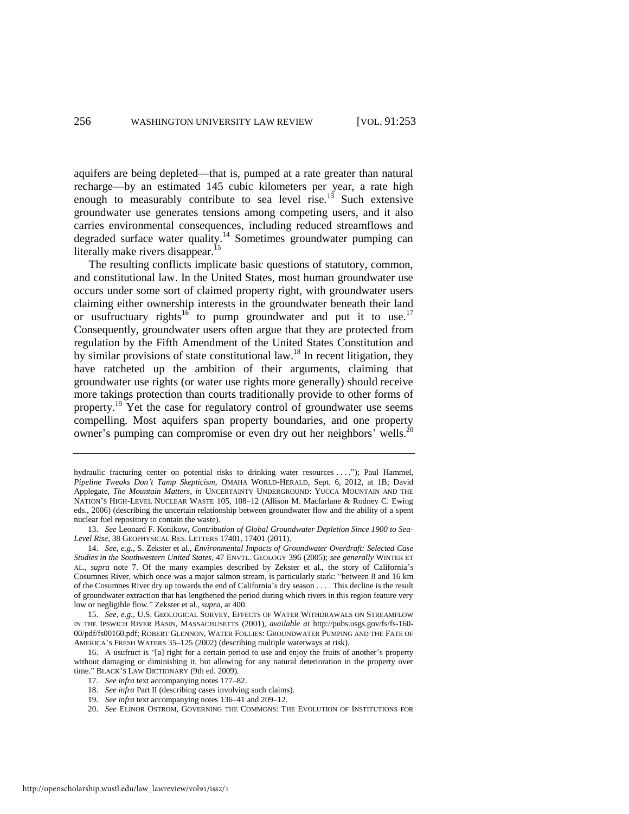aquifers are being depleted—that is, pumped at a rate greater than natural recharge—by an estimated 145 cubic kilometers per year, a rate high enough to measurably contribute to sea level rise.<sup>13</sup> Such extensive groundwater use generates tensions among competing users, and it also carries environmental consequences, including reduced streamflows and degraded surface water quality.<sup>14</sup> Sometimes groundwater pumping can literally make rivers disappear.<sup>15</sup>

<span id="page-4-2"></span><span id="page-4-0"></span>The resulting conflicts implicate basic questions of statutory, common, and constitutional law. In the United States, most human groundwater use occurs under some sort of claimed property right, with groundwater users claiming either ownership interests in the groundwater beneath their land or usufructuary rights<sup>16</sup> to pump groundwater and put it to use.<sup>17</sup> Consequently, groundwater users often argue that they are protected from regulation by the Fifth Amendment of the United States Constitution and by similar provisions of state constitutional law.<sup>18</sup> In recent litigation, they have ratcheted up the ambition of their arguments, claiming that groundwater use rights (or water use rights more generally) should receive more takings protection than courts traditionally provide to other forms of property.<sup>19</sup> Yet the case for regulatory control of groundwater use seems compelling. Most aquifers span property boundaries, and one property owner's pumping can compromise or even dry out her neighbors' wells.<sup>20</sup>

<span id="page-4-1"></span>hydraulic fracturing center on potential risks to drinking water resources . . . ."); Paul Hammel, *Pipeline Tweaks Don't Tamp Skepticism*, OMAHA WORLD-HERALD, Sept. 6, 2012, at 1B; David Applegate, *The Mountain Matters*, *in* UNCERTAINTY UNDERGROUND: YUCCA MOUNTAIN AND THE NATION'S HIGH-LEVEL NUCLEAR WASTE 105, 108–12 (Allison M. Macfarlane & Rodney C. Ewing eds., 2006) (describing the uncertain relationship between groundwater flow and the ability of a spent nuclear fuel repository to contain the waste).

<sup>13.</sup> *See* Leonard F. Konikow, *Contribution of Global Groundwater Depletion Since 1900 to Sea-Level Rise*, 38 GEOPHYSICAL RES. LETTERS 17401, 17401 (2011).

<sup>14.</sup> *See, e.g.*, S. Zekster et al., *Environmental Impacts of Groundwater Overdraft: Selected Case Studies in the Southwestern United States*, 47 ENVTL. GEOLOGY 396 (2005); *see generally* WINTER ET AL., *supra* note [7.](#page-3-1) Of the many examples described by Zekster et al., the story of California's Cosumnes River, which once was a major salmon stream, is particularly stark: "between 8 and 16 km of the Cosumnes River dry up towards the end of California's dry season . . . . This decline is the result of groundwater extraction that has lengthened the period during which rivers in this region feature very low or negligible flow." Zekster et al., *supra*, at 400.

<sup>15.</sup> *See, e.g.*, U.S. GEOLOGICAL SURVEY, EFFECTS OF WATER WITHDRAWALS ON STREAMFLOW IN THE IPSWICH RIVER BASIN, MASSACHUSETTS (2001), *available at* http://pubs.usgs.gov/fs/fs-160- 00/pdf/fs00160.pdf; ROBERT GLENNON, WATER FOLLIES: GROUNDWATER PUMPING AND THE FATE OF AMERICA'S FRESH WATERS 35–125 (2002) (describing multiple waterways at risk).

<sup>16.</sup> A usufruct is "[a] right for a certain period to use and enjoy the fruits of another's property without damaging or diminishing it, but allowing for any natural deterioration in the property over time." BLACK'S LAW DICTIONARY (9th ed. 2009).

<sup>17.</sup> *See infra* text accompanying note[s 177–](#page-29-0)82.

<sup>18.</sup> *See infra* Part II (describing cases involving such claims).

<sup>19.</sup> *See infra* text accompanying note[s 136–](#page-21-0)41 an[d 209–](#page-35-0)12.

<sup>20.</sup> *See* ELINOR OSTROM, GOVERNING THE COMMONS: THE EVOLUTION OF INSTITUTIONS FOR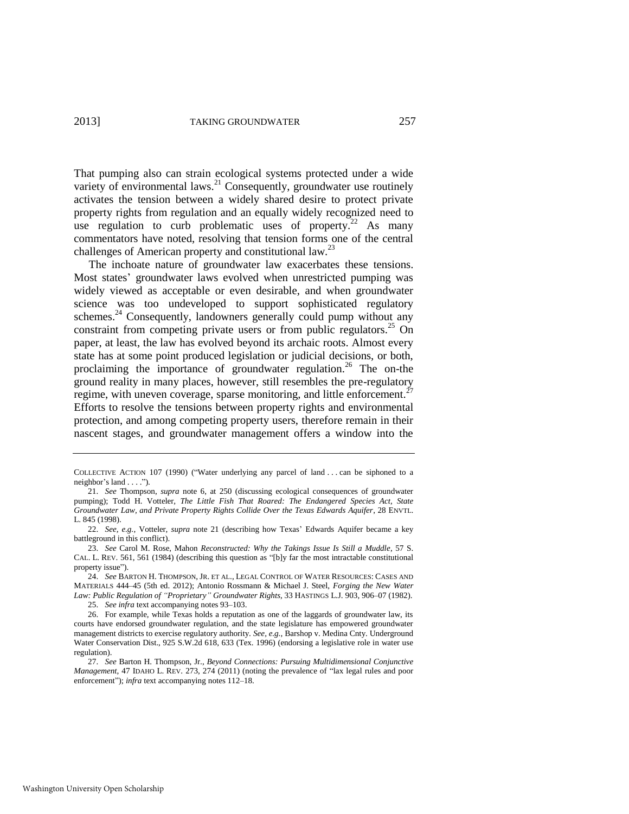<span id="page-5-0"></span>That pumping also can strain ecological systems protected under a wide variety of environmental laws.<sup>21</sup> Consequently, groundwater use routinely activates the tension between a widely shared desire to protect private property rights from regulation and an equally widely recognized need to use regulation to curb problematic uses of property.<sup>22</sup> As many commentators have noted, resolving that tension forms one of the central challenges of American property and constitutional law.<sup>23</sup>

<span id="page-5-3"></span><span id="page-5-1"></span>The inchoate nature of groundwater law exacerbates these tensions. Most states' groundwater laws evolved when unrestricted pumping was widely viewed as acceptable or even desirable, and when groundwater science was too undeveloped to support sophisticated regulatory schemes. $^{24}$  Consequently, landowners generally could pump without any constraint from competing private users or from public regulators.<sup>25</sup> On paper, at least, the law has evolved beyond its archaic roots. Almost every state has at some point produced legislation or judicial decisions, or both, proclaiming the importance of groundwater regulation.<sup>26</sup> The on-the ground reality in many places, however, still resembles the pre-regulatory regime, with uneven coverage, sparse monitoring, and little enforcement.<sup>27</sup> Efforts to resolve the tensions between property rights and environmental protection, and among competing property users, therefore remain in their nascent stages, and groundwater management offers a window into the

<span id="page-5-2"></span>COLLECTIVE ACTION 107 (1990) ("Water underlying any parcel of land . . . can be siphoned to a neighbor's land . . . .").

<sup>21.</sup> *See* Thompson, *supra* note [6,](#page-3-2) at 250 (discussing ecological consequences of groundwater pumping); Todd H. Votteler, *The Little Fish That Roared: The Endangered Species Act, State Groundwater Law, and Private Property Rights Collide Over the Texas Edwards Aquifer*, 28 ENVTL. L. 845 (1998).

<sup>22.</sup> *See, e.g.*, Votteler, *supra* note [21](#page-5-0) (describing how Texas' Edwards Aquifer became a key battleground in this conflict).

<sup>23.</sup> *See* Carol M. Rose, Mahon *Reconstructed: Why the Takings Issue Is Still a Muddle*, 57 S. CAL. L. REV. 561, 561 (1984) (describing this question as "[b]y far the most intractable constitutional property issue").

<sup>24.</sup> *See* BARTON H. THOMPSON, JR. ET AL., LEGAL CONTROL OF WATER RESOURCES: CASES AND MATERIALS 444–45 (5th ed. 2012); Antonio Rossmann & Michael J. Steel, *Forging the New Water Law: Public Regulation of "Proprietary" Groundwater Rights*, 33 HASTINGS L.J. 903, 906–07 (1982).

<sup>25.</sup> *See infra* text accompanying note[s 93](#page-14-0)[–103.](#page-16-0) 

<sup>26.</sup> For example, while Texas holds a reputation as one of the laggards of groundwater law, its courts have endorsed groundwater regulation, and the state legislature has empowered groundwater management districts to exercise regulatory authority. *See, e.g.*, Barshop v. Medina Cnty. Underground Water Conservation Dist., 925 S.W.2d 618, 633 (Tex. 1996) (endorsing a legislative role in water use regulation).

<sup>27.</sup> *See* Barton H. Thompson, Jr., *Beyond Connections: Pursuing Multidimensional Conjunctive Management*, 47 IDAHO L. REV. 273, 274 (2011) (noting the prevalence of "lax legal rules and poor enforcement"); *infra* text accompanying note[s 112–](#page-17-0)18.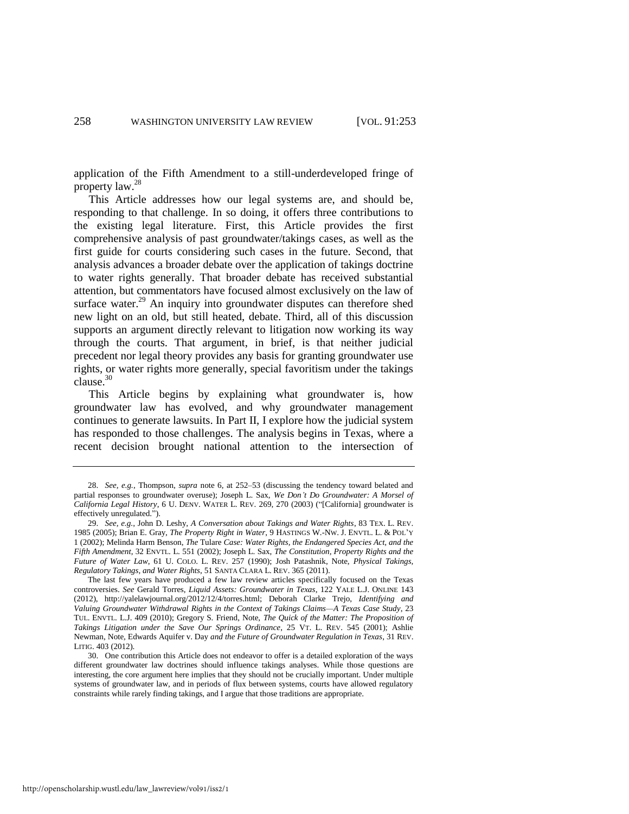application of the Fifth Amendment to a still-underdeveloped fringe of property law.<sup>28</sup>

This Article addresses how our legal systems are, and should be, responding to that challenge. In so doing, it offers three contributions to the existing legal literature. First, this Article provides the first comprehensive analysis of past groundwater/takings cases, as well as the first guide for courts considering such cases in the future. Second, that analysis advances a broader debate over the application of takings doctrine to water rights generally. That broader debate has received substantial attention, but commentators have focused almost exclusively on the law of surface water. $^{29}$  An inquiry into groundwater disputes can therefore shed new light on an old, but still heated, debate. Third, all of this discussion supports an argument directly relevant to litigation now working its way through the courts. That argument, in brief, is that neither judicial precedent nor legal theory provides any basis for granting groundwater use rights, or water rights more generally, special favoritism under the takings clause.<sup>30</sup>

<span id="page-6-0"></span>This Article begins by explaining what groundwater is, how groundwater law has evolved, and why groundwater management continues to generate lawsuits. In Part II, I explore how the judicial system has responded to those challenges. The analysis begins in Texas, where a recent decision brought national attention to the intersection of

<sup>28.</sup> *See, e.g.*, Thompson, *supra* note [6,](#page-3-2) at 252–53 (discussing the tendency toward belated and partial responses to groundwater overuse); Joseph L. Sax, *We Don't Do Groundwater: A Morsel of California Legal History*, 6 U. DENV. WATER L. REV. 269, 270 (2003) ("[California] groundwater is effectively unregulated.").

<sup>29.</sup> *See, e.g.*, John D. Leshy, *A Conversation about Takings and Water Rights*, 83 TEX. L. REV. 1985 (2005); Brian E. Gray, *The Property Right in Water*, 9 HASTINGS W.-NW. J. ENVTL. L. & POL'Y 1 (2002); Melinda Harm Benson, *The* Tulare *Case: Water Rights, the Endangered Species Act, and the Fifth Amendment*, 32 ENVTL. L. 551 (2002); Joseph L. Sax, *The Constitution, Property Rights and the Future of Water Law*, 61 U. COLO. L. REV. 257 (1990); Josh Patashnik, Note, *Physical Takings, Regulatory Takings, and Water Rights*, 51 SANTA CLARA L. REV. 365 (2011).

The last few years have produced a few law review articles specifically focused on the Texas controversies. *See* Gerald Torres, *Liquid Assets: Groundwater in Texas*, 122 YALE L.J. ONLINE 143 (2012), http://yalelawjournal.org/2012/12/4/torres.html; Deborah Clarke Trejo, *Identifying and Valuing Groundwater Withdrawal Rights in the Context of Takings Claims—A Texas Case Study*, 23 TUL. ENVTL. L.J. 409 (2010); Gregory S. Friend, Note, *The Quick of the Matter: The Proposition of Takings Litigation under the Save Our Springs Ordinance*, 25 VT. L. REV. 545 (2001); Ashlie Newman, Note*,* Edwards Aquifer v. Day *and the Future of Groundwater Regulation in Texas*, 31 REV. LITIG. 403 (2012).

<sup>30.</sup> One contribution this Article does not endeavor to offer is a detailed exploration of the ways different groundwater law doctrines should influence takings analyses. While those questions are interesting, the core argument here implies that they should not be crucially important. Under multiple systems of groundwater law, and in periods of flux between systems, courts have allowed regulatory constraints while rarely finding takings, and I argue that those traditions are appropriate.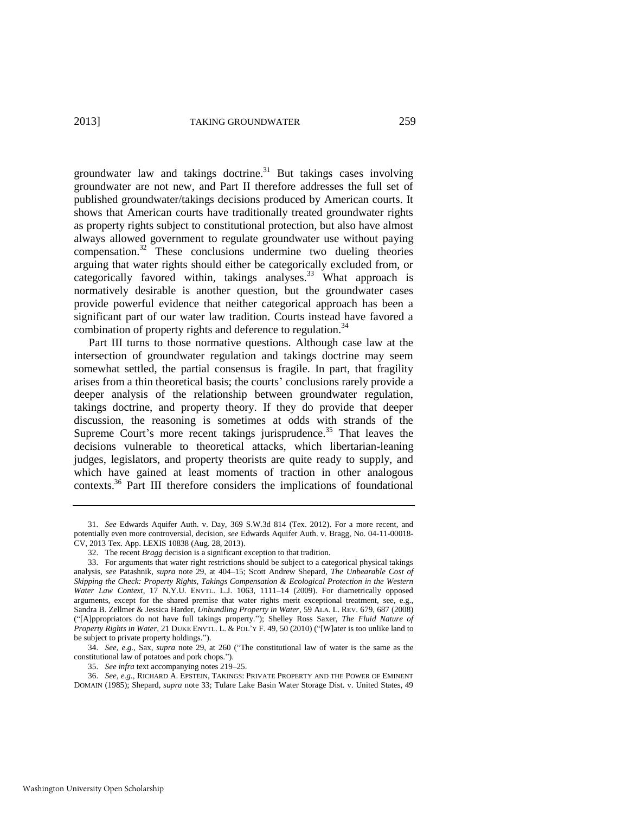groundwater law and takings doctrine.<sup>31</sup> But takings cases involving groundwater are not new, and Part II therefore addresses the full set of published groundwater/takings decisions produced by American courts. It shows that American courts have traditionally treated groundwater rights as property rights subject to constitutional protection, but also have almost always allowed government to regulate groundwater use without paying compensation.<sup>32</sup> These conclusions undermine two dueling theories arguing that water rights should either be categorically excluded from, or categorically favored within, takings analyses.<sup>33</sup> What approach is normatively desirable is another question, but the groundwater cases provide powerful evidence that neither categorical approach has been a significant part of our water law tradition. Courts instead have favored a combination of property rights and deference to regulation.<sup>34</sup>

<span id="page-7-0"></span>Part III turns to those normative questions. Although case law at the intersection of groundwater regulation and takings doctrine may seem somewhat settled, the partial consensus is fragile. In part, that fragility arises from a thin theoretical basis; the courts' conclusions rarely provide a deeper analysis of the relationship between groundwater regulation, takings doctrine, and property theory. If they do provide that deeper discussion, the reasoning is sometimes at odds with strands of the Supreme Court's more recent takings jurisprudence.<sup>35</sup> That leaves the decisions vulnerable to theoretical attacks, which libertarian-leaning judges, legislators, and property theorists are quite ready to supply, and which have gained at least moments of traction in other analogous contexts.<sup>36</sup> Part III therefore considers the implications of foundational

35. *See infra* text accompanying note[s 219–](#page-37-0)25.

36. *See, e.g.*, RICHARD A. EPSTEIN, TAKINGS: PRIVATE PROPERTY AND THE POWER OF EMINENT DOMAIN (1985); Shepard, *supra* note [33;](#page-7-0) Tulare Lake Basin Water Storage Dist. v. United States, 49

<span id="page-7-1"></span><sup>31.</sup> *See* Edwards Aquifer Auth. v. Day, 369 S.W.3d 814 (Tex. 2012). For a more recent, and potentially even more controversial, decision, *see* Edwards Aquifer Auth. v. Bragg, No. 04-11-00018- CV, 2013 Tex. App. LEXIS 10838 (Aug. 28, 2013).

<sup>32.</sup> The recent *Bragg* decision is a significant exception to that tradition.

<sup>33.</sup> For arguments that water right restrictions should be subject to a categorical physical takings analysis, *see* Patashnik, *supra* note [29,](#page-6-0) at 404–15; Scott Andrew Shepard, *The Unbearable Cost of Skipping the Check: Property Rights, Takings Compensation & Ecological Protection in the Western Water Law Context*, 17 N.Y.U. ENVTL. L.J. 1063, 1111–14 (2009). For diametrically opposed arguments, except for the shared premise that water rights merit exceptional treatment, see, e.g., Sandra B. Zellmer & Jessica Harder, *Unbundling Property in Water*, 59 ALA. L. REV. 679, 687 (2008) ("[A]ppropriators do not have full takings property."); Shelley Ross Saxer, *The Fluid Nature of Property Rights in Water*, 21 DUKE ENVTL. L. & POL'Y F. 49, 50 (2010) ("[W]ater is too unlike land to be subject to private property holdings.").

<sup>34.</sup> *See, e.g.*, Sax, *supra* note [29,](#page-6-0) at 260 ("The constitutional law of water is the same as the constitutional law of potatoes and pork chops.").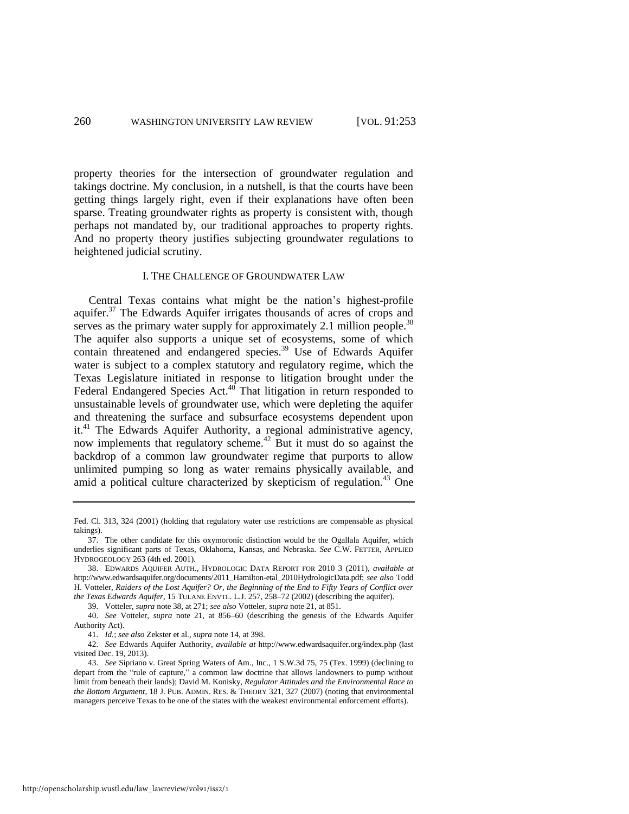property theories for the intersection of groundwater regulation and takings doctrine. My conclusion, in a nutshell, is that the courts have been getting things largely right, even if their explanations have often been sparse. Treating groundwater rights as property is consistent with, though perhaps not mandated by, our traditional approaches to property rights. And no property theory justifies subjecting groundwater regulations to heightened judicial scrutiny.

#### <span id="page-8-0"></span>I. THE CHALLENGE OF GROUNDWATER LAW

<span id="page-8-1"></span>Central Texas contains what might be the nation's highest-profile aquifer.<sup>37</sup> The Edwards Aquifer irrigates thousands of acres of crops and serves as the primary water supply for approximately 2.1 million people.<sup>38</sup> The aquifer also supports a unique set of ecosystems, some of which contain threatened and endangered species.<sup>39</sup> Use of Edwards Aquifer water is subject to a complex statutory and regulatory regime, which the Texas Legislature initiated in response to litigation brought under the Federal Endangered Species Act.<sup>40</sup> That litigation in return responded to unsustainable levels of groundwater use, which were depleting the aquifer and threatening the surface and subsurface ecosystems dependent upon it.<sup>41</sup> The Edwards Aquifer Authority, a regional administrative agency, now implements that regulatory scheme.<sup>42</sup> But it must do so against the backdrop of a common law groundwater regime that purports to allow unlimited pumping so long as water remains physically available, and amid a political culture characterized by skepticism of regulation. $43$  One

39. Votteler, *supra* not[e 38,](#page-8-0) at 271; *see also* Votteler, *supra* not[e 21,](#page-5-0) at 851.

Fed. Cl. 313, 324 (2001) (holding that regulatory water use restrictions are compensable as physical takings).

<sup>37.</sup> The other candidate for this oxymoronic distinction would be the Ogallala Aquifer, which underlies significant parts of Texas, Oklahoma, Kansas, and Nebraska. *See* C.W. FETTER, APPLIED HYDROGEOLOGY 263 (4th ed. 2001).

<sup>38.</sup> EDWARDS AQUIFER AUTH., HYDROLOGIC DATA REPORT FOR 2010 3 (2011), *available at*  http://www.edwardsaquifer.org/documents/2011\_Hamilton-etal\_2010HydrologicData.pdf; *see also* Todd H. Votteler, *Raiders of the Lost Aquifer? Or, the Beginning of the End to Fifty Years of Conflict over the Texas Edwards Aquifer*, 15 TULANE ENVTL. L.J. 257, 258–72 (2002) (describing the aquifer).

<sup>40.</sup> *See* Votteler, *supra* note [21,](#page-5-0) at 856–60 (describing the genesis of the Edwards Aquifer Authority Act).

<sup>41.</sup> *Id.*; *see also* Zekster et al., *supra* not[e 14,](#page-4-0) at 398.

<sup>42.</sup> *See* Edwards Aquifer Authority, *available at* http://www.edwardsaquifer.org/index.php (last visited Dec. 19, 2013).

<sup>43.</sup> *See* Sipriano v. Great Spring Waters of Am., Inc., 1 S.W.3d 75, 75 (Tex. 1999) (declining to depart from the "rule of capture," a common law doctrine that allows landowners to pump without limit from beneath their lands); David M. Konisky, *Regulator Attitudes and the Environmental Race to the Bottom Argument*, 18 J. PUB. ADMIN. RES. & THEORY 321, 327 (2007) (noting that environmental managers perceive Texas to be one of the states with the weakest environmental enforcement efforts).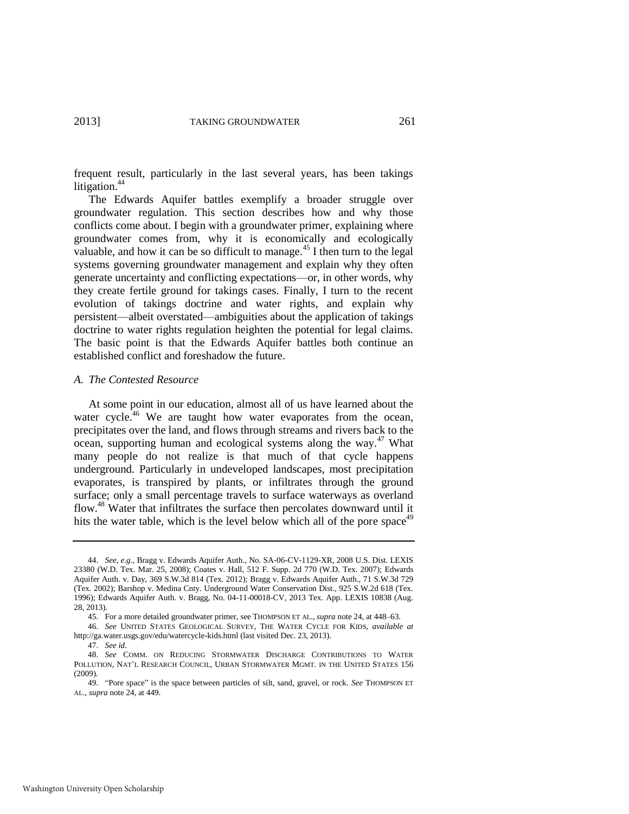<span id="page-9-1"></span>frequent result, particularly in the last several years, has been takings litigation.<sup>44</sup>

The Edwards Aquifer battles exemplify a broader struggle over groundwater regulation. This section describes how and why those conflicts come about. I begin with a groundwater primer, explaining where groundwater comes from, why it is economically and ecologically valuable, and how it can be so difficult to manage.<sup>45</sup> I then turn to the legal systems governing groundwater management and explain why they often generate uncertainty and conflicting expectations—or, in other words, why they create fertile ground for takings cases. Finally, I turn to the recent evolution of takings doctrine and water rights, and explain why persistent—albeit overstated—ambiguities about the application of takings doctrine to water rights regulation heighten the potential for legal claims. The basic point is that the Edwards Aquifer battles both continue an established conflict and foreshadow the future.

#### *A. The Contested Resource*

<span id="page-9-0"></span>At some point in our education, almost all of us have learned about the water cycle.<sup>46</sup> We are taught how water evaporates from the ocean, precipitates over the land, and flows through streams and rivers back to the ocean, supporting human and ecological systems along the way. $47$  What many people do not realize is that much of that cycle happens underground. Particularly in undeveloped landscapes, most precipitation evaporates, is transpired by plants, or infiltrates through the ground surface; only a small percentage travels to surface waterways as overland flow.<sup>48</sup> Water that infiltrates the surface then percolates downward until it hits the water table, which is the level below which all of the pore space<sup> $49$ </sup>

<sup>44.</sup> *See, e.g.*, Bragg v. Edwards Aquifer Auth., No. SA-06-CV-1129-XR, 2008 U.S. Dist. LEXIS 23380 (W.D. Tex. Mar. 25, 2008); Coates v. Hall, 512 F. Supp. 2d 770 (W.D. Tex. 2007); Edwards Aquifer Auth. v. Day, 369 S.W.3d 814 (Tex. 2012); Bragg v. Edwards Aquifer Auth., 71 S.W.3d 729 (Tex. 2002); Barshop v. Medina Cnty. Underground Water Conservation Dist., 925 S.W.2d 618 (Tex. 1996); Edwards Aquifer Auth. v. Bragg, No. 04-11-00018-CV, 2013 Tex. App. LEXIS 10838 (Aug. 28, 2013).

<sup>45.</sup> For a more detailed groundwater primer, see THOMPSON ET AL., *supra* not[e 24,](#page-5-1) at 448–63.

<sup>46.</sup> *See* UNITED STATES GEOLOGICAL SURVEY, THE WATER CYCLE FOR KIDS, *available at* http://ga.water.usgs.gov/edu/watercycle-kids.html (last visited Dec. 23, 2013).

<sup>47.</sup> *See id*.

<sup>48.</sup> *See* COMM. ON REDUCING STORMWATER DISCHARGE CONTRIBUTIONS TO WATER POLLUTION, NAT'L RESEARCH COUNCIL, URBAN STORMWATER MGMT. IN THE UNITED STATES 156 (2009).

<sup>49. &</sup>quot;Pore space" is the space between particles of silt, sand, gravel, or rock. *See* THOMPSON ET AL., *supra* not[e 24,](#page-5-1) at 449.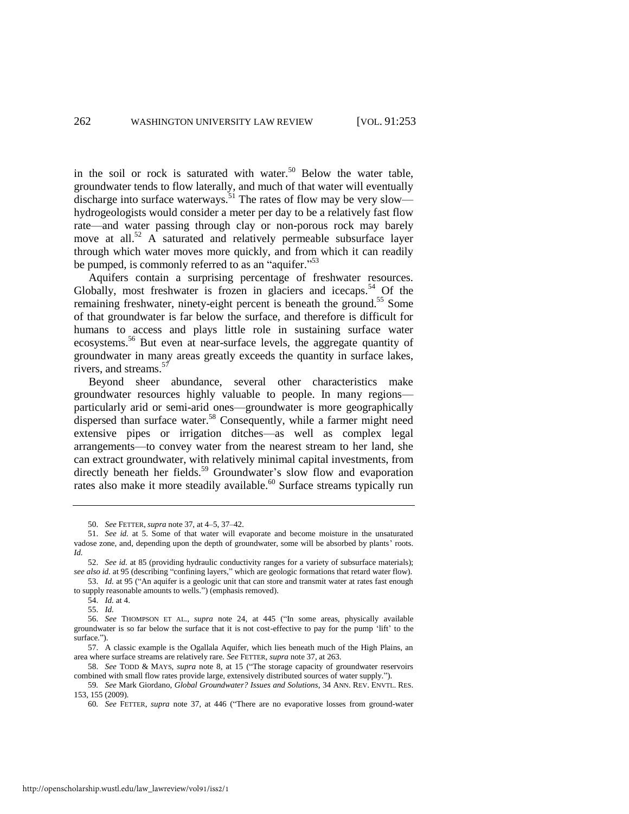in the soil or rock is saturated with water.<sup>50</sup> Below the water table, groundwater tends to flow laterally, and much of that water will eventually discharge into surface waterways.<sup>51</sup> The rates of flow may be very slow hydrogeologists would consider a meter per day to be a relatively fast flow rate—and water passing through clay or non-porous rock may barely move at all.<sup>52</sup> A saturated and relatively permeable subsurface layer through which water moves more quickly, and from which it can readily be pumped, is commonly referred to as an "aquifer."<sup>53</sup>

<span id="page-10-1"></span>Aquifers contain a surprising percentage of freshwater resources. Globally, most freshwater is frozen in glaciers and icecaps.<sup>54</sup> Of the remaining freshwater, ninety-eight percent is beneath the ground.<sup>55</sup> Some of that groundwater is far below the surface, and therefore is difficult for humans to access and plays little role in sustaining surface water ecosystems.<sup>56</sup> But even at near-surface levels, the aggregate quantity of groundwater in many areas greatly exceeds the quantity in surface lakes, rivers, and streams. $5$ 

<span id="page-10-0"></span>Beyond sheer abundance, several other characteristics make groundwater resources highly valuable to people. In many regions particularly arid or semi-arid ones—groundwater is more geographically dispersed than surface water.<sup>58</sup> Consequently, while a farmer might need extensive pipes or irrigation ditches—as well as complex legal arrangements—to convey water from the nearest stream to her land, she can extract groundwater, with relatively minimal capital investments, from directly beneath her fields.<sup>59</sup> Groundwater's slow flow and evaporation rates also make it more steadily available.<sup>60</sup> Surface streams typically run

<span id="page-10-2"></span><sup>50.</sup> *See* FETTER, *supra* not[e 37,](#page-8-1) at 4–5, 37–42.

<sup>51.</sup> *See id.* at 5. Some of that water will evaporate and become moisture in the unsaturated vadose zone, and, depending upon the depth of groundwater, some will be absorbed by plants' roots. *Id.* 

<sup>52.</sup> *See id.* at 85 (providing hydraulic conductivity ranges for a variety of subsurface materials); *see also id.* at 95 (describing "confining layers," which are geologic formations that retard water flow). 53. *Id.* at 95 ("An aquifer is a geologic unit that can store and transmit water at rates fast enough

to supply reasonable amounts to wells.") (emphasis removed).

<sup>54.</sup> *Id.* at 4.

<sup>55.</sup> *Id.*

<sup>56.</sup> *See* THOMPSON ET AL., *supra* note [24,](#page-5-1) at 445 ("In some areas, physically available groundwater is so far below the surface that it is not cost-effective to pay for the pump 'lift' to the surface.").

<sup>57.</sup> A classic example is the Ogallala Aquifer, which lies beneath much of the High Plains, an area where surface streams are relatively rare. *See* FETTER, *supra* not[e 37,](#page-8-1) at 263.

<sup>58.</sup> *See* TODD & MAYS, *supra* note [8,](#page-3-3) at 15 ("The storage capacity of groundwater reservoirs combined with small flow rates provide large, extensively distributed sources of water supply.").

<sup>59</sup>*. See* Mark Giordano, *Global Groundwater? Issues and Solutions*, 34 ANN. REV. ENVTL. RES. 153, 155 (2009).

<sup>60</sup>*. See* FETTER, *supra* note [37,](#page-8-1) at 446 ("There are no evaporative losses from ground-water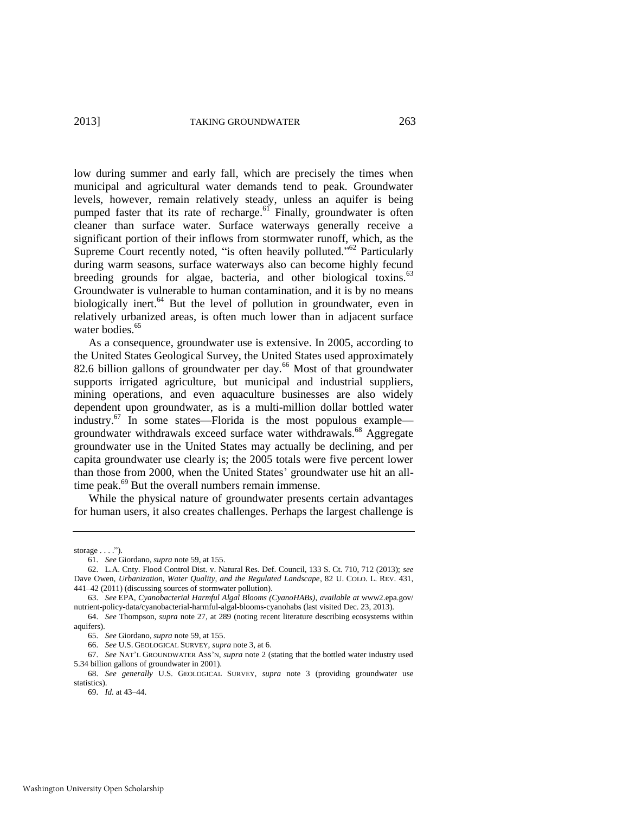<span id="page-11-0"></span>low during summer and early fall, which are precisely the times when municipal and agricultural water demands tend to peak. Groundwater levels, however, remain relatively steady, unless an aquifer is being pumped faster that its rate of recharge.<sup>61</sup> Finally, groundwater is often cleaner than surface water. Surface waterways generally receive a significant portion of their inflows from stormwater runoff, which, as the Supreme Court recently noted, "is often heavily polluted."<sup>62</sup> Particularly during warm seasons, surface waterways also can become highly fecund breeding grounds for algae, bacteria, and other biological toxins. $63$ Groundwater is vulnerable to human contamination, and it is by no means biologically inert.<sup>64</sup> But the level of pollution in groundwater, even in relatively urbanized areas, is often much lower than in adjacent surface water bodies.<sup>65</sup>

As a consequence, groundwater use is extensive. In 2005, according to the United States Geological Survey, the United States used approximately 82.6 billion gallons of groundwater per day.<sup>66</sup> Most of that groundwater supports irrigated agriculture, but municipal and industrial suppliers, mining operations, and even aquaculture businesses are also widely dependent upon groundwater, as is a multi-million dollar bottled water industry. $67$  In some states—Florida is the most populous example groundwater withdrawals exceed surface water withdrawals.<sup>68</sup> Aggregate groundwater use in the United States may actually be declining, and per capita groundwater use clearly is; the 2005 totals were five percent lower than those from 2000, when the United States' groundwater use hit an alltime peak. $^{69}$  But the overall numbers remain immense.

While the physical nature of groundwater presents certain advantages for human users, it also creates challenges. Perhaps the largest challenge is

storage  $\dots$ .").

<sup>61.</sup> *See* Giordano, *supra* not[e 59,](#page-10-2) at 155.

<sup>62.</sup> L.A. Cnty. Flood Control Dist. v. Natural Res. Def. Council, 133 S. Ct. 710, 712 (2013); *see*  Dave Owen, *Urbanization, Water Quality, and the Regulated Landscape*, 82 U. COLO. L. REV. 431, 441–42 (2011) (discussing sources of stormwater pollution).

<sup>63.</sup> *See* EPA, *Cyanobacterial Harmful Algal Blooms (CyanoHABs)*, *available at* www2.epa.gov/ nutrient-policy-data/cyanobacterial-harmful-algal-blooms-cyanohabs (last visited Dec. 23, 2013).

<sup>64.</sup> *See* Thompson, *supra* note [27,](#page-5-2) at 289 (noting recent literature describing ecosystems within aquifers).

<sup>65.</sup> *See* Giordano, *supra* not[e 59,](#page-10-2) at 155.

<sup>66.</sup> *See* U.S. GEOLOGICAL SURVEY, *supra* not[e 3,](#page-3-0) at 6.

<sup>67.</sup> *See* NAT'L GROUNDWATER ASS'N, *supra* not[e 2](#page-2-0) (stating that the bottled water industry used 5.34 billion gallons of groundwater in 2001).

<sup>68.</sup> *See generally* U.S. GEOLOGICAL SURVEY, *supra* note [3](#page-3-0) (providing groundwater use statistics).

<sup>69.</sup> *Id.* at 43–44.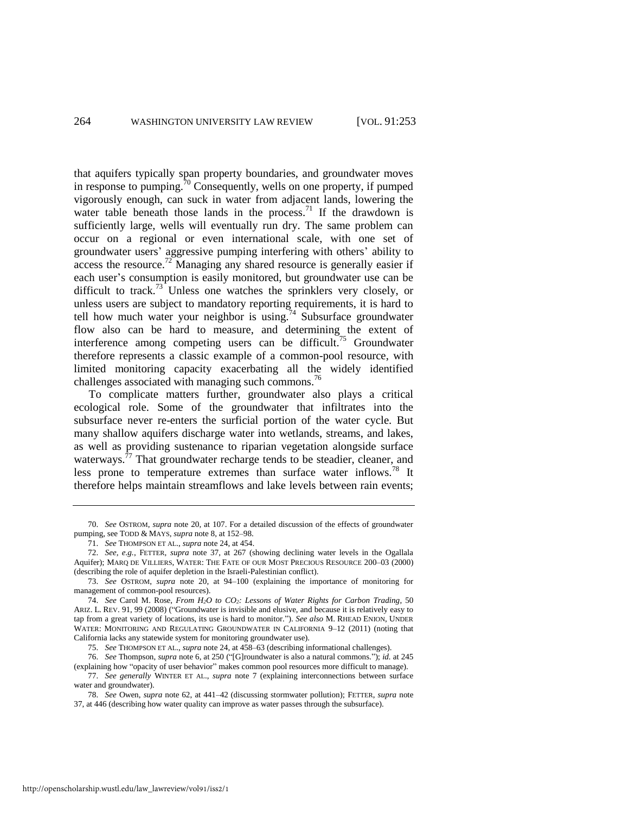<span id="page-12-1"></span><span id="page-12-0"></span>that aquifers typically span property boundaries, and groundwater moves in response to pumping.<sup>70</sup> Consequently, wells on one property, if pumped vigorously enough, can suck in water from adjacent lands, lowering the water table beneath those lands in the process.<sup>71</sup> If the drawdown is sufficiently large, wells will eventually run dry. The same problem can occur on a regional or even international scale, with one set of groundwater users' aggressive pumping interfering with others' ability to access the resource.<sup>72</sup> Managing any shared resource is generally easier if each user's consumption is easily monitored, but groundwater use can be difficult to track.<sup>73</sup> Unless one watches the sprinklers very closely, or unless users are subject to mandatory reporting requirements, it is hard to tell how much water your neighbor is using.<sup>74</sup> Subsurface groundwater flow also can be hard to measure, and determining the extent of interference among competing users can be difficult.<sup>75</sup> Groundwater therefore represents a classic example of a common-pool resource, with limited monitoring capacity exacerbating all the widely identified challenges associated with managing such commons.<sup>76</sup>

<span id="page-12-2"></span>To complicate matters further, groundwater also plays a critical ecological role. Some of the groundwater that infiltrates into the subsurface never re-enters the surficial portion of the water cycle. But many shallow aquifers discharge water into wetlands, streams, and lakes, as well as providing sustenance to riparian vegetation alongside surface waterways.<sup>77</sup> That groundwater recharge tends to be steadier, cleaner, and less prone to temperature extremes than surface water inflows.<sup>78</sup> It therefore helps maintain streamflows and lake levels between rain events;

<sup>70.</sup> *See* OSTROM, *supra* note [20,](#page-4-1) at 107. For a detailed discussion of the effects of groundwater pumping, see TODD & MAYS, *supra* not[e 8,](#page-3-3) at 152–98.

<sup>71.</sup> *See* THOMPSON ET AL., *supra* not[e 24,](#page-5-1) at 454.

<sup>72.</sup> *See, e.g.*, FETTER, *supra* note [37,](#page-8-1) at 267 (showing declining water levels in the Ogallala Aquifer); MARQ DE VILLIERS, WATER: THE FATE OF OUR MOST PRECIOUS RESOURCE 200–03 (2000) (describing the role of aquifer depletion in the Israeli-Palestinian conflict).

<sup>73.</sup> *See* OSTROM, *supra* note [20,](#page-4-1) at 94–100 (explaining the importance of monitoring for management of common-pool resources).

<sup>74.</sup> *See* Carol M. Rose, *From H2O to CO2: Lessons of Water Rights for Carbon Trading*, 50 ARIZ. L. REV. 91, 99 (2008) ("Groundwater is invisible and elusive, and because it is relatively easy to tap from a great variety of locations, its use is hard to monitor."). *See also* M. RHEAD ENION, UNDER WATER: MONITORING AND REGULATING GROUNDWATER IN CALIFORNIA 9–12 (2011) (noting that California lacks any statewide system for monitoring groundwater use).

<sup>75.</sup> *See* THOMPSON ET AL., *supra* not[e 24,](#page-5-1) at 458–63 (describing informational challenges).

<sup>76.</sup> *See* Thompson, *supra* not[e 6,](#page-3-2) at 250 ("[G]roundwater is also a natural commons."); *id.* at 245 (explaining how "opacity of user behavior" makes common pool resources more difficult to manage).

<sup>77.</sup> *See generally* WINTER ET AL., *supra* note [7](#page-3-1) (explaining interconnections between surface water and groundwater).

<sup>78.</sup> *See* Owen, *supra* note [62,](#page-11-0) at 441–42 (discussing stormwater pollution); FETTER, *supra* note [37,](#page-8-1) at 446 (describing how water quality can improve as water passes through the subsurface).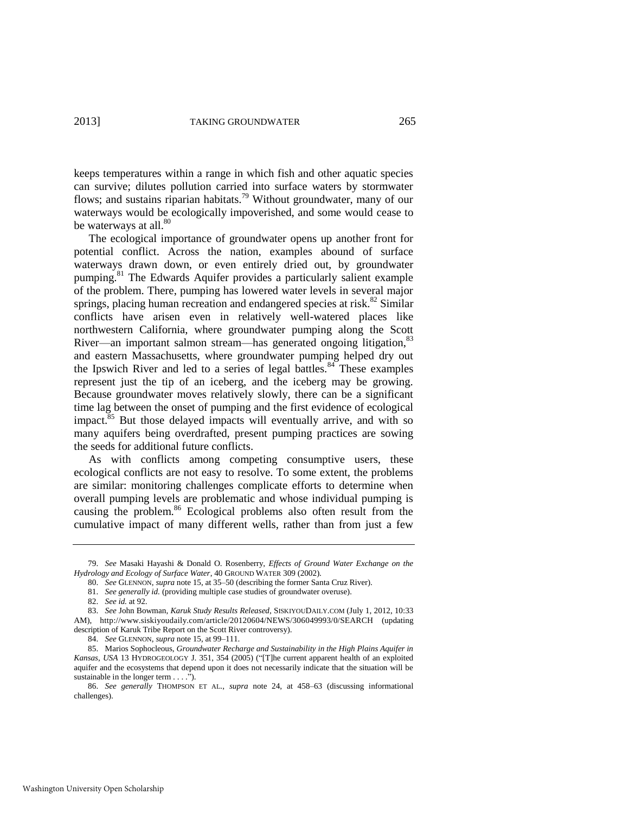keeps temperatures within a range in which fish and other aquatic species can survive; dilutes pollution carried into surface waters by stormwater flows; and sustains riparian habitats.<sup>79</sup> Without groundwater, many of our waterways would be ecologically impoverished, and some would cease to be waterways at all. $80$ 

The ecological importance of groundwater opens up another front for potential conflict. Across the nation, examples abound of surface waterways drawn down, or even entirely dried out, by groundwater pumping.<sup>81</sup> The Edwards Aquifer provides a particularly salient example of the problem. There, pumping has lowered water levels in several major springs, placing human recreation and endangered species at risk.<sup>82</sup> Similar conflicts have arisen even in relatively well-watered places like northwestern California, where groundwater pumping along the Scott River—an important salmon stream—has generated ongoing litigation, 83 and eastern Massachusetts, where groundwater pumping helped dry out the Ipswich River and led to a series of legal battles. $84$  These examples represent just the tip of an iceberg, and the iceberg may be growing. Because groundwater moves relatively slowly, there can be a significant time lag between the onset of pumping and the first evidence of ecological impact. $85$  But those delayed impacts will eventually arrive, and with so many aquifers being overdrafted, present pumping practices are sowing the seeds for additional future conflicts.

As with conflicts among competing consumptive users, these ecological conflicts are not easy to resolve. To some extent, the problems are similar: monitoring challenges complicate efforts to determine when overall pumping levels are problematic and whose individual pumping is causing the problem.<sup>86</sup> Ecological problems also often result from the cumulative impact of many different wells, rather than from just a few

82. *See id.* at 92.

<sup>79.</sup> *See* Masaki Hayashi & Donald O. Rosenberry, *Effects of Ground Water Exchange on the Hydrology and Ecology of Surface Water*, 40 GROUND WATER 309 (2002).

<sup>80.</sup> *See* GLENNON, *supra* note [15,](#page-4-2) at 35–50 (describing the former Santa Cruz River).

<sup>81.</sup> *See generally id.* (providing multiple case studies of groundwater overuse)*.*

<sup>83.</sup> *See* John Bowman, *Karuk Study Results Released*, SISKIYOUDAILY.COM (July 1, 2012, 10:33 AM), http://www.siskiyoudaily.com/article/20120604/NEWS/306049993/0/SEARCH (updating description of Karuk Tribe Report on the Scott River controversy).

<sup>84.</sup> *See* GLENNON, *supra* note [15,](#page-4-2) at 99–111.

<sup>85.</sup> Marios Sophocleous, *Groundwater Recharge and Sustainability in the High Plains Aquifer in Kansas*, *USA* 13 HYDROGEOLOGY J. 351, 354 (2005) ("[T]he current apparent health of an exploited aquifer and the ecosystems that depend upon it does not necessarily indicate that the situation will be sustainable in the longer term . . . .").

<sup>86.</sup> *See generally* THOMPSON ET AL., *supra* note [24,](#page-5-1) at 458–63 (discussing informational challenges).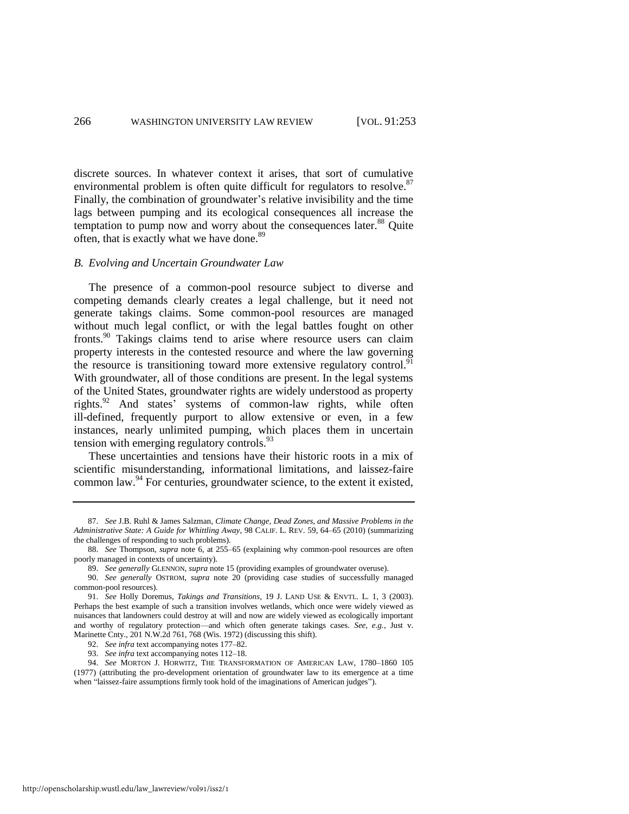discrete sources. In whatever context it arises, that sort of cumulative environmental problem is often quite difficult for regulators to resolve.<sup>87</sup> Finally, the combination of groundwater's relative invisibility and the time lags between pumping and its ecological consequences all increase the temptation to pump now and worry about the consequences later.<sup>88</sup> Quite often, that is exactly what we have done.<sup>89</sup>

#### *B. Evolving and Uncertain Groundwater Law*

<span id="page-14-1"></span>The presence of a common-pool resource subject to diverse and competing demands clearly creates a legal challenge, but it need not generate takings claims. Some common-pool resources are managed without much legal conflict, or with the legal battles fought on other fronts.<sup>90</sup> Takings claims tend to arise where resource users can claim property interests in the contested resource and where the law governing the resource is transitioning toward more extensive regulatory control.<sup>91</sup> With groundwater, all of those conditions are present. In the legal systems of the United States, groundwater rights are widely understood as property rights.<sup>92</sup> And states' systems of common-law rights, while often ill-defined, frequently purport to allow extensive or even, in a few instances, nearly unlimited pumping, which places them in uncertain tension with emerging regulatory controls. $^{93}$ 

<span id="page-14-0"></span>These uncertainties and tensions have their historic roots in a mix of scientific misunderstanding, informational limitations, and laissez-faire common law.<sup>94</sup> For centuries, groundwater science, to the extent it existed,

http://openscholarship.wustl.edu/law\_lawreview/vol91/iss2/1

<sup>87.</sup> *See* J.B. Ruhl & James Salzman, *Climate Change, Dead Zones, and Massive Problems in the Administrative State: A Guide for Whittling Away*, 98 CALIF. L. REV. 59, 64–65 (2010) (summarizing the challenges of responding to such problems).

<sup>88.</sup> *See* Thompson, *supra* note [6,](#page-3-2) at 255–65 (explaining why common-pool resources are often poorly managed in contexts of uncertainty).

<sup>89.</sup> *See generally* GLENNON, *supra* not[e 15](#page-4-2) (providing examples of groundwater overuse).

<sup>90.</sup> *See generally* OSTROM, *supra* note [20](#page-4-1) (providing case studies of successfully managed common-pool resources).

<sup>91.</sup> *See* Holly Doremus, *Takings and Transitions*, 19 J. LAND USE & ENVTL. L. 1, 3 (2003). Perhaps the best example of such a transition involves wetlands, which once were widely viewed as nuisances that landowners could destroy at will and now are widely viewed as ecologically important and worthy of regulatory protection—and which often generate takings cases. *See, e.g.*, Just v. Marinette Cnty., 201 N.W.2d 761, 768 (Wis. 1972) (discussing this shift).

<sup>92.</sup> *See infra* text accompanying note[s 177–](#page-29-0)82.

<sup>93.</sup> *See infra* text accompanying note[s 112–](#page-17-0)18.

<sup>94.</sup> *See* MORTON J. HORWITZ, THE TRANSFORMATION OF AMERICAN LAW, 1780–1860 105 (1977) (attributing the pro-development orientation of groundwater law to its emergence at a time when "laissez-faire assumptions firmly took hold of the imaginations of American judges").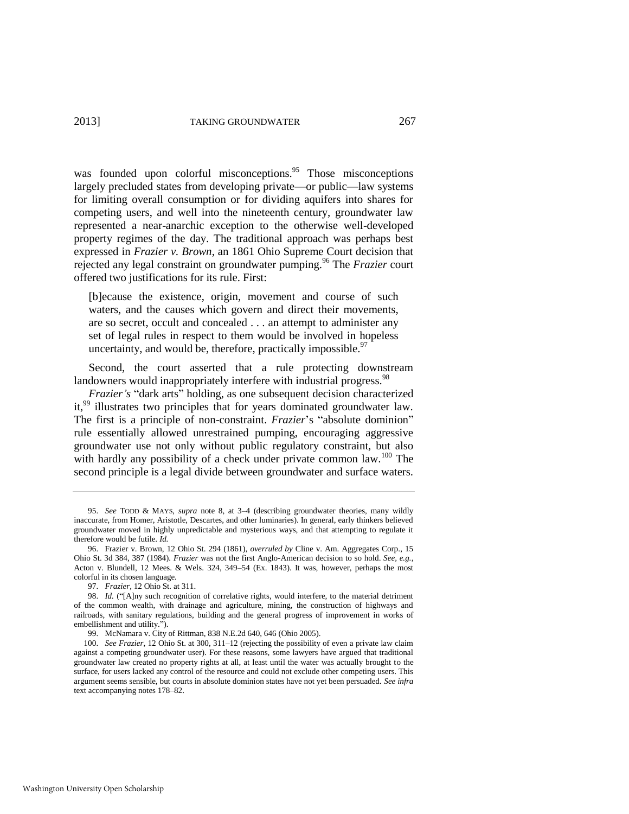was founded upon colorful misconceptions.<sup>95</sup> Those misconceptions largely precluded states from developing private—or public—law systems for limiting overall consumption or for dividing aquifers into shares for competing users, and well into the nineteenth century, groundwater law represented a near-anarchic exception to the otherwise well-developed property regimes of the day. The traditional approach was perhaps best expressed in *Frazier v. Brown*, an 1861 Ohio Supreme Court decision that rejected any legal constraint on groundwater pumping.<sup>96</sup> The *Frazier* court offered two justifications for its rule. First:

[b]ecause the existence, origin, movement and course of such waters, and the causes which govern and direct their movements, are so secret, occult and concealed . . . an attempt to administer any set of legal rules in respect to them would be involved in hopeless uncertainty, and would be, therefore, practically impossible. $97$ 

Second, the court asserted that a rule protecting downstream landowners would inappropriately interfere with industrial progress.<sup>98</sup>

*Frazier's* "dark arts" holding, as one subsequent decision characterized it,<sup>99</sup> illustrates two principles that for years dominated groundwater law. The first is a principle of non-constraint. *Frazier*'s "absolute dominion" rule essentially allowed unrestrained pumping, encouraging aggressive groundwater use not only without public regulatory constraint, but also with hardly any possibility of a check under private common law.<sup>100</sup> The second principle is a legal divide between groundwater and surface waters.

<sup>95.</sup> *See* TODD & MAYS, *supra* note [8,](#page-3-3) at 3–4 (describing groundwater theories, many wildly inaccurate, from Homer, Aristotle, Descartes, and other luminaries). In general, early thinkers believed groundwater moved in highly unpredictable and mysterious ways, and that attempting to regulate it therefore would be futile. *Id.* 

<sup>96.</sup> Frazier v. Brown, 12 Ohio St. 294 (1861), *overruled by* Cline v. Am. Aggregates Corp., 15 Ohio St. 3d 384, 387 (1984). *Frazier* was not the first Anglo-American decision to so hold. *See, e.g.*, Acton v. Blundell, 12 Mees. & Wels. 324, 349–54 (Ex. 1843). It was, however, perhaps the most colorful in its chosen language.

<sup>97.</sup> *Frazier*, 12 Ohio St*.* at 311.

<sup>98.</sup> *Id.* ("[A]ny such recognition of correlative rights, would interfere, to the material detriment of the common wealth, with drainage and agriculture, mining, the construction of highways and railroads, with sanitary regulations, building and the general progress of improvement in works of embellishment and utility.").

<sup>99.</sup> McNamara v. City of Rittman, 838 N.E.2d 640, 646 (Ohio 2005).

<sup>100.</sup> *See Frazier*, 12 Ohio St. at 300, 311–12 (rejecting the possibility of even a private law claim against a competing groundwater user). For these reasons, some lawyers have argued that traditional groundwater law created no property rights at all, at least until the water was actually brought to the surface, for users lacked any control of the resource and could not exclude other competing users. This argument seems sensible, but courts in absolute dominion states have not yet been persuaded. *See infra*  text accompanying note[s 178–](#page-29-1)82.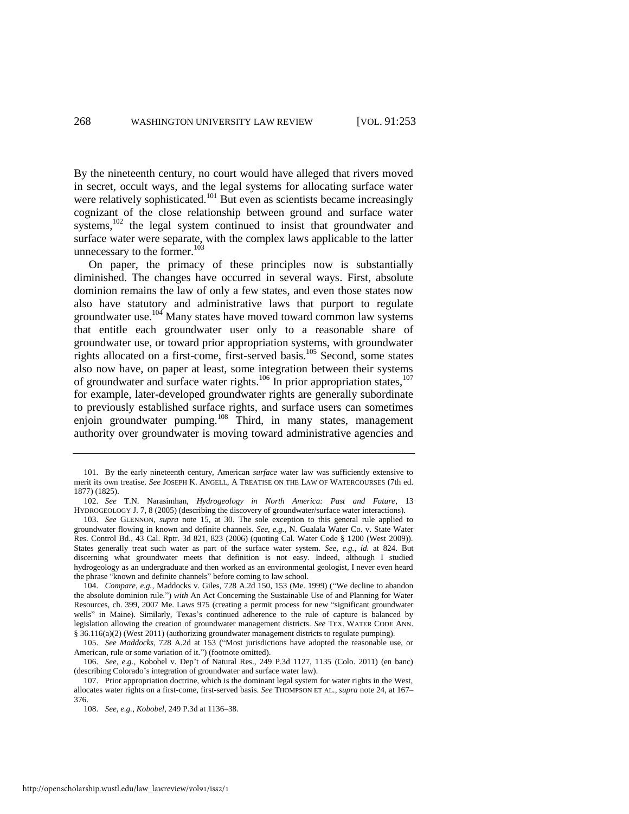By the nineteenth century, no court would have alleged that rivers moved in secret, occult ways, and the legal systems for allocating surface water were relatively sophisticated.<sup>101</sup> But even as scientists became increasingly cognizant of the close relationship between ground and surface water systems,<sup>102</sup> the legal system continued to insist that groundwater and surface water were separate, with the complex laws applicable to the latter unnecessary to the former. $103$ 

<span id="page-16-1"></span><span id="page-16-0"></span>On paper, the primacy of these principles now is substantially diminished. The changes have occurred in several ways. First, absolute dominion remains the law of only a few states, and even those states now also have statutory and administrative laws that purport to regulate groundwater use.<sup>104</sup> Many states have moved toward common law systems that entitle each groundwater user only to a reasonable share of groundwater use, or toward prior appropriation systems, with groundwater rights allocated on a first-come, first-served basis.<sup>105</sup> Second, some states also now have, on paper at least, some integration between their systems of groundwater and surface water rights.<sup>106</sup> In prior appropriation states,<sup>107</sup> for example, later-developed groundwater rights are generally subordinate to previously established surface rights, and surface users can sometimes enjoin groundwater pumping.<sup>108</sup> Third, in many states, management authority over groundwater is moving toward administrative agencies and

<sup>101.</sup> By the early nineteenth century, American *surface* water law was sufficiently extensive to merit its own treatise. *See* JOSEPH K. ANGELL, A TREATISE ON THE LAW OF WATERCOURSES (7th ed. 1877) (1825).

<sup>102.</sup> *See* T.N. Narasimhan, *Hydrogeology in North America: Past and Future*, 13 HYDROGEOLOGY J. 7, 8 (2005) (describing the discovery of groundwater/surface water interactions).

<sup>103.</sup> *See* GLENNON, *supra* note [15,](#page-4-2) at 30. The sole exception to this general rule applied to groundwater flowing in known and definite channels. *See, e.g.*, N. Gualala Water Co. v. State Water Res. Control Bd., 43 Cal. Rptr. 3d 821, 823 (2006) (quoting Cal. Water Code § 1200 (West 2009)). States generally treat such water as part of the surface water system. *See, e.g.*, *id.* at 824. But discerning what groundwater meets that definition is not easy. Indeed, although I studied hydrogeology as an undergraduate and then worked as an environmental geologist, I never even heard the phrase "known and definite channels" before coming to law school.

<sup>104.</sup> *Compare, e.g.*, Maddocks v. Giles, 728 A.2d 150, 153 (Me. 1999) ("We decline to abandon the absolute dominion rule.") *with* An Act Concerning the Sustainable Use of and Planning for Water Resources, ch. 399, 2007 Me. Laws 975 (creating a permit process for new "significant groundwater wells" in Maine). Similarly, Texas's continued adherence to the rule of capture is balanced by legislation allowing the creation of groundwater management districts. *See* TEX. WATER CODE ANN. § 36.116(a)(2) (West 2011) (authorizing groundwater management districts to regulate pumping).

<sup>105.</sup> *See Maddocks*, 728 A.2d at 153 ("Most jurisdictions have adopted the reasonable use, or American, rule or some variation of it.") (footnote omitted).

<sup>106.</sup> *See, e.g.*, Kobobel v. Dep't of Natural Res., 249 P.3d 1127, 1135 (Colo. 2011) (en banc) (describing Colorado's integration of groundwater and surface water law).

<sup>107.</sup> Prior appropriation doctrine, which is the dominant legal system for water rights in the West, allocates water rights on a first-come, first-served basis. *See* THOMPSON ET AL., *supra* not[e 24,](#page-5-1) at 167– 376.

<sup>108.</sup> *See, e.g.*, *Kobobel*, 249 P.3d at 1136–38.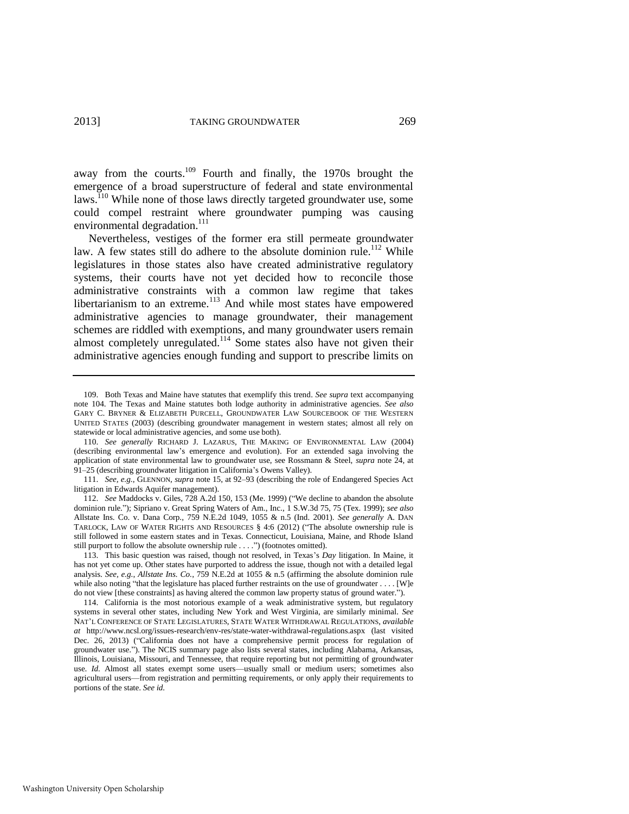<span id="page-17-1"></span>away from the courts.<sup>109</sup> Fourth and finally, the 1970s brought the emergence of a broad superstructure of federal and state environmental laws.<sup>110</sup> While none of those laws directly targeted groundwater use, some could compel restraint where groundwater pumping was causing environmental degradation. $^{111}$ 

<span id="page-17-0"></span>Nevertheless, vestiges of the former era still permeate groundwater law. A few states still do adhere to the absolute dominion rule.<sup>112</sup> While legislatures in those states also have created administrative regulatory systems, their courts have not yet decided how to reconcile those administrative constraints with a common law regime that takes libertarianism to an extreme.<sup>113</sup> And while most states have empowered administrative agencies to manage groundwater, their management schemes are riddled with exemptions, and many groundwater users remain almost completely unregulated.<sup>114</sup> Some states also have not given their administrative agencies enough funding and support to prescribe limits on

<sup>109.</sup> Both Texas and Maine have statutes that exemplify this trend. *See supra* text accompanying note [104.](#page-16-1) The Texas and Maine statutes both lodge authority in administrative agencies. *See also*  GARY C. BRYNER & ELIZABETH PURCELL, GROUNDWATER LAW SOURCEBOOK OF THE WESTERN UNITED STATES (2003) (describing groundwater management in western states; almost all rely on statewide or local administrative agencies, and some use both).

<sup>110.</sup> *See generally* RICHARD J. LAZARUS, THE MAKING OF ENVIRONMENTAL LAW (2004) (describing environmental law's emergence and evolution). For an extended saga involving the application of state environmental law to groundwater use, see Rossmann & Steel, *supra* note [24,](#page-5-1) at 91–25 (describing groundwater litigation in California's Owens Valley).

<sup>111.</sup> *See, e.g.*, GLENNON, *supra* note [15,](#page-4-2) at 92–93 (describing the role of Endangered Species Act litigation in Edwards Aquifer management).

<sup>112.</sup> *See* Maddocks v. Giles, 728 A.2d 150, 153 (Me. 1999) ("We decline to abandon the absolute dominion rule."); Sipriano v. Great Spring Waters of Am., Inc., 1 S.W.3d 75, 75 (Tex. 1999); *see also* Allstate Ins. Co. v. Dana Corp., 759 N.E.2d 1049, 1055 & n.5 (Ind. 2001). *See generally* A. DAN TARLOCK, LAW OF WATER RIGHTS AND RESOURCES § 4:6 (2012) ("The absolute ownership rule is still followed in some eastern states and in Texas. Connecticut, Louisiana, Maine, and Rhode Island still purport to follow the absolute ownership rule . . . .") (footnotes omitted).

<sup>113.</sup> This basic question was raised, though not resolved, in Texas's *Day* litigation. In Maine, it has not yet come up. Other states have purported to address the issue, though not with a detailed legal analysis. *See, e.g.*, *Allstate Ins. Co.*, 759 N.E.2d at 1055 & n.5 (affirming the absolute dominion rule while also noting "that the legislature has placed further restraints on the use of groundwater . . . . [W]e do not view [these constraints] as having altered the common law property status of ground water.").

<sup>114.</sup> California is the most notorious example of a weak administrative system, but regulatory systems in several other states, including New York and West Virginia, are similarly minimal. *See*  NAT'L CONFERENCE OF STATE LEGISLATURES, STATE WATER WITHDRAWAL REGULATIONS, *available at* http://www.ncsl.org/issues-research/env-res/state-water-withdrawal-regulations.aspx (last visited Dec. 26, 2013) ("California does not have a comprehensive permit process for regulation of groundwater use."). The NCIS summary page also lists several states, including Alabama, Arkansas, Illinois, Louisiana, Missouri, and Tennessee, that require reporting but not permitting of groundwater use. *Id.* Almost all states exempt some users—usually small or medium users; sometimes also agricultural users—from registration and permitting requirements, or only apply their requirements to portions of the state. *See id.*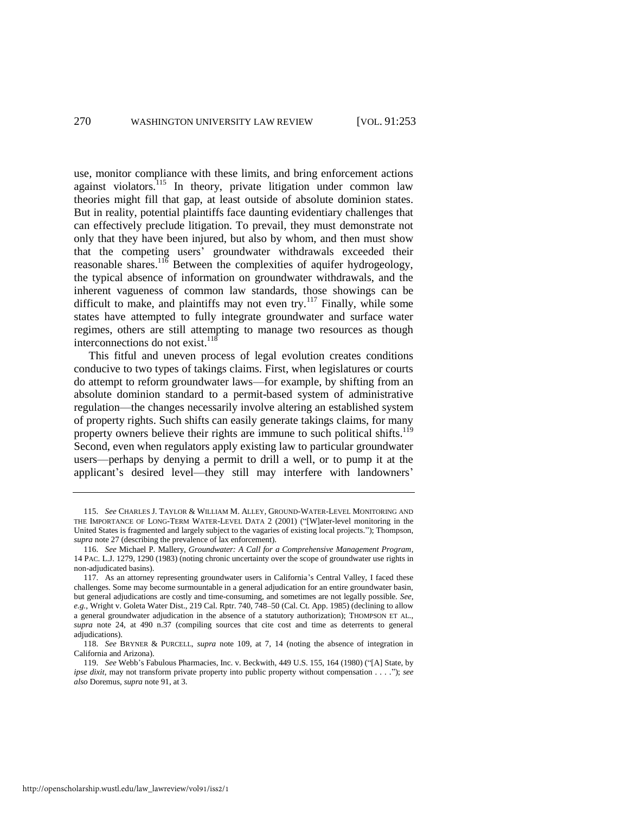use, monitor compliance with these limits, and bring enforcement actions against violators.<sup>115</sup> In theory, private litigation under common law theories might fill that gap, at least outside of absolute dominion states. But in reality, potential plaintiffs face daunting evidentiary challenges that can effectively preclude litigation. To prevail, they must demonstrate not only that they have been injured, but also by whom, and then must show that the competing users' groundwater withdrawals exceeded their reasonable shares.<sup>116</sup> Between the complexities of aquifer hydrogeology, the typical absence of information on groundwater withdrawals, and the inherent vagueness of common law standards, those showings can be difficult to make, and plaintiffs may not even try.<sup>117</sup> Finally, while some states have attempted to fully integrate groundwater and surface water regimes, others are still attempting to manage two resources as though interconnections do not exist. $118$ 

This fitful and uneven process of legal evolution creates conditions conducive to two types of takings claims. First, when legislatures or courts do attempt to reform groundwater laws—for example, by shifting from an absolute dominion standard to a permit-based system of administrative regulation—the changes necessarily involve altering an established system of property rights. Such shifts can easily generate takings claims, for many property owners believe their rights are immune to such political shifts.<sup>119</sup> Second, even when regulators apply existing law to particular groundwater users—perhaps by denying a permit to drill a well, or to pump it at the applicant's desired level—they still may interfere with landowners'

<sup>115.</sup> *See* CHARLES J. TAYLOR & WILLIAM M. ALLEY, GROUND-WATER-LEVEL MONITORING AND THE IMPORTANCE OF LONG-TERM WATER-LEVEL DATA 2 (2001) ("[W]ater-level monitoring in the United States is fragmented and largely subject to the vagaries of existing local projects."); Thompson, *supra* not[e 27](#page-5-2) (describing the prevalence of lax enforcement).

<sup>116.</sup> *See* Michael P. Mallery, *Groundwater: A Call for a Comprehensive Management Program*, 14 PAC. L.J. 1279, 1290 (1983) (noting chronic uncertainty over the scope of groundwater use rights in non-adjudicated basins).

<sup>117.</sup> As an attorney representing groundwater users in California's Central Valley, I faced these challenges. Some may become surmountable in a general adjudication for an entire groundwater basin, but general adjudications are costly and time-consuming, and sometimes are not legally possible. *See, e.g.*, Wright v. Goleta Water Dist., 219 Cal. Rptr. 740, 748–50 (Cal. Ct. App. 1985) (declining to allow a general groundwater adjudication in the absence of a statutory authorization); THOMPSON ET AL., *supra* note [24,](#page-5-1) at 490 n.37 (compiling sources that cite cost and time as deterrents to general adjudications).

<sup>118.</sup> *See* BRYNER & PURCELL, *supra* note [109,](#page-17-1) at 7, 14 (noting the absence of integration in California and Arizona).

<sup>119.</sup> *See* Webb's Fabulous Pharmacies, Inc. v. Beckwith, 449 U.S. 155, 164 (1980) ("[A] State, by *ipse dixit*, may not transform private property into public property without compensation . . . ."); *see also* Doremus, *supra* not[e 91,](#page-14-1) at 3.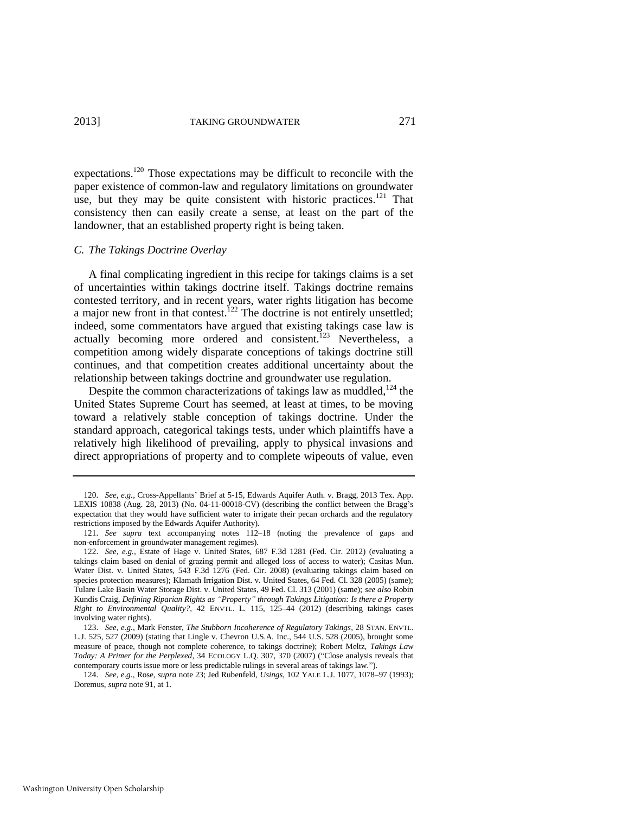expectations.<sup>120</sup> Those expectations may be difficult to reconcile with the paper existence of common-law and regulatory limitations on groundwater use, but they may be quite consistent with historic practices.<sup>121</sup> That consistency then can easily create a sense, at least on the part of the landowner, that an established property right is being taken.

#### *C. The Takings Doctrine Overlay*

<span id="page-19-1"></span>A final complicating ingredient in this recipe for takings claims is a set of uncertainties within takings doctrine itself. Takings doctrine remains contested territory, and in recent years, water rights litigation has become a major new front in that contest.<sup>122</sup> The doctrine is not entirely unsettled; indeed, some commentators have argued that existing takings case law is actually becoming more ordered and consistent.<sup>123</sup> Nevertheless, a competition among widely disparate conceptions of takings doctrine still continues, and that competition creates additional uncertainty about the relationship between takings doctrine and groundwater use regulation.

<span id="page-19-2"></span><span id="page-19-0"></span>Despite the common characterizations of takings law as muddled,  $124$  the United States Supreme Court has seemed, at least at times, to be moving toward a relatively stable conception of takings doctrine. Under the standard approach, categorical takings tests, under which plaintiffs have a relatively high likelihood of prevailing, apply to physical invasions and direct appropriations of property and to complete wipeouts of value, even

<sup>120.</sup> *See, e.g.*, Cross-Appellants' Brief at 5-15, Edwards Aquifer Auth. v. Bragg, 2013 Tex. App. LEXIS 10838 (Aug. 28, 2013) (No. 04-11-00018-CV) (describing the conflict between the Bragg's expectation that they would have sufficient water to irrigate their pecan orchards and the regulatory restrictions imposed by the Edwards Aquifer Authority).

<sup>121.</sup> *See supra* text accompanying notes [112–](#page-17-0)18 (noting the prevalence of gaps and non-enforcement in groundwater management regimes).

<sup>122.</sup> *See, e.g.*, Estate of Hage v. United States, 687 F.3d 1281 (Fed. Cir. 2012) (evaluating a takings claim based on denial of grazing permit and alleged loss of access to water); Casitas Mun. Water Dist. v. United States, 543 F.3d 1276 (Fed. Cir. 2008) (evaluating takings claim based on species protection measures); Klamath Irrigation Dist. v. United States, 64 Fed. Cl. 328 (2005) (same); Tulare Lake Basin Water Storage Dist. v. United States, 49 Fed. Cl. 313 (2001) (same); *see also* Robin Kundis Craig, *Defining Riparian Rights as "Property" through Takings Litigation: Is there a Property Right to Environmental Quality?*, 42 ENVTL. L. 115, 125–44 (2012) (describing takings cases involving water rights).

<sup>123.</sup> *See, e.g.*, Mark Fenster, *The Stubborn Incoherence of Regulatory Takings*, 28 STAN. ENVTL. L.J. 525, 527 (2009) (stating that Lingle v. Chevron U.S.A. Inc., 544 U.S. 528 (2005), brought some measure of peace, though not complete coherence, to takings doctrine); Robert Meltz, *Takings Law Today: A Primer for the Perplexed*, 34 ECOLOGY L.Q. 307, 370 (2007) ("Close analysis reveals that contemporary courts issue more or less predictable rulings in several areas of takings law.").

<sup>124.</sup> *See, e.g.*, Rose, *supra* not[e 23;](#page-5-3) Jed Rubenfeld, *Usings*, 102 YALE L.J. 1077, 1078–97 (1993); Doremus, *supra* not[e 91,](#page-14-1) at 1.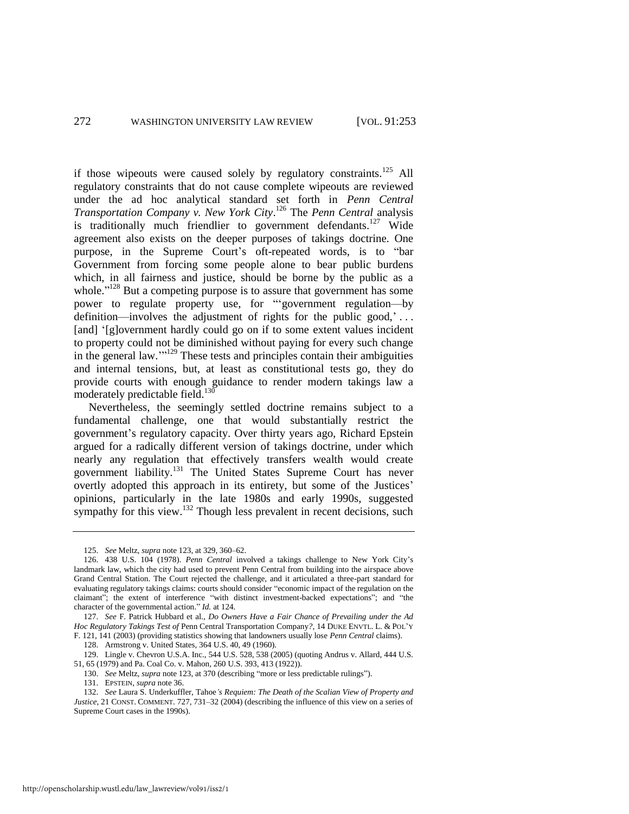if those wipeouts were caused solely by regulatory constraints.<sup>125</sup> All regulatory constraints that do not cause complete wipeouts are reviewed under the ad hoc analytical standard set forth in *Penn Central Transportation Company v. New York City*. <sup>126</sup> The *Penn Central* analysis is traditionally much friendlier to government defendants.<sup>127</sup> Wide agreement also exists on the deeper purposes of takings doctrine. One purpose, in the Supreme Court's oft-repeated words, is to "bar Government from forcing some people alone to bear public burdens which, in all fairness and justice, should be borne by the public as a whole."<sup>128</sup> But a competing purpose is to assure that government has some power to regulate property use, for "'government regulation—by definition—involves the adjustment of rights for the public good,'... [and] '[g]overnment hardly could go on if to some extent values incident to property could not be diminished without paying for every such change in the general law.'"<sup>129</sup> These tests and principles contain their ambiguities and internal tensions, but, at least as constitutional tests go, they do provide courts with enough guidance to render modern takings law a moderately predictable field.<sup>130</sup>

<span id="page-20-1"></span>Nevertheless, the seemingly settled doctrine remains subject to a fundamental challenge, one that would substantially restrict the government's regulatory capacity. Over thirty years ago, Richard Epstein argued for a radically different version of takings doctrine, under which nearly any regulation that effectively transfers wealth would create government liability.<sup>131</sup> The United States Supreme Court has never overtly adopted this approach in its entirety, but some of the Justices' opinions, particularly in the late 1980s and early 1990s, suggested sympathy for this view. $132$  Though less prevalent in recent decisions, such

<span id="page-20-0"></span><sup>125.</sup> *See* Meltz, *supra* not[e 123,](#page-19-0) at 329, 360–62.

<sup>126. 438</sup> U.S. 104 (1978). *Penn Central* involved a takings challenge to New York City's landmark law, which the city had used to prevent Penn Central from building into the airspace above Grand Central Station. The Court rejected the challenge, and it articulated a three-part standard for evaluating regulatory takings claims: courts should consider "economic impact of the regulation on the claimant"; the extent of interference "with distinct investment-backed expectations"; and "the character of the governmental action." *Id.* at 124.

<sup>127.</sup> *See* F. Patrick Hubbard et al., *Do Owners Have a Fair Chance of Prevailing under the Ad Hoc Regulatory Takings Test of* Penn Central Transportation Company*?*, 14 DUKE ENVTL. L. & POL'Y F. 121, 141 (2003) (providing statistics showing that landowners usually lose *Penn Central* claims).

<sup>128.</sup> Armstrong v. United States*,* 364 U.S. 40, 49 (1960).

<sup>129.</sup> Lingle v. Chevron U.S.A. Inc., 544 U.S. 528, 538 (2005) (quoting Andrus v. Allard, 444 U.S. 51, 65 (1979) and Pa. Coal Co. v. Mahon, 260 U.S. 393, 413 (1922)).

<sup>130.</sup> *See* Meltz, *supra* not[e 123,](#page-19-0) at 370 (describing "more or less predictable rulings").

<sup>131.</sup> EPSTEIN, *supra* not[e 36.](#page-7-1)

<sup>132.</sup> *See* Laura S. Underkuffler, Tahoe*'s Requiem: The Death of the Scalian View of Property and Justice*, 21 CONST. COMMENT. 727, 731–32 (2004) (describing the influence of this view on a series of Supreme Court cases in the 1990s).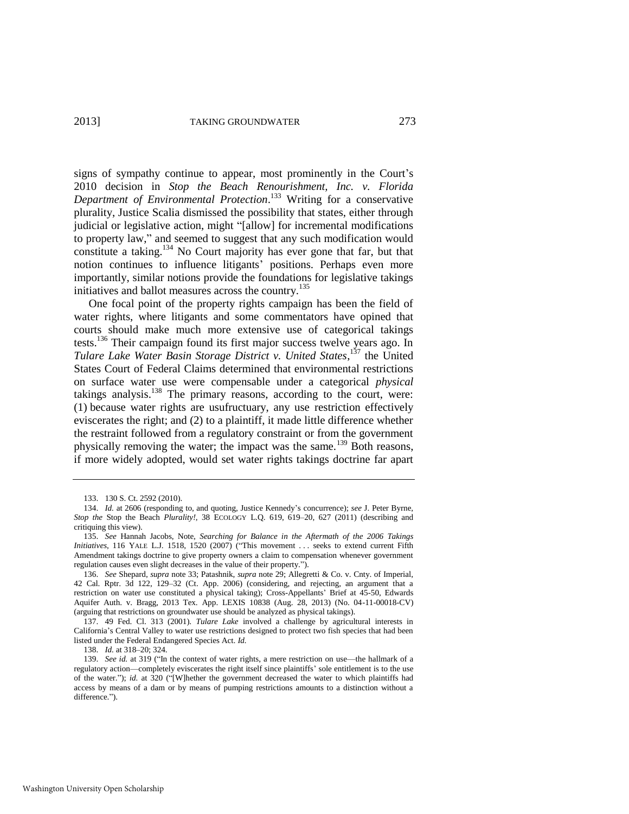<span id="page-21-2"></span>signs of sympathy continue to appear, most prominently in the Court's 2010 decision in *Stop the Beach Renourishment, Inc. v. Florida Department of Environmental Protection*. <sup>133</sup> Writing for a conservative plurality, Justice Scalia dismissed the possibility that states, either through judicial or legislative action, might "[allow] for incremental modifications to property law," and seemed to suggest that any such modification would constitute a taking.<sup>134</sup> No Court majority has ever gone that far, but that notion continues to influence litigants' positions. Perhaps even more importantly, similar notions provide the foundations for legislative takings initiatives and ballot measures across the country.<sup>135</sup>

<span id="page-21-1"></span><span id="page-21-0"></span>One focal point of the property rights campaign has been the field of water rights, where litigants and some commentators have opined that courts should make much more extensive use of categorical takings tests.<sup>136</sup> Their campaign found its first major success twelve years ago. In *Tulare Lake Water Basin Storage District v. United States*, <sup>137</sup> the United States Court of Federal Claims determined that environmental restrictions on surface water use were compensable under a categorical *physical* takings analysis.<sup>138</sup> The primary reasons, according to the court, were: (1) because water rights are usufructuary, any use restriction effectively eviscerates the right; and (2) to a plaintiff, it made little difference whether the restraint followed from a regulatory constraint or from the government physically removing the water; the impact was the same.<sup>139</sup> Both reasons, if more widely adopted, would set water rights takings doctrine far apart

137. 49 Fed. Cl. 313 (2001). *Tulare Lake* involved a challenge by agricultural interests in California's Central Valley to water use restrictions designed to protect two fish species that had been listed under the Federal Endangered Species Act. *Id.* 

138. *Id.* at 318–20; 324.

<sup>133. 130</sup> S. Ct. 2592 (2010).

<sup>134.</sup> *Id.* at 2606 (responding to, and quoting, Justice Kennedy's concurrence); *see* J. Peter Byrne, *Stop the* Stop the Beach *Plurality!*, 38 ECOLOGY L.Q. 619, 619–20, 627 (2011) (describing and critiquing this view).

<sup>135.</sup> *See* Hannah Jacobs, Note, *Searching for Balance in the Aftermath of the 2006 Takings Initiatives*, 116 YALE L.J. 1518, 1520 (2007) ("This movement . . . seeks to extend current Fifth Amendment takings doctrine to give property owners a claim to compensation whenever government regulation causes even slight decreases in the value of their property.").

<sup>136.</sup> *See* Shepard, *supra* note [33;](#page-7-0) Patashnik, *supra* note [29;](#page-6-0) Allegretti & Co. v. Cnty. of Imperial, 42 Cal. Rptr. 3d 122, 129–32 (Ct. App. 2006) (considering, and rejecting, an argument that a restriction on water use constituted a physical taking); Cross-Appellants' Brief at 45-50, Edwards Aquifer Auth. v. Bragg, 2013 Tex. App. LEXIS 10838 (Aug. 28, 2013) (No. 04-11-00018-CV) (arguing that restrictions on groundwater use should be analyzed as physical takings).

<sup>139.</sup> *See id.* at 319 ("In the context of water rights, a mere restriction on use—the hallmark of a regulatory action—completely eviscerates the right itself since plaintiffs' sole entitlement is to the use of the water."); *id.* at 320 ("[W]hether the government decreased the water to which plaintiffs had access by means of a dam or by means of pumping restrictions amounts to a distinction without a difference.").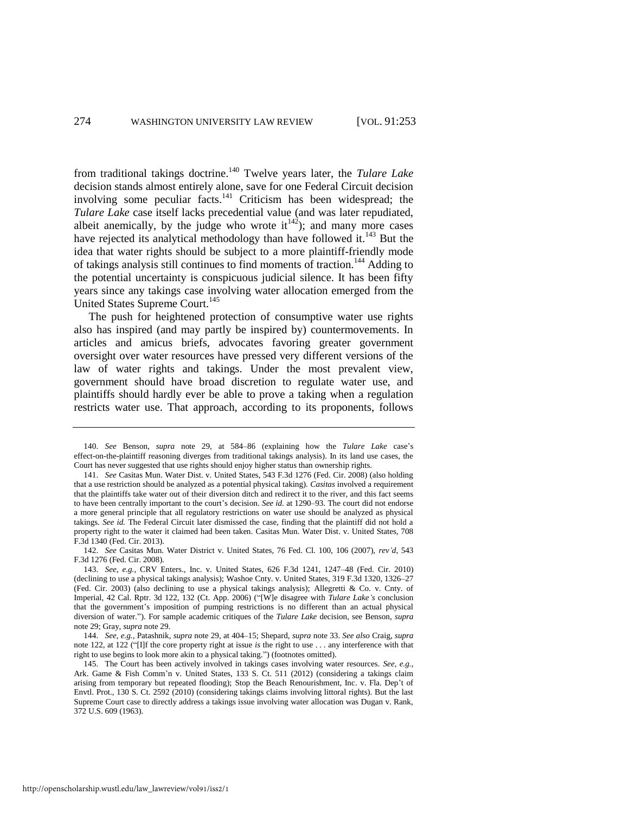from traditional takings doctrine.<sup>140</sup> Twelve years later, the *Tulare Lake* decision stands almost entirely alone, save for one Federal Circuit decision involving some peculiar facts. $141$  Criticism has been widespread; the *Tulare Lake* case itself lacks precedential value (and was later repudiated, albeit anemically, by the judge who wrote  $it^{142}$ ); and many more cases have rejected its analytical methodology than have followed it. $^{143}$  But the idea that water rights should be subject to a more plaintiff-friendly mode of takings analysis still continues to find moments of traction.<sup>144</sup> Adding to the potential uncertainty is conspicuous judicial silence. It has been fifty years since any takings case involving water allocation emerged from the United States Supreme Court.<sup>145</sup>

The push for heightened protection of consumptive water use rights also has inspired (and may partly be inspired by) countermovements. In articles and amicus briefs, advocates favoring greater government oversight over water resources have pressed very different versions of the law of water rights and takings. Under the most prevalent view, government should have broad discretion to regulate water use, and plaintiffs should hardly ever be able to prove a taking when a regulation restricts water use. That approach, according to its proponents, follows

<sup>140.</sup> *See* Benson, *supra* note [29,](#page-6-0) at 584–86 (explaining how the *Tulare Lake* case's effect-on-the-plaintiff reasoning diverges from traditional takings analysis). In its land use cases, the Court has never suggested that use rights should enjoy higher status than ownership rights.

<sup>141.</sup> *See* Casitas Mun. Water Dist. v. United States, 543 F.3d 1276 (Fed. Cir. 2008) (also holding that a use restriction should be analyzed as a potential physical taking). *Casitas* involved a requirement that the plaintiffs take water out of their diversion ditch and redirect it to the river, and this fact seems to have been centrally important to the court's decision. *See id.* at 1290–93. The court did not endorse a more general principle that all regulatory restrictions on water use should be analyzed as physical takings. *See id.* The Federal Circuit later dismissed the case, finding that the plaintiff did not hold a property right to the water it claimed had been taken. Casitas Mun. Water Dist. v. United States, 708 F.3d 1340 (Fed. Cir. 2013).

<sup>142.</sup> *See* Casitas Mun. Water District v. United States, 76 Fed. Cl. 100, 106 (2007), *rev'd*, 543 F.3d 1276 (Fed. Cir. 2008).

<sup>143.</sup> *See, e.g.*, CRV Enters., Inc. v. United States, 626 F.3d 1241, 1247–48 (Fed. Cir. 2010) (declining to use a physical takings analysis); Washoe Cnty. v. United States*,* 319 F.3d 1320, 1326–27 (Fed. Cir. 2003) (also declining to use a physical takings analysis); Allegretti & Co. v. Cnty. of Imperial, 42 Cal. Rptr. 3d 122, 132 (Ct. App. 2006) ("[W]e disagree with *Tulare Lake's* conclusion that the government's imposition of pumping restrictions is no different than an actual physical diversion of water."). For sample academic critiques of the *Tulare Lake* decision, see Benson, *supra*  note [29;](#page-6-0) Gray, *supra* not[e 29.](#page-6-0) 

<sup>144.</sup> *See, e.g.*, Patashnik, *supra* not[e 29,](#page-6-0) at 404–15; Shepard, *supra* note [33.](#page-7-0) *See also* Craig, *supra*  note [122,](#page-19-1) at 122 ("[I]f the core property right at issue *is* the right to use . . . any interference with that right to use begins to look more akin to a physical taking.") (footnotes omitted).

<sup>145.</sup> The Court has been actively involved in takings cases involving water resources. *See, e.g.*, Ark. Game & Fish Comm'n v. United States, 133 S. Ct. 511 (2012) (considering a takings claim arising from temporary but repeated flooding); Stop the Beach Renourishment, Inc. v. Fla. Dep't of Envtl. Prot., 130 S. Ct. 2592 (2010) (considering takings claims involving littoral rights). But the last Supreme Court case to directly address a takings issue involving water allocation was Dugan v. Rank, 372 U.S. 609 (1963).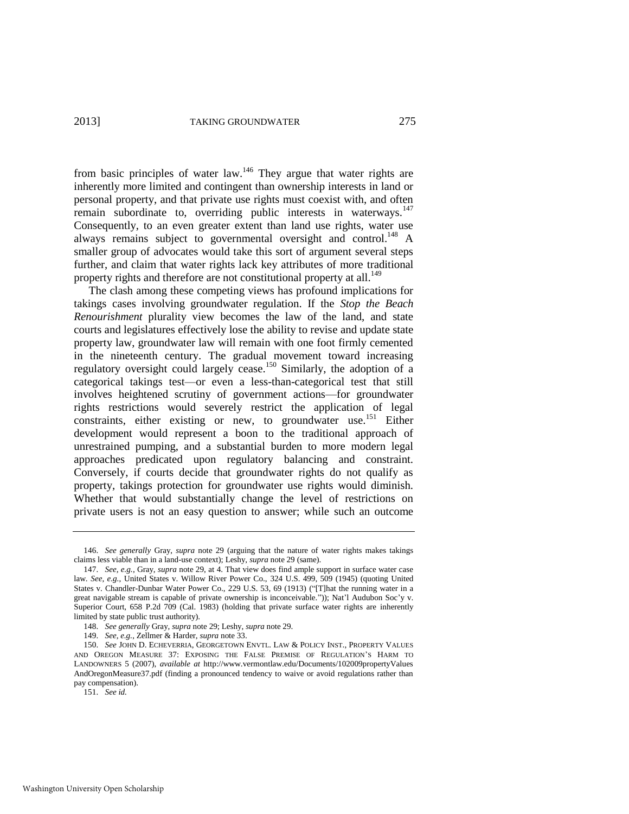<span id="page-23-1"></span>from basic principles of water law.<sup>146</sup> They argue that water rights are inherently more limited and contingent than ownership interests in land or personal property, and that private use rights must coexist with, and often remain subordinate to, overriding public interests in waterways.<sup>147</sup> Consequently, to an even greater extent than land use rights, water use always remains subject to governmental oversight and control.<sup>148</sup> A smaller group of advocates would take this sort of argument several steps further, and claim that water rights lack key attributes of more traditional property rights and therefore are not constitutional property at all.<sup>149</sup>

<span id="page-23-0"></span>The clash among these competing views has profound implications for takings cases involving groundwater regulation. If the *Stop the Beach Renourishment* plurality view becomes the law of the land, and state courts and legislatures effectively lose the ability to revise and update state property law, groundwater law will remain with one foot firmly cemented in the nineteenth century. The gradual movement toward increasing regulatory oversight could largely cease.<sup>150</sup> Similarly, the adoption of a categorical takings test—or even a less-than-categorical test that still involves heightened scrutiny of government actions—for groundwater rights restrictions would severely restrict the application of legal constraints, either existing or new, to groundwater use.<sup>151</sup> Either development would represent a boon to the traditional approach of unrestrained pumping, and a substantial burden to more modern legal approaches predicated upon regulatory balancing and constraint. Conversely, if courts decide that groundwater rights do not qualify as property, takings protection for groundwater use rights would diminish. Whether that would substantially change the level of restrictions on private users is not an easy question to answer; while such an outcome

151. *See id.* 

<sup>146.</sup> *See generally* Gray, *supra* note [29](#page-6-0) (arguing that the nature of water rights makes takings claims less viable than in a land-use context); Leshy, *supra* not[e 29](#page-6-0) (same).

<sup>147.</sup> *See, e.g.*, Gray, *supra* not[e 29,](#page-6-0) at 4. That view does find ample support in surface water case law. *See, e.g.*, United States v. Willow River Power Co., 324 U.S. 499, 509 (1945) (quoting United States v. Chandler-Dunbar Water Power Co., 229 U.S. 53, 69 (1913) ("[T]hat the running water in a great navigable stream is capable of private ownership is inconceivable.")); Nat'l Audubon Soc'y v. Superior Court, 658 P.2d 709 (Cal. 1983) (holding that private surface water rights are inherently limited by state public trust authority).

<sup>148.</sup> *See generally* Gray, *supra* not[e 29;](#page-6-0) Leshy, *supra* not[e 29.](#page-6-0) 

<sup>149.</sup> *See, e.g.*, Zellmer & Harder, *supra* not[e 33.](#page-7-0) 

<sup>150.</sup> *See* JOHN D. ECHEVERRIA, GEORGETOWN ENVTL. LAW & POLICY INST., PROPERTY VALUES AND OREGON MEASURE 37: EXPOSING THE FALSE PREMISE OF REGULATION'S HARM TO LANDOWNERS 5 (2007), *available at* http://www.vermontlaw.edu/Documents/102009propertyValues AndOregonMeasure37.pdf (finding a pronounced tendency to waive or avoid regulations rather than pay compensation).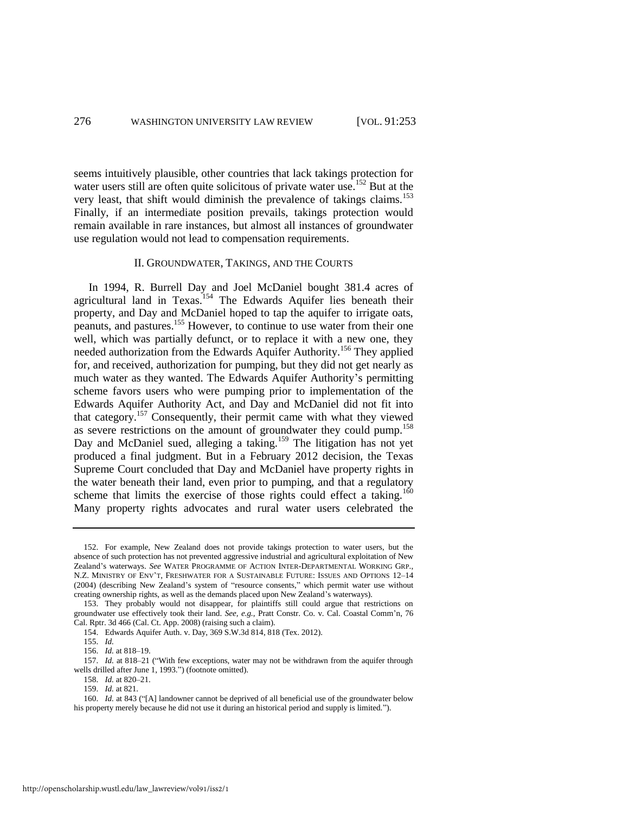seems intuitively plausible, other countries that lack takings protection for water users still are often quite solicitous of private water use.<sup>152</sup> But at the very least, that shift would diminish the prevalence of takings claims.<sup>153</sup> Finally, if an intermediate position prevails, takings protection would remain available in rare instances, but almost all instances of groundwater use regulation would not lead to compensation requirements.

#### II. GROUNDWATER, TAKINGS, AND THE COURTS

In 1994, R. Burrell Day and Joel McDaniel bought 381.4 acres of agricultural land in Texas.<sup>154</sup> The Edwards Aquifer lies beneath their property, and Day and McDaniel hoped to tap the aquifer to irrigate oats, peanuts, and pastures.<sup>155</sup> However, to continue to use water from their one well, which was partially defunct, or to replace it with a new one, they needed authorization from the Edwards Aquifer Authority.<sup>156</sup> They applied for, and received, authorization for pumping, but they did not get nearly as much water as they wanted. The Edwards Aquifer Authority's permitting scheme favors users who were pumping prior to implementation of the Edwards Aquifer Authority Act, and Day and McDaniel did not fit into that category.<sup>157</sup> Consequently, their permit came with what they viewed as severe restrictions on the amount of groundwater they could pump.<sup>158</sup> Day and McDaniel sued, alleging a taking.<sup>159</sup> The litigation has not yet produced a final judgment. But in a February 2012 decision, the Texas Supreme Court concluded that Day and McDaniel have property rights in the water beneath their land, even prior to pumping, and that a regulatory scheme that limits the exercise of those rights could effect a taking.<sup>160</sup> Many property rights advocates and rural water users celebrated the

<sup>152.</sup> For example, New Zealand does not provide takings protection to water users, but the absence of such protection has not prevented aggressive industrial and agricultural exploitation of New Zealand's waterways. *See* WATER PROGRAMME OF ACTION INTER-DEPARTMENTAL WORKING GRP., N.Z. MINISTRY OF ENV'T, FRESHWATER FOR A SUSTAINABLE FUTURE: ISSUES AND OPTIONS 12–14 (2004) (describing New Zealand's system of "resource consents," which permit water use without creating ownership rights, as well as the demands placed upon New Zealand's waterways).

<sup>153.</sup> They probably would not disappear, for plaintiffs still could argue that restrictions on groundwater use effectively took their land. *See, e.g.*, Pratt Constr. Co. v. Cal. Coastal Comm'n, 76 Cal. Rptr. 3d 466 (Cal. Ct. App. 2008) (raising such a claim).

<sup>154.</sup> Edwards Aquifer Auth. v. Day, 369 S.W.3d 814, 818 (Tex. 2012).

<sup>155.</sup> *Id.* 

<sup>156.</sup> *Id.* at 818–19.

<sup>157.</sup> *Id.* at 818–21 ("With few exceptions, water may not be withdrawn from the aquifer through wells drilled after June 1, 1993.") (footnote omitted).

<sup>158.</sup> *Id.* at 820–21.

<sup>159.</sup> *Id.* at 821.

<sup>160.</sup> *Id.* at 843 ("[A] landowner cannot be deprived of all beneficial use of the groundwater below his property merely because he did not use it during an historical period and supply is limited.").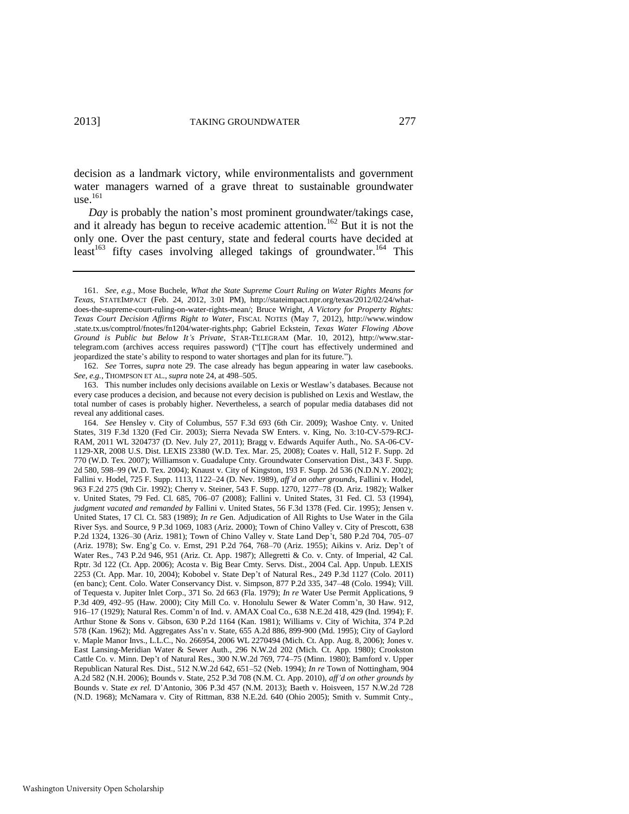decision as a landmark victory, while environmentalists and government water managers warned of a grave threat to sustainable groundwater use. $161$ 

*Day* is probably the nation's most prominent groundwater/takings case, and it already has begun to receive academic attention.<sup>162</sup> But it is not the only one. Over the past century, state and federal courts have decided at least<sup>163</sup> fifty cases involving alleged takings of groundwater.<sup>164</sup> This

162. *See* Torres, *supra* note [29.](#page-6-0) The case already has begun appearing in water law casebooks. *See, e.g.*, THOMPSON ET AL., *supra* not[e 24,](#page-5-1) at 498–505.

163. This number includes only decisions available on Lexis or Westlaw's databases. Because not every case produces a decision, and because not every decision is published on Lexis and Westlaw, the total number of cases is probably higher. Nevertheless, a search of popular media databases did not reveal any additional cases.

164. *See* Hensley v. City of Columbus, 557 F.3d 693 (6th Cir. 2009); Washoe Cnty. v. United States, 319 F.3d 1320 (Fed Cir. 2003); Sierra Nevada SW Enters. v. King, No. 3:10-CV-579-RCJ-RAM, 2011 WL 3204737 (D. Nev. July 27, 2011); Bragg v. Edwards Aquifer Auth., No. SA-06-CV-1129-XR, 2008 U.S. Dist. LEXIS 23380 (W.D. Tex. Mar. 25, 2008); Coates v. Hall, 512 F. Supp. 2d 770 (W.D. Tex. 2007); Williamson v. Guadalupe Cnty. Groundwater Conservation Dist., 343 F. Supp. 2d 580, 598–99 (W.D. Tex. 2004); Knaust v. City of Kingston, 193 F. Supp. 2d 536 (N.D.N.Y. 2002); Fallini v. Hodel, 725 F. Supp. 1113, 1122–24 (D. Nev. 1989), *aff'd on other grounds*, Fallini v. Hodel, 963 F.2d 275 (9th Cir. 1992); Cherry v. Steiner, 543 F. Supp. 1270, 1277–78 (D. Ariz. 1982); Walker v. United States, 79 Fed. Cl. 685, 706–07 (2008); Fallini v. United States, 31 Fed. Cl. 53 (1994), *judgment vacated and remanded by* Fallini v. United States, 56 F.3d 1378 (Fed. Cir. 1995); Jensen v. United States, 17 Cl. Ct. 583 (1989); *In re* Gen. Adjudication of All Rights to Use Water in the Gila River Sys. and Source, 9 P.3d 1069, 1083 (Ariz. 2000); Town of Chino Valley v. City of Prescott, 638 P.2d 1324, 1326–30 (Ariz. 1981); Town of Chino Valley v. State Land Dep't, 580 P.2d 704, 705–07 (Ariz. 1978); Sw. Eng'g Co. v. Ernst, 291 P.2d 764, 768–70 (Ariz. 1955); Aikins v. Ariz. Dep't of Water Res., 743 P.2d 946, 951 (Ariz. Ct. App. 1987); Allegretti & Co. v. Cnty. of Imperial, 42 Cal. Rptr. 3d 122 (Ct. App. 2006); Acosta v. Big Bear Cmty. Servs. Dist., 2004 Cal. App. Unpub. LEXIS 2253 (Ct. App. Mar. 10, 2004); Kobobel v. State Dep't of Natural Res., 249 P.3d 1127 (Colo. 2011) (en banc); Cent. Colo. Water Conservancy Dist. v. Simpson, 877 P.2d 335, 347–48 (Colo. 1994); Vill. of Tequesta v. Jupiter Inlet Corp., 371 So. 2d 663 (Fla. 1979); *In re* Water Use Permit Applications, 9 P.3d 409, 492–95 (Haw. 2000); City Mill Co. v. Honolulu Sewer & Water Comm'n, 30 Haw. 912, 916–17 (1929); Natural Res. Comm'n of Ind. v. AMAX Coal Co., 638 N.E.2d 418, 429 (Ind. 1994); F. Arthur Stone & Sons v. Gibson, 630 P.2d 1164 (Kan. 1981); Williams v. City of Wichita, 374 P.2d 578 (Kan. 1962); Md. Aggregates Ass'n v. State, 655 A.2d 886, 899-900 (Md. 1995); City of Gaylord v. Maple Manor Invs., L.L.C., No. 266954, 2006 WL 2270494 (Mich. Ct. App. Aug. 8, 2006); Jones v. East Lansing-Meridian Water & Sewer Auth., 296 N.W.2d 202 (Mich. Ct. App. 1980); Crookston Cattle Co. v. Minn. Dep't of Natural Res., 300 N.W.2d 769, 774–75 (Minn. 1980); Bamford v. Upper Republican Natural Res. Dist., 512 N.W.2d 642, 651–52 (Neb. 1994); *In re* Town of Nottingham, 904 A.2d 582 (N.H. 2006); Bounds v. State, 252 P.3d 708 (N.M. Ct. App. 2010), *aff'd on other grounds by*  Bounds v. State *ex rel.* D'Antonio, 306 P.3d 457 (N.M. 2013); Baeth v. Hoisveen, 157 N.W.2d 728 (N.D. 1968); McNamara v. City of Rittman, 838 N.E.2d. 640 (Ohio 2005); Smith v. Summit Cnty.,

<sup>161.</sup> *See, e.g.*, Mose Buchele, *What the State Supreme Court Ruling on Water Rights Means for Texas*, STATEIMPACT (Feb. 24, 2012, 3:01 PM), http://stateimpact.npr.org/texas/2012/02/24/whatdoes-the-supreme-court-ruling-on-water-rights-mean/; Bruce Wright, *A Victory for Property Rights: Texas Court Decision Affirms Right to Water*, FISCAL NOTES (May 7, 2012), http://www.window .state.tx.us/comptrol/fnotes/fn1204/water-rights.php; Gabriel Eckstein, *Texas Water Flowing Above Ground is Public but Below It's Private*, STAR-TELEGRAM (Mar. 10, 2012), http://www.startelegram.com (archives access requires password) ("[T]he court has effectively undermined and jeopardized the state's ability to respond to water shortages and plan for its future.").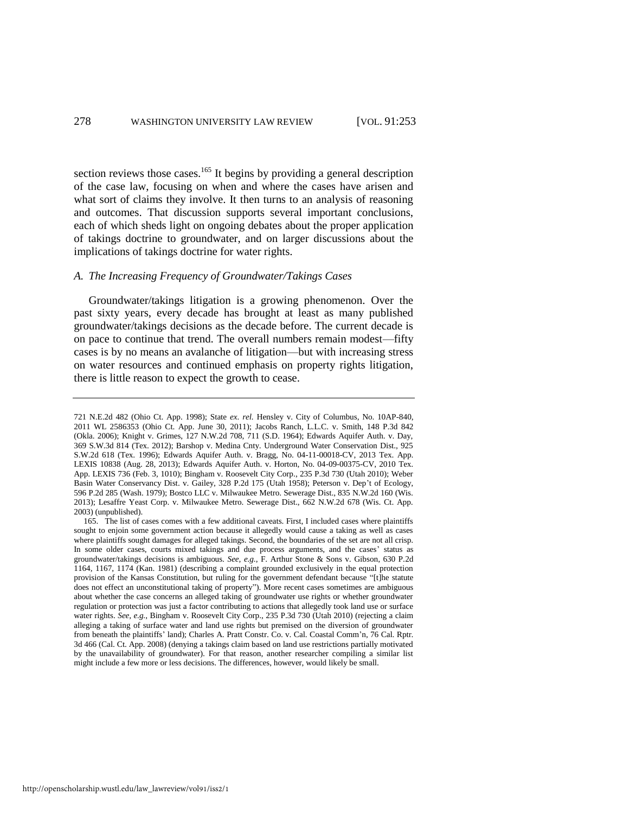section reviews those cases.<sup>165</sup> It begins by providing a general description of the case law, focusing on when and where the cases have arisen and what sort of claims they involve. It then turns to an analysis of reasoning and outcomes. That discussion supports several important conclusions, each of which sheds light on ongoing debates about the proper application of takings doctrine to groundwater, and on larger discussions about the implications of takings doctrine for water rights.

#### *A. The Increasing Frequency of Groundwater/Takings Cases*

Groundwater/takings litigation is a growing phenomenon. Over the past sixty years, every decade has brought at least as many published groundwater/takings decisions as the decade before. The current decade is on pace to continue that trend. The overall numbers remain modest—fifty cases is by no means an avalanche of litigation—but with increasing stress on water resources and continued emphasis on property rights litigation, there is little reason to expect the growth to cease.

<sup>721</sup> N.E.2d 482 (Ohio Ct. App. 1998); State *ex. rel.* Hensley v. City of Columbus, No. 10AP-840, 2011 WL 2586353 (Ohio Ct. App. June 30, 2011); Jacobs Ranch, L.L.C. v. Smith, 148 P.3d 842 (Okla. 2006); Knight v. Grimes, 127 N.W.2d 708, 711 (S.D. 1964); Edwards Aquifer Auth. v. Day, 369 S.W.3d 814 (Tex. 2012); Barshop v. Medina Cnty. Underground Water Conservation Dist., 925 S.W.2d 618 (Tex. 1996); Edwards Aquifer Auth. v. Bragg, No. 04-11-00018-CV, 2013 Tex. App. LEXIS 10838 (Aug. 28, 2013); Edwards Aquifer Auth. v. Horton, No. 04-09-00375-CV, 2010 Tex. App. LEXIS 736 (Feb. 3, 1010); Bingham v. Roosevelt City Corp., 235 P.3d 730 (Utah 2010); Weber Basin Water Conservancy Dist. v. Gailey, 328 P.2d 175 (Utah 1958); Peterson v. Dep't of Ecology, 596 P.2d 285 (Wash. 1979); Bostco LLC v. Milwaukee Metro. Sewerage Dist., 835 N.W.2d 160 (Wis. 2013); Lesaffre Yeast Corp. v. Milwaukee Metro. Sewerage Dist., 662 N.W.2d 678 (Wis. Ct. App. 2003) (unpublished).

<sup>165.</sup> The list of cases comes with a few additional caveats. First, I included cases where plaintiffs sought to enjoin some government action because it allegedly would cause a taking as well as cases where plaintiffs sought damages for alleged takings. Second, the boundaries of the set are not all crisp. In some older cases, courts mixed takings and due process arguments, and the cases' status as groundwater/takings decisions is ambiguous. *See, e.g.*, F. Arthur Stone & Sons v. Gibson, 630 P.2d 1164, 1167, 1174 (Kan. 1981) (describing a complaint grounded exclusively in the equal protection provision of the Kansas Constitution, but ruling for the government defendant because "[t]he statute does not effect an unconstitutional taking of property"). More recent cases sometimes are ambiguous about whether the case concerns an alleged taking of groundwater use rights or whether groundwater regulation or protection was just a factor contributing to actions that allegedly took land use or surface water rights. *See, e.g.*, Bingham v. Roosevelt City Corp., 235 P.3d 730 (Utah 2010) (rejecting a claim alleging a taking of surface water and land use rights but premised on the diversion of groundwater from beneath the plaintiffs' land); Charles A. Pratt Constr. Co. v. Cal. Coastal Comm'n, 76 Cal. Rptr. 3d 466 (Cal. Ct. App. 2008) (denying a takings claim based on land use restrictions partially motivated by the unavailability of groundwater). For that reason, another researcher compiling a similar list might include a few more or less decisions. The differences, however, would likely be small.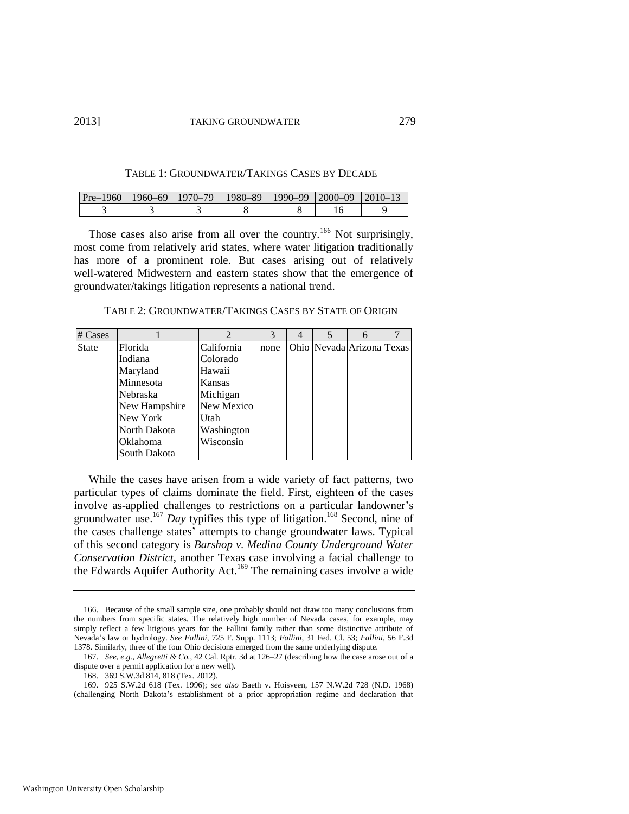| TABLE 1: GROUNDWATER/TAKINGS CASES BY DECADE |  |
|----------------------------------------------|--|
|----------------------------------------------|--|

| Pre-1960 11960-69 11970-79 11980-89 11990-99 2000-09 2010-13 |  |  |  |
|--------------------------------------------------------------|--|--|--|
|                                                              |  |  |  |

Those cases also arise from all over the country.<sup>166</sup> Not surprisingly, most come from relatively arid states, where water litigation traditionally has more of a prominent role. But cases arising out of relatively well-watered Midwestern and eastern states show that the emergence of groundwater/takings litigation represents a national trend.

TABLE 2: GROUNDWATER/TAKINGS CASES BY STATE OF ORIGIN

| $# \, \text{Cases}$ |                 | $\mathfrak{D}$ | 3    | 4 | 6                         |  |
|---------------------|-----------------|----------------|------|---|---------------------------|--|
| <b>State</b>        | Florida         | California     | none |   | Ohio Nevada Arizona Texas |  |
|                     | Indiana         | Colorado       |      |   |                           |  |
|                     | Maryland        | Hawaii         |      |   |                           |  |
|                     | Minnesota       | Kansas         |      |   |                           |  |
|                     | Nebraska        | Michigan       |      |   |                           |  |
|                     | New Hampshire   | New Mexico     |      |   |                           |  |
|                     | New York        | Utah           |      |   |                           |  |
|                     | North Dakota    | Washington     |      |   |                           |  |
|                     | <b>Oklahoma</b> | Wisconsin      |      |   |                           |  |
|                     | South Dakota    |                |      |   |                           |  |

While the cases have arisen from a wide variety of fact patterns, two particular types of claims dominate the field. First, eighteen of the cases involve as-applied challenges to restrictions on a particular landowner's groundwater use.<sup>167</sup> *Day* typifies this type of litigation.<sup>168</sup> Second, nine of the cases challenge states' attempts to change groundwater laws. Typical of this second category is *Barshop v. Medina County Underground Water Conservation District*, another Texas case involving a facial challenge to the Edwards Aquifer Authority Act.<sup>169</sup> The remaining cases involve a wide

<sup>166.</sup> Because of the small sample size, one probably should not draw too many conclusions from the numbers from specific states. The relatively high number of Nevada cases, for example, may simply reflect a few litigious years for the Fallini family rather than some distinctive attribute of Nevada's law or hydrology. *See Fallini*, 725 F. Supp. 1113; *Fallini*, 31 Fed. Cl. 53; *Fallini*, 56 F.3d 1378. Similarly, three of the four Ohio decisions emerged from the same underlying dispute.

<sup>167.</sup> *See, e.g.*, *Allegretti & Co.*, 42 Cal. Rptr. 3d at 126–27 (describing how the case arose out of a dispute over a permit application for a new well).

<sup>168. 369</sup> S.W.3d 814, 818 (Tex. 2012).

<sup>169. 925</sup> S.W.2d 618 (Tex. 1996); *see also* Baeth v. Hoisveen, 157 N.W.2d 728 (N.D. 1968) (challenging North Dakota's establishment of a prior appropriation regime and declaration that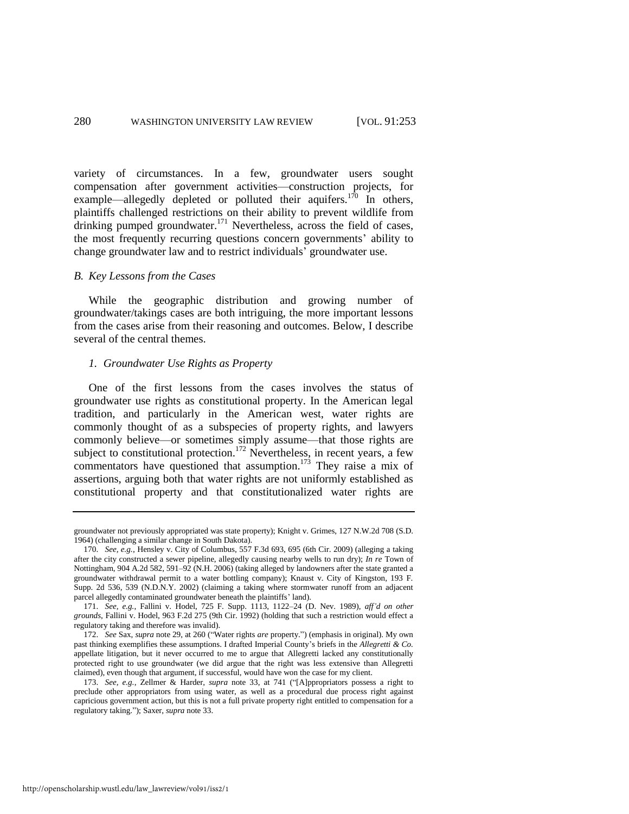variety of circumstances. In a few, groundwater users sought compensation after government activities—construction projects, for example—allegedly depleted or polluted their aquifers.<sup>170</sup> In others, plaintiffs challenged restrictions on their ability to prevent wildlife from drinking pumped groundwater.<sup>171</sup> Nevertheless, across the field of cases, the most frequently recurring questions concern governments' ability to change groundwater law and to restrict individuals' groundwater use.

#### *B. Key Lessons from the Cases*

While the geographic distribution and growing number of groundwater/takings cases are both intriguing, the more important lessons from the cases arise from their reasoning and outcomes. Below, I describe several of the central themes.

#### *1. Groundwater Use Rights as Property*

One of the first lessons from the cases involves the status of groundwater use rights as constitutional property. In the American legal tradition, and particularly in the American west, water rights are commonly thought of as a subspecies of property rights, and lawyers commonly believe—or sometimes simply assume—that those rights are subject to constitutional protection.<sup>172</sup> Nevertheless, in recent years, a few commentators have questioned that assumption.<sup>173</sup> They raise a mix of assertions, arguing both that water rights are not uniformly established as constitutional property and that constitutionalized water rights are

groundwater not previously appropriated was state property); Knight v. Grimes, 127 N.W.2d 708 (S.D. 1964) (challenging a similar change in South Dakota).

<sup>170.</sup> *See, e.g.*, Hensley v. City of Columbus, 557 F.3d 693, 695 (6th Cir. 2009) (alleging a taking after the city constructed a sewer pipeline, allegedly causing nearby wells to run dry); *In re* Town of Nottingham, 904 A.2d 582, 591–92 (N.H. 2006) (taking alleged by landowners after the state granted a groundwater withdrawal permit to a water bottling company); Knaust v. City of Kingston, 193 F. Supp. 2d 536, 539 (N.D.N.Y. 2002) (claiming a taking where stormwater runoff from an adjacent parcel allegedly contaminated groundwater beneath the plaintiffs' land).

<sup>171.</sup> *See, e.g.*, Fallini v. Hodel, 725 F. Supp. 1113, 1122–24 (D. Nev. 1989), *aff'd on other grounds*, Fallini v. Hodel, 963 F.2d 275 (9th Cir. 1992) (holding that such a restriction would effect a regulatory taking and therefore was invalid).

<sup>172.</sup> *See* Sax, *supra* note [29,](#page-6-0) at 260 ("Water rights *are* property.") (emphasis in original). My own past thinking exemplifies these assumptions. I drafted Imperial County's briefs in the *Allegretti & Co.*  appellate litigation, but it never occurred to me to argue that Allegretti lacked any constitutionally protected right to use groundwater (we did argue that the right was less extensive than Allegretti claimed), even though that argument, if successful, would have won the case for my client.

<sup>173.</sup> *See, e.g.*, Zellmer & Harder, *supra* note [33,](#page-7-0) at 741 ("[A]ppropriators possess a right to preclude other appropriators from using water, as well as a procedural due process right against capricious government action, but this is not a full private property right entitled to compensation for a regulatory taking."); Saxer, *supra* not[e 33.](#page-7-0)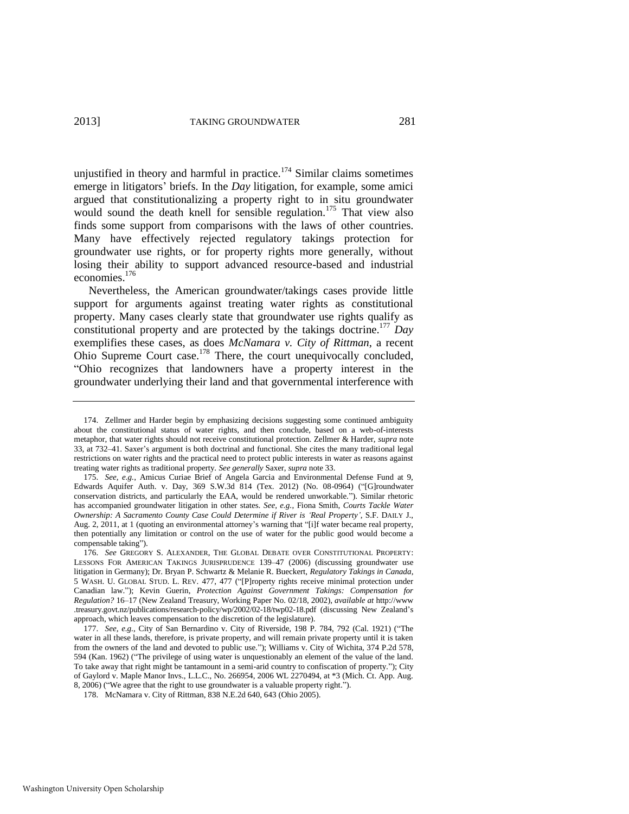unjustified in theory and harmful in practice.<sup> $174$ </sup> Similar claims sometimes emerge in litigators' briefs. In the *Day* litigation, for example, some amici argued that constitutionalizing a property right to in situ groundwater would sound the death knell for sensible regulation.<sup>175</sup> That view also finds some support from comparisons with the laws of other countries. Many have effectively rejected regulatory takings protection for groundwater use rights, or for property rights more generally, without losing their ability to support advanced resource-based and industrial economies.<sup>176</sup>

<span id="page-29-2"></span><span id="page-29-1"></span><span id="page-29-0"></span>Nevertheless, the American groundwater/takings cases provide little support for arguments against treating water rights as constitutional property. Many cases clearly state that groundwater use rights qualify as constitutional property and are protected by the takings doctrine.<sup>177</sup> *Day* exemplifies these cases, as does *McNamara v. City of Rittman*, a recent Ohio Supreme Court case.<sup>178</sup> There, the court unequivocally concluded, "Ohio recognizes that landowners have a property interest in the groundwater underlying their land and that governmental interference with

175. *See, e.g.*, Amicus Curiae Brief of Angela Garcia and Environmental Defense Fund at 9, Edwards Aquifer Auth. v. Day, 369 S.W.3d 814 (Tex. 2012) (No. 08-0964) ("[G]roundwater conservation districts, and particularly the EAA, would be rendered unworkable."). Similar rhetoric has accompanied groundwater litigation in other states. *See, e.g.*, Fiona Smith, *Courts Tackle Water Ownership: A Sacramento County Case Could Determine if River is 'Real Property'*, S.F. DAILY J., Aug. 2, 2011, at 1 (quoting an environmental attorney's warning that "[i]f water became real property, then potentially any limitation or control on the use of water for the public good would become a compensable taking").

<sup>174.</sup> Zellmer and Harder begin by emphasizing decisions suggesting some continued ambiguity about the constitutional status of water rights, and then conclude, based on a web-of-interests metaphor, that water rights should not receive constitutional protection. Zellmer & Harder, *supra* note [33,](#page-7-0) at 732–41. Saxer's argument is both doctrinal and functional. She cites the many traditional legal restrictions on water rights and the practical need to protect public interests in water as reasons against treating water rights as traditional property. *See generally* Saxer, *supra* not[e 33.](#page-7-0) 

<sup>176.</sup> *See* GREGORY S. ALEXANDER, THE GLOBAL DEBATE OVER CONSTITUTIONAL PROPERTY: LESSONS FOR AMERICAN TAKINGS JURISPRUDENCE 139–47 (2006) (discussing groundwater use litigation in Germany); Dr. Bryan P. Schwartz & Melanie R. Bueckert, *Regulatory Takings in Canada*, 5 WASH. U. GLOBAL STUD. L. REV. 477, 477 ("[P]roperty rights receive minimal protection under Canadian law."); Kevin Guerin, *Protection Against Government Takings: Compensation for Regulation?* 16–17 (New Zealand Treasury, Working Paper No. 02/18, 2002), *available at* http://www .treasury.govt.nz/publications/research-policy/wp/2002/02-18/twp02-18.pdf (discussing New Zealand's approach, which leaves compensation to the discretion of the legislature).

<sup>177.</sup> *See, e.g.*, City of San Bernardino v. City of Riverside, 198 P. 784, 792 (Cal. 1921) ("The water in all these lands, therefore, is private property, and will remain private property until it is taken from the owners of the land and devoted to public use."); Williams v. City of Wichita, 374 P.2d 578, 594 (Kan. 1962) ("The privilege of using water is unquestionably an element of the value of the land. To take away that right might be tantamount in a semi-arid country to confiscation of property."); City of Gaylord v. Maple Manor Invs., L.L.C., No. 266954, 2006 WL 2270494, at \*3 (Mich. Ct. App. Aug. 8, 2006) ("We agree that the right to use groundwater is a valuable property right.").

<sup>178.</sup> McNamara v. City of Rittman, 838 N.E.2d 640, 643 (Ohio 2005).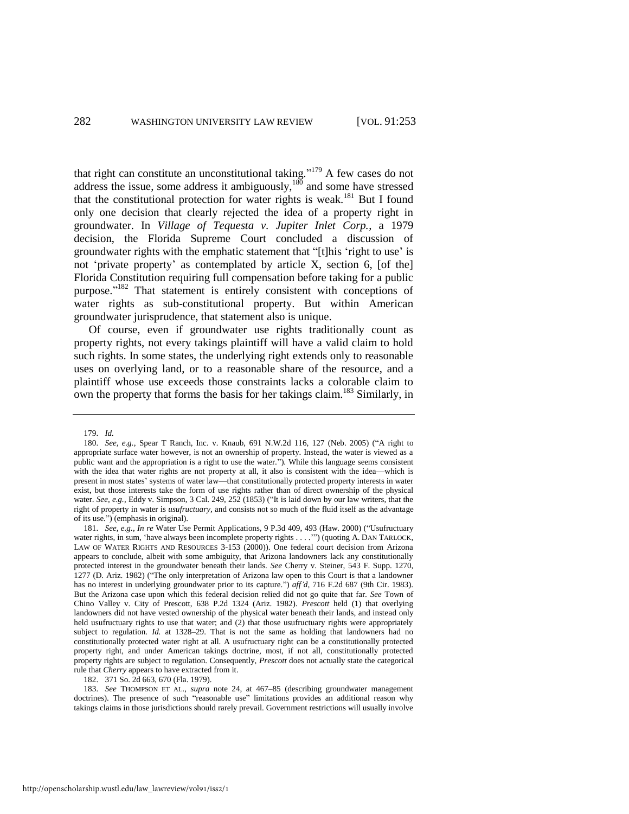that right can constitute an unconstitutional taking."<sup>179</sup> A few cases do not address the issue, some address it ambiguously, $180$  and some have stressed that the constitutional protection for water rights is weak.<sup>181</sup> But I found only one decision that clearly rejected the idea of a property right in groundwater. In *Village of Tequesta v. Jupiter Inlet Corp.*, a 1979 decision, the Florida Supreme Court concluded a discussion of groundwater rights with the emphatic statement that "[t]his 'right to use' is not 'private property' as contemplated by article X, section 6, [of the] Florida Constitution requiring full compensation before taking for a public purpose."<sup>182</sup> That statement is entirely consistent with conceptions of water rights as sub-constitutional property. But within American groundwater jurisprudence, that statement also is unique.

Of course, even if groundwater use rights traditionally count as property rights, not every takings plaintiff will have a valid claim to hold such rights. In some states, the underlying right extends only to reasonable uses on overlying land, or to a reasonable share of the resource, and a plaintiff whose use exceeds those constraints lacks a colorable claim to own the property that forms the basis for her takings claim.<sup>183</sup> Similarly, in

182. 371 So. 2d 663, 670 (Fla. 1979).

183. *See* THOMPSON ET AL., *supra* note [24,](#page-5-1) at 467–85 (describing groundwater management doctrines). The presence of such "reasonable use" limitations provides an additional reason why takings claims in those jurisdictions should rarely prevail. Government restrictions will usually involve

<sup>179.</sup> *Id.* 

<sup>180.</sup> *See, e.g.*, Spear T Ranch, Inc. v. Knaub, 691 N.W.2d 116, 127 (Neb. 2005) ("A right to appropriate surface water however, is not an ownership of property. Instead, the water is viewed as a public want and the appropriation is a right to use the water."). While this language seems consistent with the idea that water rights are not property at all, it also is consistent with the idea—which is present in most states' systems of water law—that constitutionally protected property interests in water exist, but those interests take the form of use rights rather than of direct ownership of the physical water. *See, e.g.*, Eddy v. Simpson, 3 Cal. 249, 252 (1853) ("It is laid down by our law writers, that the right of property in water is *usufructuary,* and consists not so much of the fluid itself as the advantage of its use.") (emphasis in original).

<sup>181.</sup> *See, e.g.*, *In re* Water Use Permit Applications, 9 P.3d 409, 493 (Haw. 2000) ("Usufructuary water rights, in sum, 'have always been incomplete property rights . . . .'") (quoting A. DAN TARLOCK, LAW OF WATER RIGHTS AND RESOURCES 3-153 (2000)). One federal court decision from Arizona appears to conclude, albeit with some ambiguity, that Arizona landowners lack any constitutionally protected interest in the groundwater beneath their lands. *See* Cherry v. Steiner, 543 F. Supp. 1270, 1277 (D. Ariz. 1982) ("The only interpretation of Arizona law open to this Court is that a landowner has no interest in underlying groundwater prior to its capture.") *aff'd*, 716 F.2d 687 (9th Cir. 1983). But the Arizona case upon which this federal decision relied did not go quite that far. *See* Town of Chino Valley v. City of Prescott, 638 P.2d 1324 (Ariz. 1982). *Prescott* held (1) that overlying landowners did not have vested ownership of the physical water beneath their lands, and instead only held usufructuary rights to use that water; and (2) that those usufructuary rights were appropriately subject to regulation. *Id.* at 1328–29. That is not the same as holding that landowners had no constitutionally protected water right at all. A usufructuary right can be a constitutionally protected property right, and under American takings doctrine, most, if not all, constitutionally protected property rights are subject to regulation. Consequently, *Prescott* does not actually state the categorical rule that *Cherry* appears to have extracted from it.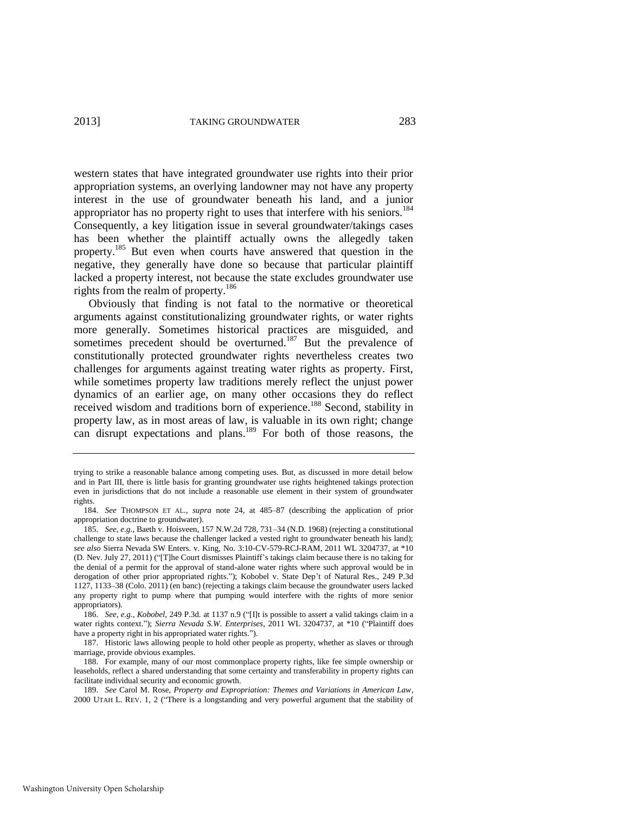western states that have integrated groundwater use rights into their prior appropriation systems, an overlying landowner may not have any property interest in the use of groundwater beneath his land, and a junior appropriator has no property right to uses that interfere with his seniors.<sup>184</sup> Consequently, a key litigation issue in several groundwater/takings cases has been whether the plaintiff actually owns the allegedly taken property.<sup>185</sup> But even when courts have answered that question in the negative, they generally have done so because that particular plaintiff lacked a property interest, not because the state excludes groundwater use rights from the realm of property.<sup>186</sup>

Obviously that finding is not fatal to the normative or theoretical arguments against constitutionalizing groundwater rights, or water rights more generally. Sometimes historical practices are misguided, and sometimes precedent should be overturned.<sup>187</sup> But the prevalence of constitutionally protected groundwater rights nevertheless creates two challenges for arguments against treating water rights as property. First, while sometimes property law traditions merely reflect the unjust power dynamics of an earlier age, on many other occasions they do reflect received wisdom and traditions born of experience.<sup>188</sup> Second, stability in property law, as in most areas of law, is valuable in its own right; change can disrupt expectations and plans.<sup>189</sup> For both of those reasons, the

186. *See, e.g.*, *Kobobel*, 249 P.3d*.* at 1137 n.9 ("[I]t is possible to assert a valid takings claim in a water rights context."); *Sierra Nevada S.W. Enterprises*, 2011 WL 3204737, at \*10 ("Plaintiff does have a property right in his appropriated water rights.").

187. Historic laws allowing people to hold other people as property, whether as slaves or through marriage, provide obvious examples.

188. For example, many of our most commonplace property rights, like fee simple ownership or leaseholds, reflect a shared understanding that some certainty and transferability in property rights can facilitate individual security and economic growth.

189. *See* Carol M. Rose, *Property and Expropriation: Themes and Variations in American Law*, 2000 UTAH L. REV. 1, 2 ("There is a longstanding and very powerful argument that the stability of

<span id="page-31-0"></span>trying to strike a reasonable balance among competing uses. But, as discussed in more detail below and in Part III, there is little basis for granting groundwater use rights heightened takings protection even in jurisdictions that do not include a reasonable use element in their system of groundwater rights.

<sup>184.</sup> *See* THOMPSON ET AL., *supra* note [24,](#page-5-1) at 485–87 (describing the application of prior appropriation doctrine to groundwater).

<sup>185.</sup> *See, e.g.*, Baeth v. Hoisveen, 157 N.W.2d 728, 731–34 (N.D. 1968) (rejecting a constitutional challenge to state laws because the challenger lacked a vested right to groundwater beneath his land); *see also* Sierra Nevada SW Enters. v. King, No. 3:10-CV-579-RCJ-RAM, 2011 WL 3204737, at \*10 (D. Nev. July 27, 2011) ("[T]he Court dismisses Plaintiff's takings claim because there is no taking for the denial of a permit for the approval of stand-alone water rights where such approval would be in derogation of other prior appropriated rights."); Kobobel v. State Dep't of Natural Res., 249 P.3d 1127, 1133–38 (Colo. 2011) (en banc) (rejecting a takings claim because the groundwater users lacked any property right to pump where that pumping would interfere with the rights of more senior appropriators).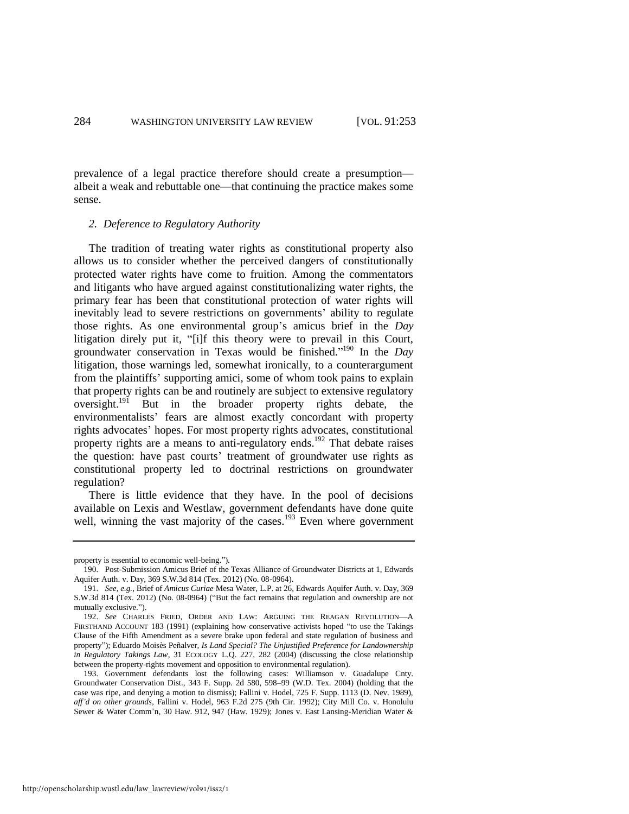prevalence of a legal practice therefore should create a presumption albeit a weak and rebuttable one—that continuing the practice makes some sense.

#### *2. Deference to Regulatory Authority*

The tradition of treating water rights as constitutional property also allows us to consider whether the perceived dangers of constitutionally protected water rights have come to fruition. Among the commentators and litigants who have argued against constitutionalizing water rights, the primary fear has been that constitutional protection of water rights will inevitably lead to severe restrictions on governments' ability to regulate those rights. As one environmental group's amicus brief in the *Day* litigation direly put it, "[i]f this theory were to prevail in this Court, groundwater conservation in Texas would be finished." <sup>190</sup> In the *Day* litigation, those warnings led, somewhat ironically, to a counterargument from the plaintiffs' supporting amici, some of whom took pains to explain that property rights can be and routinely are subject to extensive regulatory oversight.<sup>191</sup> But in the broader property rights debate, the environmentalists' fears are almost exactly concordant with property rights advocates' hopes. For most property rights advocates, constitutional property rights are a means to anti-regulatory ends.<sup>192</sup> That debate raises the question: have past courts' treatment of groundwater use rights as constitutional property led to doctrinal restrictions on groundwater regulation?

<span id="page-32-1"></span><span id="page-32-0"></span>There is little evidence that they have. In the pool of decisions available on Lexis and Westlaw, government defendants have done quite well, winning the vast majority of the cases.<sup>193</sup> Even where government

property is essential to economic well-being.").

<sup>190.</sup> Post-Submission Amicus Brief of the Texas Alliance of Groundwater Districts at 1, Edwards Aquifer Auth. v. Day, 369 S.W.3d 814 (Tex. 2012) (No. 08-0964).

<sup>191.</sup> *See, e.g.*, Brief of *Amicus Curiae* Mesa Water, L.P. at 26, Edwards Aquifer Auth. v. Day, 369 S.W.3d 814 (Tex. 2012) (No. 08-0964) ("But the fact remains that regulation and ownership are not mutually exclusive.").

<sup>192.</sup> *See* CHARLES FRIED, ORDER AND LAW: ARGUING THE REAGAN REVOLUTION—A FIRSTHAND ACCOUNT 183 (1991) (explaining how conservative activists hoped "to use the Takings Clause of the Fifth Amendment as a severe brake upon federal and state regulation of business and property"); Eduardo Moisès Peñalver, *Is Land Special? The Unjustified Preference for Landownership in Regulatory Takings Law*, 31 ECOLOGY L.Q. 227, 282 (2004) (discussing the close relationship between the property-rights movement and opposition to environmental regulation).

<sup>193.</sup> Government defendants lost the following cases: Williamson v. Guadalupe Cnty. Groundwater Conservation Dist., 343 F. Supp. 2d 580, 598–99 (W.D. Tex. 2004) (holding that the case was ripe, and denying a motion to dismiss); Fallini v. Hodel, 725 F. Supp. 1113 (D. Nev. 1989), *aff'd on other grounds*, Fallini v. Hodel, 963 F.2d 275 (9th Cir. 1992); City Mill Co. v. Honolulu Sewer & Water Comm'n, 30 Haw. 912, 947 (Haw. 1929); Jones v. East Lansing-Meridian Water &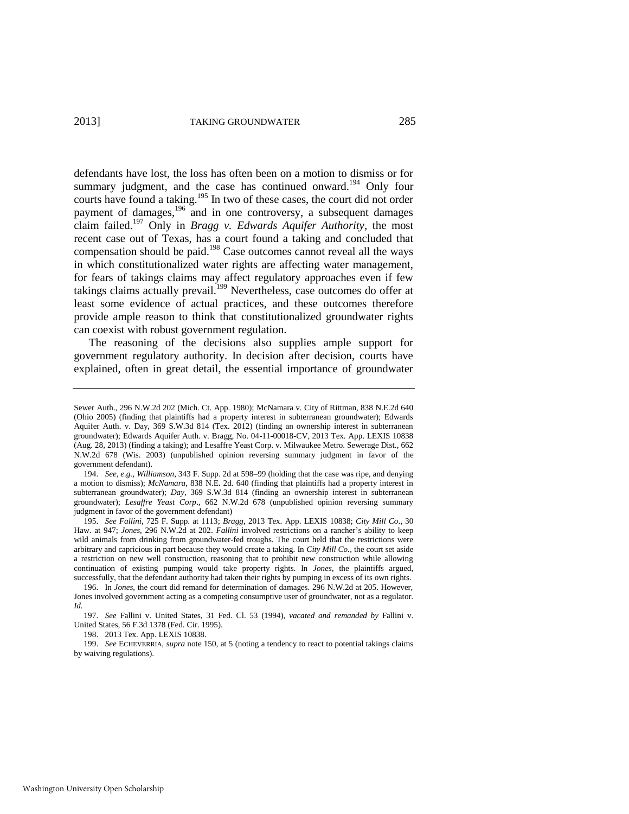defendants have lost, the loss has often been on a motion to dismiss or for summary judgment, and the case has continued onward.<sup>194</sup> Only four courts have found a taking.<sup>195</sup> In two of these cases, the court did not order payment of damages,<sup>196</sup> and in one controversy, a subsequent damages claim failed.<sup>197</sup> Only in *Bragg v. Edwards Aquifer Authority*, the most recent case out of Texas, has a court found a taking and concluded that compensation should be paid.<sup>198</sup> Case outcomes cannot reveal all the ways in which constitutionalized water rights are affecting water management, for fears of takings claims may affect regulatory approaches even if few takings claims actually prevail.<sup>199</sup> Nevertheless, case outcomes do offer at least some evidence of actual practices, and these outcomes therefore provide ample reason to think that constitutionalized groundwater rights can coexist with robust government regulation.

The reasoning of the decisions also supplies ample support for government regulatory authority. In decision after decision, courts have explained, often in great detail, the essential importance of groundwater

194. *See, e.g.*, *Williamson*, 343 F. Supp. 2d at 598–99 (holding that the case was ripe, and denying a motion to dismiss); *McNamara*, 838 N.E. 2d. 640 (finding that plaintiffs had a property interest in subterranean groundwater); *Day*, 369 S.W.3d 814 (finding an ownership interest in subterranean groundwater); *Lesaffre Yeast Corp*., 662 N.W.2d 678 (unpublished opinion reversing summary judgment in favor of the government defendant)

195. *See Fallini*, 725 F. Supp. at 1113; *Bragg*, 2013 Tex. App. LEXIS 10838; *City Mill Co*., 30 Haw. at 947; *Jones*, 296 N.W.2d at 202. *Fallini* involved restrictions on a rancher's ability to keep wild animals from drinking from groundwater-fed troughs. The court held that the restrictions were arbitrary and capricious in part because they would create a taking. In *City Mill Co.*, the court set aside a restriction on new well construction, reasoning that to prohibit new construction while allowing continuation of existing pumping would take property rights. In *Jones*, the plaintiffs argued, successfully, that the defendant authority had taken their rights by pumping in excess of its own rights.

Sewer Auth., 296 N.W.2d 202 (Mich. Ct. App. 1980); McNamara v. City of Rittman, 838 N.E.2d 640 (Ohio 2005) (finding that plaintiffs had a property interest in subterranean groundwater); Edwards Aquifer Auth. v. Day, 369 S.W.3d 814 (Tex. 2012) (finding an ownership interest in subterranean groundwater); Edwards Aquifer Auth. v. Bragg, No. 04-11-00018-CV, 2013 Tex. App. LEXIS 10838 (Aug. 28, 2013) (finding a taking); and Lesaffre Yeast Corp. v. Milwaukee Metro. Sewerage Dist., 662 N.W.2d 678 (Wis. 2003) (unpublished opinion reversing summary judgment in favor of the government defendant).

<sup>196.</sup> In *Jones*, the court did remand for determination of damages. 296 N.W.2d at 205. However, Jones involved government acting as a competing consumptive user of groundwater, not as a regulator. *Id.*

<sup>197.</sup> *See* Fallini v. United States, 31 Fed. Cl. 53 (1994), *vacated and remanded by* Fallini v. United States, 56 F.3d 1378 (Fed. Cir. 1995).

<sup>198. 2013</sup> Tex. App. LEXIS 10838.

<sup>199.</sup> *See* ECHEVERRIA, *supra* not[e 150,](#page-23-0) at 5 (noting a tendency to react to potential takings claims by waiving regulations).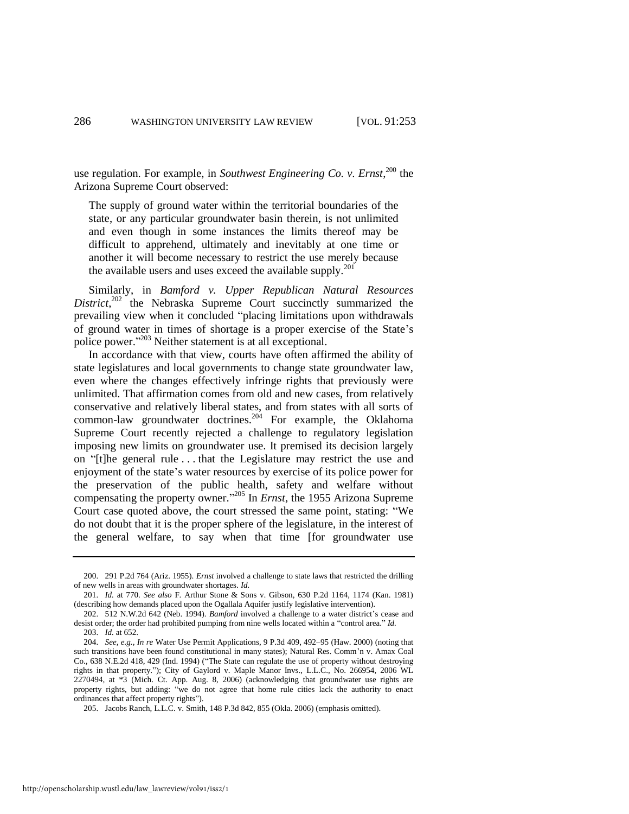use regulation. For example, in *Southwest Engineering Co. v. Ernst*, <sup>200</sup> the Arizona Supreme Court observed:

<span id="page-34-0"></span>The supply of ground water within the territorial boundaries of the state, or any particular groundwater basin therein, is not unlimited and even though in some instances the limits thereof may be difficult to apprehend, ultimately and inevitably at one time or another it will become necessary to restrict the use merely because the available users and uses exceed the available supply. $201$ 

Similarly, in *Bamford v. Upper Republican Natural Resources*  District,<sup>202</sup> the Nebraska Supreme Court succinctly summarized the prevailing view when it concluded "placing limitations upon withdrawals of ground water in times of shortage is a proper exercise of the State's police power." <sup>203</sup> Neither statement is at all exceptional.

In accordance with that view, courts have often affirmed the ability of state legislatures and local governments to change state groundwater law, even where the changes effectively infringe rights that previously were unlimited. That affirmation comes from old and new cases, from relatively conservative and relatively liberal states, and from states with all sorts of common-law groundwater doctrines.<sup>204</sup> For example, the Oklahoma Supreme Court recently rejected a challenge to regulatory legislation imposing new limits on groundwater use. It premised its decision largely on "[t]he general rule . . . that the Legislature may restrict the use and enjoyment of the state's water resources by exercise of its police power for the preservation of the public health, safety and welfare without compensating the property owner." <sup>205</sup> In *Ernst*, the 1955 Arizona Supreme Court case quoted above, the court stressed the same point, stating: "We do not doubt that it is the proper sphere of the legislature, in the interest of the general welfare, to say when that time [for groundwater use

<sup>200. 291</sup> P.2d 764 (Ariz. 1955). *Ernst* involved a challenge to state laws that restricted the drilling of new wells in areas with groundwater shortages. *Id.*

<sup>201.</sup> *Id.* at 770. *See also* F. Arthur Stone & Sons v. Gibson, 630 P.2d 1164, 1174 (Kan. 1981) (describing how demands placed upon the Ogallala Aquifer justify legislative intervention).

<sup>202. 512</sup> N.W.2d 642 (Neb. 1994). *Bamford* involved a challenge to a water district's cease and desist order; the order had prohibited pumping from nine wells located within a "control area." *Id.*

<sup>203.</sup> *Id.* at 652.

<sup>204.</sup> *See, e.g.*, *In re* Water Use Permit Applications, 9 P.3d 409, 492–95 (Haw. 2000) (noting that such transitions have been found constitutional in many states); Natural Res. Comm'n v. Amax Coal Co., 638 N.E.2d 418, 429 (Ind. 1994) ("The State can regulate the use of property without destroying rights in that property."); City of Gaylord v. Maple Manor Invs., L.L.C., No. 266954, 2006 WL 2270494, at \*3 (Mich. Ct. App. Aug. 8, 2006) (acknowledging that groundwater use rights are property rights, but adding: "we do not agree that home rule cities lack the authority to enact ordinances that affect property rights").

<sup>205.</sup> Jacobs Ranch, L.L.C. v. Smith, 148 P.3d 842, 855 (Okla. 2006) (emphasis omitted).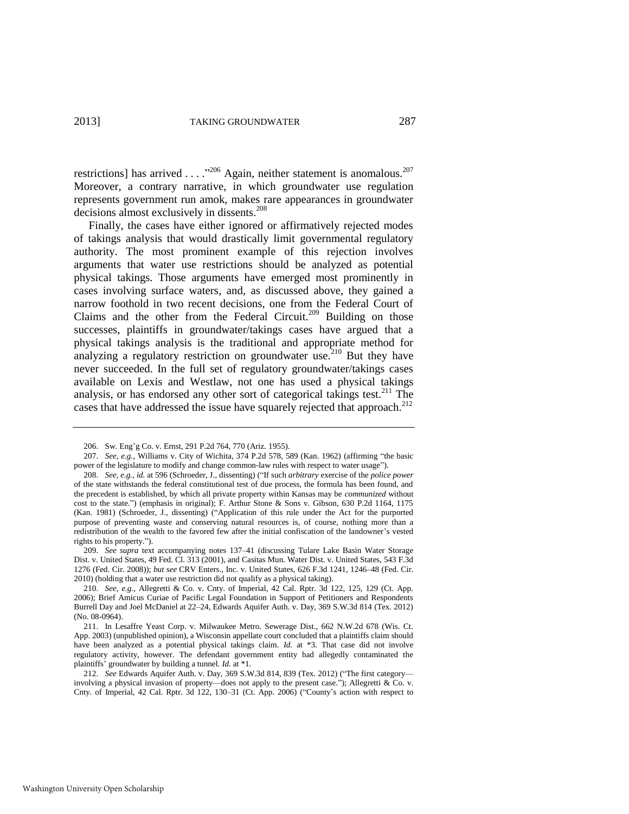restrictions] has arrived . . . . <sup>206</sup> Again, neither statement is anomalous.<sup>207</sup> Moreover, a contrary narrative, in which groundwater use regulation represents government run amok, makes rare appearances in groundwater decisions almost exclusively in dissents.<sup>208</sup>

<span id="page-35-0"></span>Finally, the cases have either ignored or affirmatively rejected modes of takings analysis that would drastically limit governmental regulatory authority. The most prominent example of this rejection involves arguments that water use restrictions should be analyzed as potential physical takings. Those arguments have emerged most prominently in cases involving surface waters, and, as discussed above, they gained a narrow foothold in two recent decisions, one from the Federal Court of Claims and the other from the Federal Circuit.<sup>209</sup> Building on those successes, plaintiffs in groundwater/takings cases have argued that a physical takings analysis is the traditional and appropriate method for analyzing a regulatory restriction on groundwater use.<sup>210</sup> But they have never succeeded. In the full set of regulatory groundwater/takings cases available on Lexis and Westlaw, not one has used a physical takings analysis, or has endorsed any other sort of categorical takings test.<sup>211</sup> The cases that have addressed the issue have squarely rejected that approach.<sup>212</sup>

<span id="page-35-2"></span><span id="page-35-1"></span><sup>206.</sup> Sw. Eng'g Co. v. Ernst, 291 P.2d 764, 770 (Ariz. 1955).

<sup>207.</sup> *See, e.g.*, Williams v. City of Wichita, 374 P.2d 578, 589 (Kan. 1962) (affirming "the basic power of the legislature to modify and change common-law rules with respect to water usage").

<sup>208.</sup> *See, e.g.*, *id.* at 596 (Schroeder, J., dissenting) ("If such *arbitrary* exercise of the *police power* of the state withstands the federal constitutional test of due process, the formula has been found, and the precedent is established, by which all private property within Kansas may be *communized* without cost to the state.") (emphasis in original); F. Arthur Stone & Sons v. Gibson, 630 P.2d 1164, 1175 (Kan. 1981) (Schroeder, J., dissenting) ("Application of this rule under the Act for the purported purpose of preventing waste and conserving natural resources is, of course, nothing more than a redistribution of the wealth to the favored few after the initial confiscation of the landowner's vested rights to his property.").

<sup>209.</sup> *See supra* text accompanying notes [137–](#page-21-1)41 (discussing Tulare Lake Basin Water Storage Dist. v. United States, 49 Fed. Cl. 313 (2001), and Casitas Mun. Water Dist. v. United States, 543 F.3d 1276 (Fed. Cir. 2008)); *but see* CRV Enters., Inc. v. United States, 626 F.3d 1241, 1246–48 (Fed. Cir. 2010) (holding that a water use restriction did not qualify as a physical taking).

<sup>210.</sup> *See, e.g.*, Allegretti & Co. v. Cnty. of Imperial, 42 Cal. Rptr. 3d 122, 125, 129 (Ct. App. 2006); Brief Amicus Curiae of Pacific Legal Foundation in Support of Petitioners and Respondents Burrell Day and Joel McDaniel at 22–24, Edwards Aquifer Auth. v. Day, 369 S.W.3d 814 (Tex. 2012) (No. 08-0964).

<sup>211.</sup> In Lesaffre Yeast Corp. v. Milwaukee Metro. Sewerage Dist., 662 N.W.2d 678 (Wis. Ct. App. 2003) (unpublished opinion), a Wisconsin appellate court concluded that a plaintiffs claim should have been analyzed as a potential physical takings claim. *Id.* at \*3. That case did not involve regulatory activity, however. The defendant government entity had allegedly contaminated the plaintiffs' groundwater by building a tunnel. *Id.* at \*1.

<sup>212.</sup> *See* Edwards Aquifer Auth. v. Day, 369 S.W.3d 814, 839 (Tex. 2012) ("The first category involving a physical invasion of property—does not apply to the present case."); Allegretti & Co. v. Cnty. of Imperial, 42 Cal. Rptr. 3d 122, 130–31 (Ct. App. 2006) ("County's action with respect to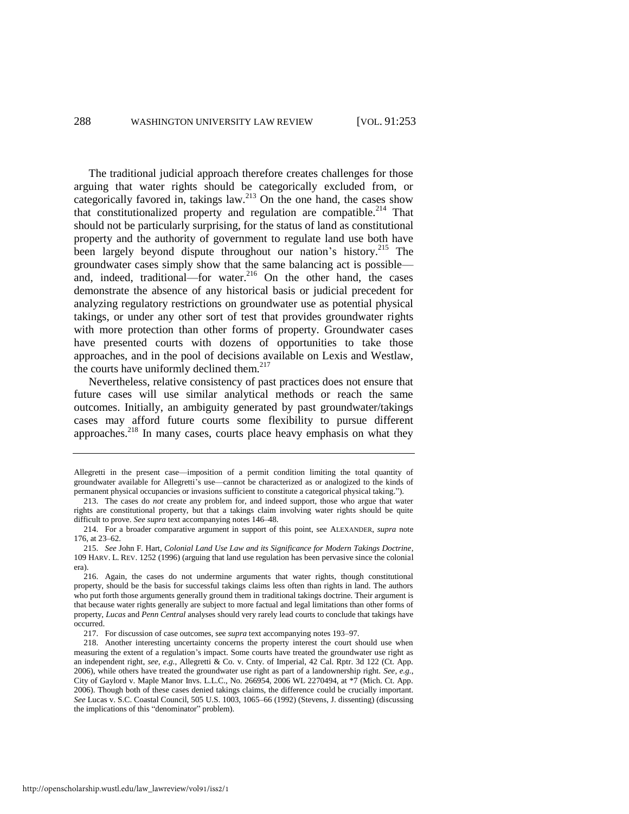The traditional judicial approach therefore creates challenges for those arguing that water rights should be categorically excluded from, or categorically favored in, takings law. $^{213}$  On the one hand, the cases show that constitutionalized property and regulation are compatible.<sup>214</sup> That should not be particularly surprising, for the status of land as constitutional property and the authority of government to regulate land use both have been largely beyond dispute throughout our nation's history.<sup>215</sup> The groundwater cases simply show that the same balancing act is possible and, indeed, traditional—for water.<sup>216</sup> On the other hand, the cases demonstrate the absence of any historical basis or judicial precedent for analyzing regulatory restrictions on groundwater use as potential physical takings, or under any other sort of test that provides groundwater rights with more protection than other forms of property. Groundwater cases have presented courts with dozens of opportunities to take those approaches, and in the pool of decisions available on Lexis and Westlaw, the courts have uniformly declined them. $217$ 

Nevertheless, relative consistency of past practices does not ensure that future cases will use similar analytical methods or reach the same outcomes. Initially, an ambiguity generated by past groundwater/takings cases may afford future courts some flexibility to pursue different approaches.<sup>218</sup> In many cases, courts place heavy emphasis on what they

Allegretti in the present case—imposition of a permit condition limiting the total quantity of groundwater available for Allegretti's use—cannot be characterized as or analogized to the kinds of permanent physical occupancies or invasions sufficient to constitute a categorical physical taking.").

<sup>213.</sup> The cases do *not* create any problem for, and indeed support, those who argue that water rights are constitutional property, but that a takings claim involving water rights should be quite difficult to prove. *See supra* text accompanying note[s 146–](#page-23-1)48.

<sup>214.</sup> For a broader comparative argument in support of this point, see ALEXANDER, *supra* note [176,](#page-29-2) at 23–62.

<sup>215.</sup> *See* John F. Hart, *Colonial Land Use Law and its Significance for Modern Takings Doctrine*, 109 HARV. L. REV. 1252 (1996) (arguing that land use regulation has been pervasive since the colonial era).

<sup>216.</sup> Again, the cases do not undermine arguments that water rights, though constitutional property, should be the basis for successful takings claims less often than rights in land. The authors who put forth those arguments generally ground them in traditional takings doctrine. Their argument is that because water rights generally are subject to more factual and legal limitations than other forms of property, *Lucas* and *Penn Central* analyses should very rarely lead courts to conclude that takings have occurred.

<sup>217.</sup> For discussion of case outcomes, see *supra* text accompanying notes [193–](#page-32-0)97.

<sup>218.</sup> Another interesting uncertainty concerns the property interest the court should use when measuring the extent of a regulation's impact. Some courts have treated the groundwater use right as an independent right, *see, e.g.*, Allegretti & Co. v. Cnty. of Imperial, 42 Cal. Rptr. 3d 122 (Ct. App. 2006), while others have treated the groundwater use right as part of a landownership right. *See, e.g.*, City of Gaylord v. Maple Manor Invs. L.L.C., No. 266954, 2006 WL 2270494, at \*7 (Mich. Ct. App. 2006). Though both of these cases denied takings claims, the difference could be crucially important. *See* Lucas v. S.C. Coastal Council, 505 U.S. 1003, 1065–66 (1992) (Stevens, J. dissenting) (discussing the implications of this "denominator" problem).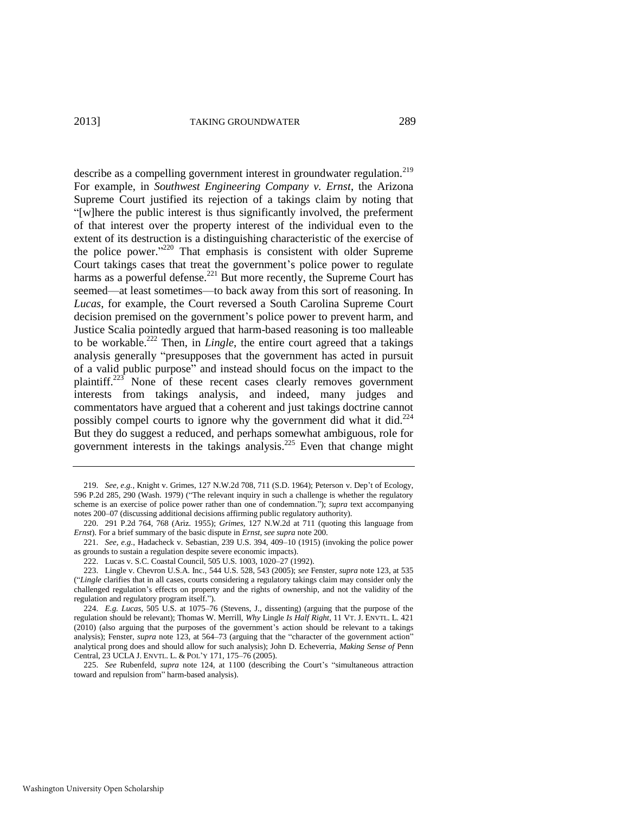<span id="page-37-0"></span>describe as a compelling government interest in groundwater regulation.<sup>219</sup> For example, in *Southwest Engineering Company v. Ernst*, the Arizona Supreme Court justified its rejection of a takings claim by noting that "[w]here the public interest is thus significantly involved, the preferment of that interest over the property interest of the individual even to the extent of its destruction is a distinguishing characteristic of the exercise of the police power."<sup>220</sup> That emphasis is consistent with older Supreme Court takings cases that treat the government's police power to regulate harms as a powerful defense.<sup>221</sup> But more recently, the Supreme Court has seemed—at least sometimes—to back away from this sort of reasoning. In *Lucas*, for example, the Court reversed a South Carolina Supreme Court decision premised on the government's police power to prevent harm, and Justice Scalia pointedly argued that harm-based reasoning is too malleable to be workable.<sup>222</sup> Then, in *Lingle*, the entire court agreed that a takings analysis generally "presupposes that the government has acted in pursuit of a valid public purpose" and instead should focus on the impact to the plaintiff.<sup>223</sup> None of these recent cases clearly removes government interests from takings analysis, and indeed, many judges and commentators have argued that a coherent and just takings doctrine cannot possibly compel courts to ignore why the government did what it did.<sup>224</sup> But they do suggest a reduced, and perhaps somewhat ambiguous, role for government interests in the takings analysis.<sup>225</sup> Even that change might

<sup>219.</sup> *See, e.g.*, Knight v. Grimes, 127 N.W.2d 708, 711 (S.D. 1964); Peterson v. Dep't of Ecology, 596 P.2d 285, 290 (Wash. 1979) ("The relevant inquiry in such a challenge is whether the regulatory scheme is an exercise of police power rather than one of condemnation."); *supra* text accompanying notes [200–](#page-34-0)07 (discussing additional decisions affirming public regulatory authority).

<sup>220. 291</sup> P.2d 764, 768 (Ariz. 1955); *Grimes*, 127 N.W.2d at 711 (quoting this language from *Ernst*). For a brief summary of the basic dispute in *Ernst*, *see supra* not[e 200.](#page-34-0)

<sup>221.</sup> *See, e.g.*, Hadacheck v. Sebastian, 239 U.S. 394, 409–10 (1915) (invoking the police power as grounds to sustain a regulation despite severe economic impacts).

<sup>222.</sup> Lucas v. S.C. Coastal Council, 505 U.S. 1003, 1020–27 (1992).

<sup>223.</sup> Lingle v. Chevron U.S.A. Inc., 544 U.S. 528, 543 (2005); *see* Fenster, *supra* not[e 123,](#page-19-0) at 535 ("*Lingle* clarifies that in all cases, courts considering a regulatory takings claim may consider only the challenged regulation's effects on property and the rights of ownership, and not the validity of the regulation and regulatory program itself.").

<sup>224.</sup> *E.g. Lucas*, 505 U.S. at 1075–76 (Stevens, J., dissenting) (arguing that the purpose of the regulation should be relevant); Thomas W. Merrill, *Why* Lingle *Is Half Right*, 11 VT. J. ENVTL. L. 421 (2010) (also arguing that the purposes of the government's action should be relevant to a takings analysis); Fenster, *supra* note [123,](#page-19-0) at 564–73 (arguing that the "character of the government action" analytical prong does and should allow for such analysis); John D. Echeverria, *Making Sense of* Penn Central, 23 UCLA J. ENVTL. L. & POL'Y 171, 175–76 (2005).

<sup>225.</sup> *See* Rubenfeld, *supra* note [124,](#page-19-2) at 1100 (describing the Court's "simultaneous attraction toward and repulsion from" harm-based analysis).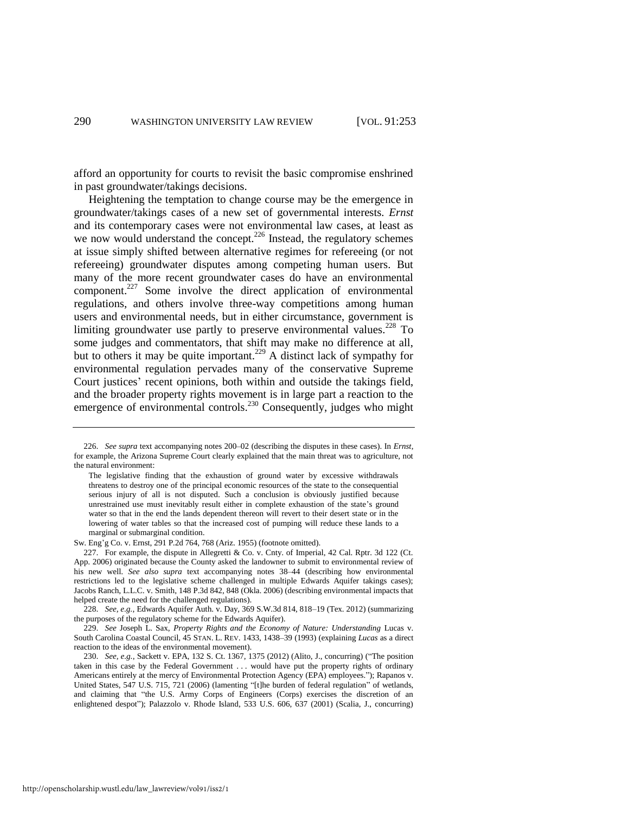afford an opportunity for courts to revisit the basic compromise enshrined in past groundwater/takings decisions.

Heightening the temptation to change course may be the emergence in groundwater/takings cases of a new set of governmental interests. *Ernst* and its contemporary cases were not environmental law cases, at least as we now would understand the concept.<sup>226</sup> Instead, the regulatory schemes at issue simply shifted between alternative regimes for refereeing (or not refereeing) groundwater disputes among competing human users. But many of the more recent groundwater cases do have an environmental component.<sup>227</sup> Some involve the direct application of environmental regulations, and others involve three-way competitions among human users and environmental needs, but in either circumstance, government is limiting groundwater use partly to preserve environmental values.<sup>228</sup> To some judges and commentators, that shift may make no difference at all, but to others it may be quite important.<sup>229</sup> A distinct lack of sympathy for environmental regulation pervades many of the conservative Supreme Court justices' recent opinions, both within and outside the takings field, and the broader property rights movement is in large part a reaction to the emergence of environmental controls.<sup>230</sup> Consequently, judges who might

Sw. Eng'g Co. v. Ernst, 291 P.2d 764, 768 (Ariz. 1955) (footnote omitted).

<span id="page-38-0"></span><sup>226.</sup> *See supra* text accompanying note[s 200–](#page-34-0)02 (describing the disputes in these cases). In *Ernst*, for example, the Arizona Supreme Court clearly explained that the main threat was to agriculture, not the natural environment:

The legislative finding that the exhaustion of ground water by excessive withdrawals threatens to destroy one of the principal economic resources of the state to the consequential serious injury of all is not disputed. Such a conclusion is obviously justified because unrestrained use must inevitably result either in complete exhaustion of the state's ground water so that in the end the lands dependent thereon will revert to their desert state or in the lowering of water tables so that the increased cost of pumping will reduce these lands to a marginal or submarginal condition.

<sup>227.</sup> For example, the dispute in Allegretti & Co. v. Cnty. of Imperial, 42 Cal. Rptr. 3d 122 (Ct. App. 2006) originated because the County asked the landowner to submit to environmental review of his new well. *See also supra* text accompanying notes [38](#page-8-0)[–44](#page-9-1) (describing how environmental restrictions led to the legislative scheme challenged in multiple Edwards Aquifer takings cases); Jacobs Ranch, L.L.C. v. Smith, 148 P.3d 842, 848 (Okla. 2006) (describing environmental impacts that helped create the need for the challenged regulations).

<sup>228.</sup> *See, e.g.*, Edwards Aquifer Auth. v. Day, 369 S.W.3d 814, 818–19 (Tex. 2012) (summarizing the purposes of the regulatory scheme for the Edwards Aquifer).

<sup>229.</sup> *See* Joseph L. Sax, *Property Rights and the Economy of Nature: Understanding* Lucas v. South Carolina Coastal Council, 45 STAN. L. REV. 1433, 1438–39 (1993) (explaining *Lucas* as a direct reaction to the ideas of the environmental movement).

<sup>230.</sup> *See, e.g.*, Sackett v. EPA, 132 S. Ct. 1367, 1375 (2012) (Alito, J., concurring) ("The position taken in this case by the Federal Government . . . would have put the property rights of ordinary Americans entirely at the mercy of Environmental Protection Agency (EPA) employees."); Rapanos v. United States, 547 U.S. 715, 721 (2006) (lamenting "[t]he burden of federal regulation" of wetlands, and claiming that "the U.S. Army Corps of Engineers (Corps) exercises the discretion of an enlightened despot"); Palazzolo v. Rhode Island, 533 U.S. 606, 637 (2001) (Scalia, J., concurring)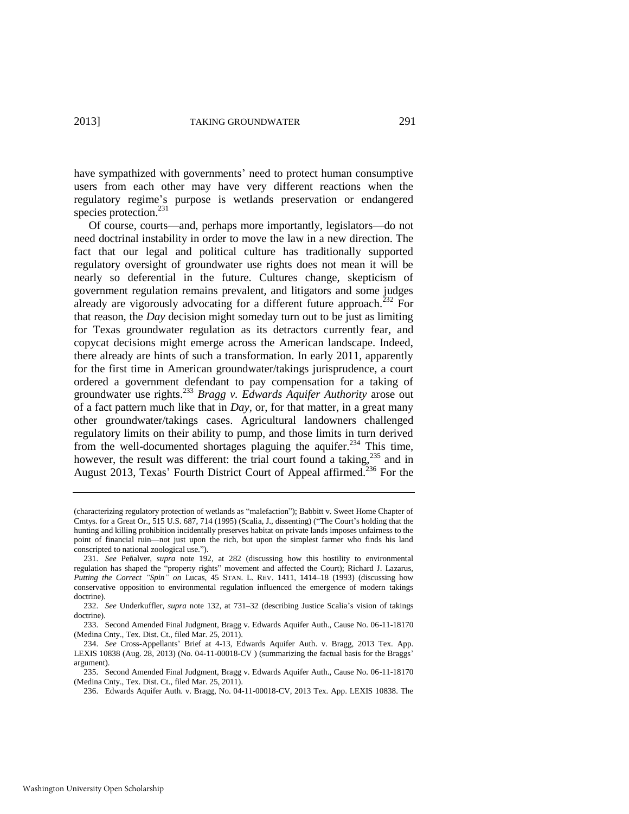have sympathized with governments' need to protect human consumptive users from each other may have very different reactions when the regulatory regime's purpose is wetlands preservation or endangered species protection.<sup>231</sup>

Of course, courts—and, perhaps more importantly, legislators—do not need doctrinal instability in order to move the law in a new direction. The fact that our legal and political culture has traditionally supported regulatory oversight of groundwater use rights does not mean it will be nearly so deferential in the future. Cultures change, skepticism of government regulation remains prevalent, and litigators and some judges already are vigorously advocating for a different future approach.<sup>232</sup> For that reason, the *Day* decision might someday turn out to be just as limiting for Texas groundwater regulation as its detractors currently fear, and copycat decisions might emerge across the American landscape. Indeed, there already are hints of such a transformation. In early 2011, apparently for the first time in American groundwater/takings jurisprudence, a court ordered a government defendant to pay compensation for a taking of groundwater use rights.<sup>233</sup> *Bragg v. Edwards Aquifer Authority* arose out of a fact pattern much like that in *Day*, or, for that matter, in a great many other groundwater/takings cases. Agricultural landowners challenged regulatory limits on their ability to pump, and those limits in turn derived from the well-documented shortages plaguing the aquifer.<sup>234</sup> This time, however, the result was different: the trial court found a taking,  $235$  and in August 2013, Texas' Fourth District Court of Appeal affirmed.<sup>236</sup> For the

<sup>(</sup>characterizing regulatory protection of wetlands as "malefaction"); Babbitt v. Sweet Home Chapter of Cmtys. for a Great Or., 515 U.S. 687, 714 (1995) (Scalia, J., dissenting) ("The Court's holding that the hunting and killing prohibition incidentally preserves habitat on private lands imposes unfairness to the point of financial ruin—not just upon the rich, but upon the simplest farmer who finds his land conscripted to national zoological use.").

<sup>231.</sup> *See* Peñalver, *supra* note [192,](#page-32-1) at 282 (discussing how this hostility to environmental regulation has shaped the "property rights" movement and affected the Court); Richard J. Lazarus, *Putting the Correct "Spin" on* Lucas, 45 STAN. L. REV. 1411, 1414–18 (1993) (discussing how conservative opposition to environmental regulation influenced the emergence of modern takings doctrine).

<sup>232.</sup> *See* Underkuffler, *supra* note [132,](#page-20-0) at 731–32 (describing Justice Scalia's vision of takings doctrine).

<sup>233.</sup> Second Amended Final Judgment, Bragg v. Edwards Aquifer Auth., Cause No. 06-11-18170 (Medina Cnty., Tex. Dist. Ct., filed Mar. 25, 2011).

<sup>234.</sup> *See* Cross-Appellants' Brief at 4-13, Edwards Aquifer Auth. v. Bragg, 2013 Tex. App. LEXIS 10838 (Aug. 28, 2013) (No. 04-11-00018-CV ) (summarizing the factual basis for the Braggs' argument).

<sup>235.</sup> Second Amended Final Judgment, Bragg v. Edwards Aquifer Auth., Cause No. 06-11-18170 (Medina Cnty., Tex. Dist. Ct., filed Mar. 25, 2011).

<sup>236.</sup> Edwards Aquifer Auth. v. Bragg, No. 04-11-00018-CV, 2013 Tex. App. LEXIS 10838. The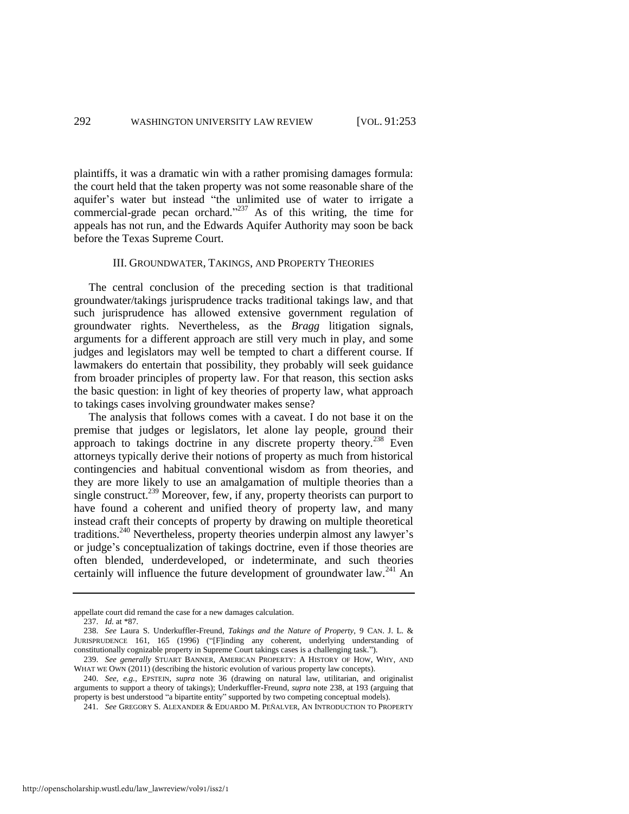plaintiffs, it was a dramatic win with a rather promising damages formula: the court held that the taken property was not some reasonable share of the aquifer's water but instead "the unlimited use of water to irrigate a commercial-grade pecan orchard."<sup>237</sup> As of this writing, the time for appeals has not run, and the Edwards Aquifer Authority may soon be back before the Texas Supreme Court.

#### III. GROUNDWATER, TAKINGS, AND PROPERTY THEORIES

The central conclusion of the preceding section is that traditional groundwater/takings jurisprudence tracks traditional takings law, and that such jurisprudence has allowed extensive government regulation of groundwater rights. Nevertheless, as the *Bragg* litigation signals, arguments for a different approach are still very much in play, and some judges and legislators may well be tempted to chart a different course. If lawmakers do entertain that possibility, they probably will seek guidance from broader principles of property law. For that reason, this section asks the basic question: in light of key theories of property law, what approach to takings cases involving groundwater makes sense?

<span id="page-40-0"></span>The analysis that follows comes with a caveat. I do not base it on the premise that judges or legislators, let alone lay people, ground their approach to takings doctrine in any discrete property theory.<sup>238</sup> Even attorneys typically derive their notions of property as much from historical contingencies and habitual conventional wisdom as from theories, and they are more likely to use an amalgamation of multiple theories than a single construct.<sup>239</sup> Moreover, few, if any, property theorists can purport to have found a coherent and unified theory of property law, and many instead craft their concepts of property by drawing on multiple theoretical traditions.<sup>240</sup> Nevertheless, property theories underpin almost any lawyer's or judge's conceptualization of takings doctrine, even if those theories are often blended, underdeveloped, or indeterminate, and such theories certainly will influence the future development of groundwater law.<sup>241</sup> An

appellate court did remand the case for a new damages calculation.

<span id="page-40-1"></span><sup>237.</sup> *Id.* at \*87.

<sup>238.</sup> *See* Laura S. Underkuffler-Freund, *Takings and the Nature of Property*, 9 CAN. J. L. & JURISPRUDENCE 161, 165 (1996) ("[F]inding any coherent, underlying understanding of constitutionally cognizable property in Supreme Court takings cases is a challenging task.").

<sup>239.</sup> *See generally* STUART BANNER, AMERICAN PROPERTY: A HISTORY OF HOW, WHY, AND WHAT WE OWN (2011) (describing the historic evolution of various property law concepts).

<sup>240.</sup> *See, e.g.,* EPSTEIN, *supra* note [36](#page-7-1) (drawing on natural law, utilitarian, and originalist arguments to support a theory of takings); Underkuffler-Freund, *supra* note [238,](#page-40-0) at 193 (arguing that property is best understood "a bipartite entity" supported by two competing conceptual models).

<sup>241.</sup> *See* GREGORY S. ALEXANDER & EDUARDO M. PEÑALVER, AN INTRODUCTION TO PROPERTY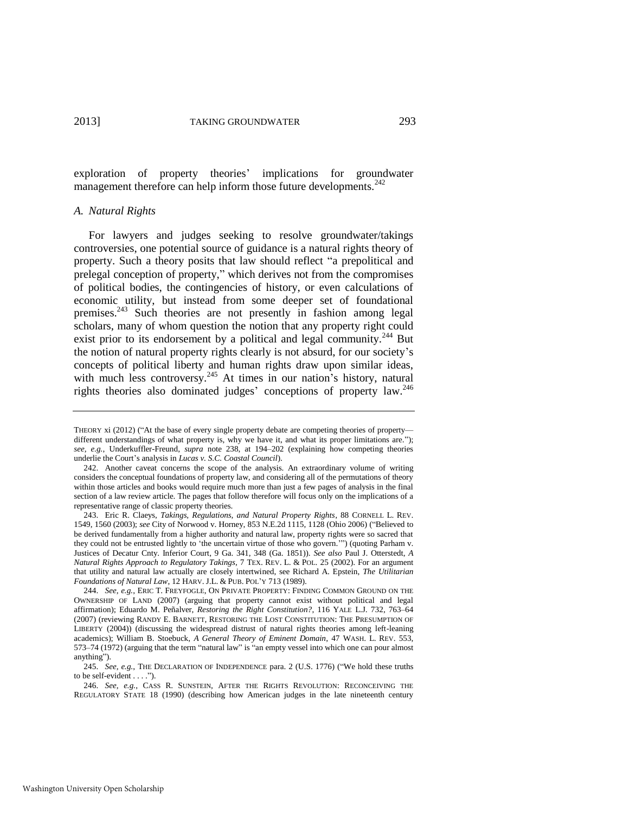exploration of property theories' implications for groundwater management therefore can help inform those future developments.<sup>242</sup>

#### *A. Natural Rights*

<span id="page-41-0"></span>For lawyers and judges seeking to resolve groundwater/takings controversies, one potential source of guidance is a natural rights theory of property. Such a theory posits that law should reflect "a prepolitical and prelegal conception of property," which derives not from the compromises of political bodies, the contingencies of history, or even calculations of economic utility, but instead from some deeper set of foundational premises.<sup>243</sup> Such theories are not presently in fashion among legal scholars, many of whom question the notion that any property right could exist prior to its endorsement by a political and legal community.<sup>244</sup> But the notion of natural property rights clearly is not absurd, for our society's concepts of political liberty and human rights draw upon similar ideas, with much less controversy.<sup>245</sup> At times in our nation's history, natural rights theories also dominated judges' conceptions of property law.<sup>246</sup>

THEORY xi (2012) ("At the base of every single property debate are competing theories of property different understandings of what property is, why we have it, and what its proper limitations are."); *see, e.g.*, Underkuffler-Freund, *supra* note [238,](#page-40-0) at 194–202 (explaining how competing theories underlie the Court's analysis in *Lucas v. S.C. Coastal Council*).

<sup>242.</sup> Another caveat concerns the scope of the analysis. An extraordinary volume of writing considers the conceptual foundations of property law, and considering all of the permutations of theory within those articles and books would require much more than just a few pages of analysis in the final section of a law review article. The pages that follow therefore will focus only on the implications of a representative range of classic property theories.

<sup>243.</sup> Eric R. Claeys, *Takings, Regulations, and Natural Property Rights*, 88 CORNELL L. REV. 1549, 1560 (2003); *see* City of Norwood v. Horney, 853 N.E.2d 1115, 1128 (Ohio 2006) ("Believed to be derived fundamentally from a higher authority and natural law, property rights were so sacred that they could not be entrusted lightly to 'the uncertain virtue of those who govern.'") (quoting Parham v. Justices of Decatur Cnty. Inferior Court, 9 Ga. 341, 348 (Ga. 1851)). *See also* Paul J. Otterstedt, *A Natural Rights Approach to Regulatory Takings*, 7 TEX. REV. L. & POL. 25 (2002). For an argument that utility and natural law actually are closely intertwined, see Richard A. Epstein, *The Utilitarian Foundations of Natural Law*, 12 HARV. J.L. & PUB. POL'Y 713 (1989).

<sup>244.</sup> *See, e.g.*, ERIC T. FREYFOGLE, ON PRIVATE PROPERTY: FINDING COMMON GROUND ON THE OWNERSHIP OF LAND (2007) (arguing that property cannot exist without political and legal affirmation); Eduardo M. Peñalver, *Restoring the Right Constitution?*, 116 YALE L.J. 732, 763–64 (2007) (reviewing RANDY E. BARNETT, RESTORING THE LOST CONSTITUTION: THE PRESUMPTION OF LIBERTY (2004)) (discussing the widespread distrust of natural rights theories among left-leaning academics); William B. Stoebuck, *A General Theory of Eminent Domain*, 47 WASH. L. REV. 553, 573–74 (1972) (arguing that the term "natural law" is "an empty vessel into which one can pour almost anything").

<sup>245.</sup> *See, e.g.*, THE DECLARATION OF INDEPENDENCE para. 2 (U.S. 1776) ("We hold these truths to be self-evident . . . .").

<sup>246.</sup> *See, e.g.*, CASS R. SUNSTEIN, AFTER THE RIGHTS REVOLUTION: RECONCEIVING THE REGULATORY STATE 18 (1990) (describing how American judges in the late nineteenth century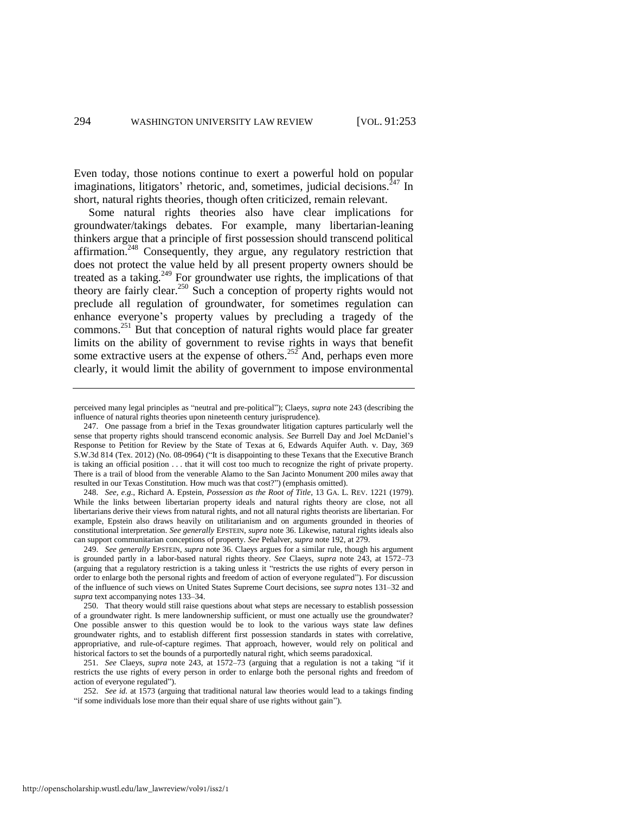Even today, those notions continue to exert a powerful hold on popular imaginations, litigators' rhetoric, and, sometimes, judicial decisions.<sup> $247$ </sup> In short, natural rights theories, though often criticized, remain relevant.

<span id="page-42-0"></span>Some natural rights theories also have clear implications for groundwater/takings debates. For example, many libertarian-leaning thinkers argue that a principle of first possession should transcend political affirmation.<sup>248</sup> Consequently, they argue, any regulatory restriction that does not protect the value held by all present property owners should be treated as a taking.<sup>249</sup> For groundwater use rights, the implications of that theory are fairly clear.<sup>250</sup> Such a conception of property rights would not preclude all regulation of groundwater, for sometimes regulation can enhance everyone's property values by precluding a tragedy of the commons.<sup>251</sup> But that conception of natural rights would place far greater limits on the ability of government to revise rights in ways that benefit some extractive users at the expense of others.<sup>252</sup> And, perhaps even more clearly, it would limit the ability of government to impose environmental

248. *See, e.g.*, Richard A. Epstein, *Possession as the Root of Title*, 13 GA. L. REV. 1221 (1979). While the links between libertarian property ideals and natural rights theory are close, not all libertarians derive their views from natural rights, and not all natural rights theorists are libertarian. For example, Epstein also draws heavily on utilitarianism and on arguments grounded in theories of constitutional interpretation. *See generally* EPSTEIN, *supra* not[e 36.](#page-7-1) Likewise, natural rights ideals also can support communitarian conceptions of property. *See* Peñalver, *supra* not[e 192,](#page-32-1) at 279.

249. *See generally* EPSTEIN, *supra* not[e 36.](#page-7-1) Claeys argues for a similar rule, though his argument is grounded partly in a labor-based natural rights theory. *See* Claeys, *supra* note [243,](#page-41-0) at 1572–73 (arguing that a regulatory restriction is a taking unless it "restricts the use rights of every person in order to enlarge both the personal rights and freedom of action of everyone regulated"). For discussion of the influence of such views on United States Supreme Court decisions, see *supra* note[s 131–](#page-20-1)32 and *supra* text accompanying notes [133–](#page-21-2)34.

250. That theory would still raise questions about what steps are necessary to establish possession of a groundwater right. Is mere landownership sufficient, or must one actually use the groundwater? One possible answer to this question would be to look to the various ways state law defines groundwater rights, and to establish different first possession standards in states with correlative, appropriative, and rule-of-capture regimes. That approach, however, would rely on political and historical factors to set the bounds of a purportedly natural right, which seems paradoxical.

251. *See* Claeys, *supra* note [243,](#page-41-0) at 1572–73 (arguing that a regulation is not a taking "if it restricts the use rights of every person in order to enlarge both the personal rights and freedom of action of everyone regulated").

252. *See id.* at 1573 (arguing that traditional natural law theories would lead to a takings finding "if some individuals lose more than their equal share of use rights without gain").

<span id="page-42-1"></span>perceived many legal principles as "neutral and pre-political"); Claeys, *supra* not[e 243](#page-41-0) (describing the influence of natural rights theories upon nineteenth century jurisprudence).

<sup>247.</sup> One passage from a brief in the Texas groundwater litigation captures particularly well the sense that property rights should transcend economic analysis. *See* Burrell Day and Joel McDaniel's Response to Petition for Review by the State of Texas at 6, Edwards Aquifer Auth. v. Day, 369 S.W.3d 814 (Tex. 2012) (No. 08-0964) ("It is disappointing to these Texans that the Executive Branch is taking an official position . . . that it will cost too much to recognize the right of private property. There is a trail of blood from the venerable Alamo to the San Jacinto Monument 200 miles away that resulted in our Texas Constitution. How much was that cost?") (emphasis omitted).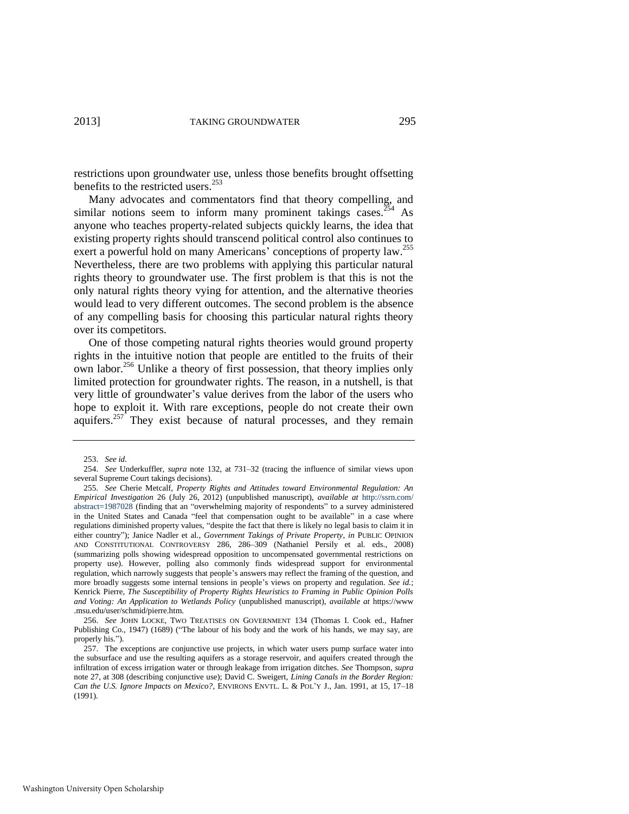restrictions upon groundwater use, unless those benefits brought offsetting benefits to the restricted users.<sup>253</sup>

Many advocates and commentators find that theory compelling, and similar notions seem to inform many prominent takings cases.<sup>254</sup> As anyone who teaches property-related subjects quickly learns, the idea that existing property rights should transcend political control also continues to exert a powerful hold on many Americans' conceptions of property law.<sup>255</sup> Nevertheless, there are two problems with applying this particular natural rights theory to groundwater use. The first problem is that this is not the only natural rights theory vying for attention, and the alternative theories would lead to very different outcomes. The second problem is the absence of any compelling basis for choosing this particular natural rights theory over its competitors.

One of those competing natural rights theories would ground property rights in the intuitive notion that people are entitled to the fruits of their own labor.<sup>256</sup> Unlike a theory of first possession, that theory implies only limited protection for groundwater rights. The reason, in a nutshell, is that very little of groundwater's value derives from the labor of the users who hope to exploit it. With rare exceptions, people do not create their own aquifers.<sup>257</sup> They exist because of natural processes, and they remain

<sup>253.</sup> *See id.* 

<sup>254.</sup> *See* Underkuffler, *supra* note [132,](#page-20-0) at 731–32 (tracing the influence of similar views upon several Supreme Court takings decisions).

<sup>255.</sup> *See* Cherie Metcalf, *Property Rights and Attitudes toward Environmental Regulation: An Empirical Investigation* 26 (July 26, 2012) (unpublished manuscript), *available at* http://ssrn.com/ abstract=1987028 (finding that an "overwhelming majority of respondents" to a survey administered in the United States and Canada "feel that compensation ought to be available" in a case where regulations diminished property values, "despite the fact that there is likely no legal basis to claim it in either country"); Janice Nadler et al., *Government Takings of Private Property*, *in* PUBLIC OPINION AND CONSTITUTIONAL CONTROVERSY 286, 286–309 (Nathaniel Persily et al. eds., 2008) (summarizing polls showing widespread opposition to uncompensated governmental restrictions on property use). However, polling also commonly finds widespread support for environmental regulation, which narrowly suggests that people's answers may reflect the framing of the question, and more broadly suggests some internal tensions in people's views on property and regulation. *See id.*; Kenrick Pierre, *The Susceptibility of Property Rights Heuristics to Framing in Public Opinion Polls and Voting: An Application to Wetlands Policy* (unpublished manuscript), *available at* https://www .msu.edu/user/schmid/pierre.htm.

<sup>256.</sup> *See* JOHN LOCKE, TWO TREATISES ON GOVERNMENT 134 (Thomas I. Cook ed., Hafner Publishing Co., 1947) (1689) ("The labour of his body and the work of his hands, we may say, are properly his.").

<sup>257.</sup> The exceptions are conjunctive use projects, in which water users pump surface water into the subsurface and use the resulting aquifers as a storage reservoir, and aquifers created through the infiltration of excess irrigation water or through leakage from irrigation ditches. *See* Thompson, *supra*  note [27,](#page-5-2) at 308 (describing conjunctive use); David C. Sweigert, *Lining Canals in the Border Region: Can the U.S. Ignore Impacts on Mexico?*, ENVIRONS ENVTL. L. & POL'Y J., Jan. 1991, at 15, 17–18 (1991).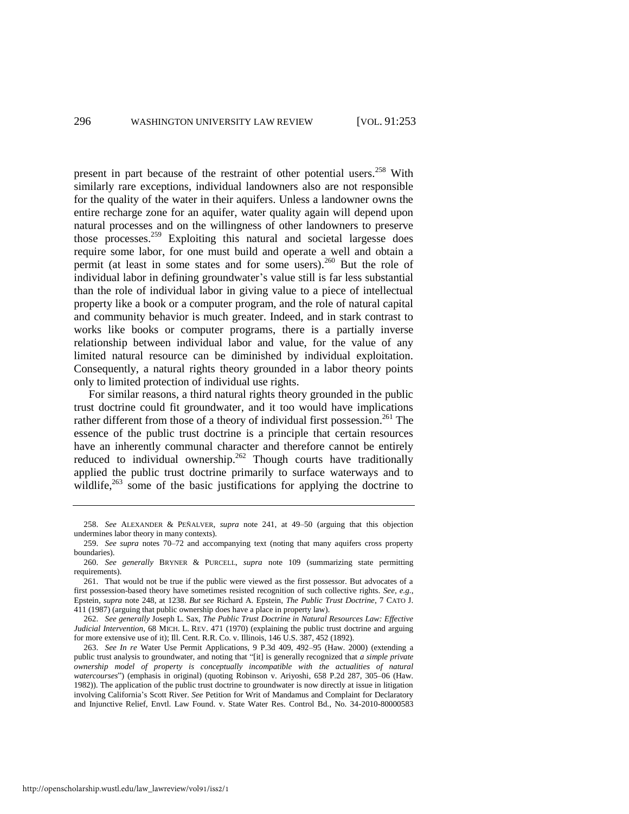present in part because of the restraint of other potential users.<sup>258</sup> With similarly rare exceptions, individual landowners also are not responsible for the quality of the water in their aquifers. Unless a landowner owns the entire recharge zone for an aquifer, water quality again will depend upon natural processes and on the willingness of other landowners to preserve those processes.<sup>259</sup> Exploiting this natural and societal largesse does require some labor, for one must build and operate a well and obtain a permit (at least in some states and for some users).<sup>260</sup> But the role of individual labor in defining groundwater's value still is far less substantial than the role of individual labor in giving value to a piece of intellectual property like a book or a computer program, and the role of natural capital and community behavior is much greater. Indeed, and in stark contrast to works like books or computer programs, there is a partially inverse relationship between individual labor and value, for the value of any limited natural resource can be diminished by individual exploitation. Consequently, a natural rights theory grounded in a labor theory points only to limited protection of individual use rights.

For similar reasons, a third natural rights theory grounded in the public trust doctrine could fit groundwater, and it too would have implications rather different from those of a theory of individual first possession.<sup>261</sup> The essence of the public trust doctrine is a principle that certain resources have an inherently communal character and therefore cannot be entirely reduced to individual ownership.<sup>262</sup> Though courts have traditionally applied the public trust doctrine primarily to surface waterways and to wildlife, $263$  some of the basic justifications for applying the doctrine to

<sup>258.</sup> *See* ALEXANDER & PEÑALVER, *supra* note [241,](#page-40-1) at 49–50 (arguing that this objection undermines labor theory in many contexts).

<sup>259.</sup> *See supra* notes [70–](#page-12-0)[72](#page-12-1) and accompanying text (noting that many aquifers cross property boundaries).

<sup>260.</sup> *See generally* BRYNER & PURCELL, *supra* note [109](#page-17-1) (summarizing state permitting requirements).

<sup>261.</sup> That would not be true if the public were viewed as the first possessor. But advocates of a first possession-based theory have sometimes resisted recognition of such collective rights. *See, e.g.*, Epstein, *supra* note [248,](#page-42-0) at 1238. *But see* Richard A. Epstein, *The Public Trust Doctrine*, 7 CATO J. 411 (1987) (arguing that public ownership does have a place in property law).

<sup>262.</sup> *See generally* Joseph L. Sax, *The Public Trust Doctrine in Natural Resources Law: Effective Judicial Intervention*, 68 MICH. L. REV. 471 (1970) (explaining the public trust doctrine and arguing for more extensive use of it); Ill. Cent. R.R. Co. v. Illinois, 146 U.S. 387, 452 (1892).

<sup>263.</sup> *See In re* Water Use Permit Applications, 9 P.3d 409, 492–95 (Haw. 2000) (extending a public trust analysis to groundwater, and noting that "[it] is generally recognized that *a simple private ownership model of property is conceptually incompatible with the actualities of natural watercourses*") (emphasis in original) (quoting Robinson v. Ariyoshi, 658 P.2d 287, 305–06 (Haw. 1982)). The application of the public trust doctrine to groundwater is now directly at issue in litigation involving California's Scott River. *See* Petition for Writ of Mandamus and Complaint for Declaratory and Injunctive Relief, Envtl. Law Found. v. State Water Res. Control Bd., No. 34-2010-80000583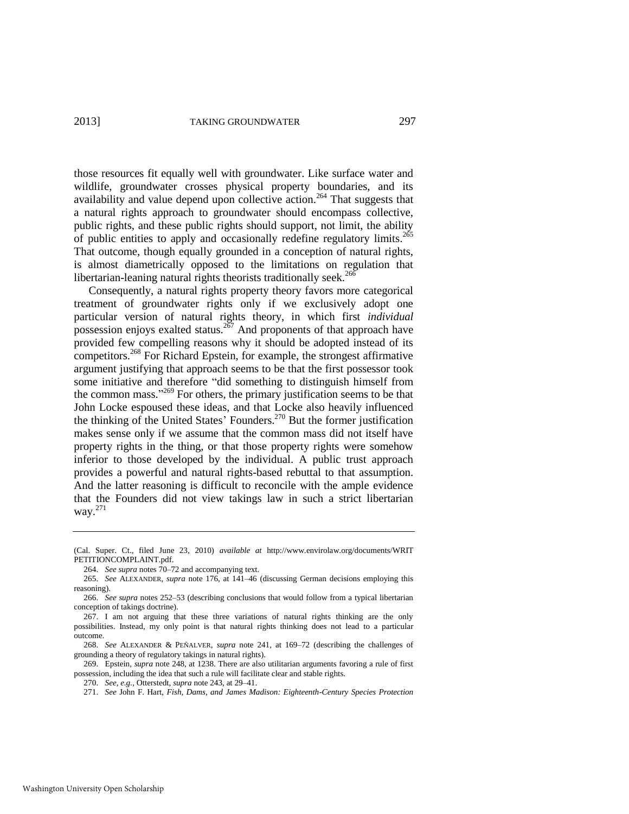those resources fit equally well with groundwater. Like surface water and wildlife, groundwater crosses physical property boundaries, and its availability and value depend upon collective action.<sup>264</sup> That suggests that a natural rights approach to groundwater should encompass collective, public rights, and these public rights should support, not limit, the ability of public entities to apply and occasionally redefine regulatory limits.<sup>265</sup> That outcome, though equally grounded in a conception of natural rights, is almost diametrically opposed to the limitations on regulation that libertarian-leaning natural rights theorists traditionally seek.<sup>266</sup>

Consequently, a natural rights property theory favors more categorical treatment of groundwater rights only if we exclusively adopt one particular version of natural rights theory, in which first *individual*  possession enjoys exalted status.<sup>267</sup> And proponents of that approach have provided few compelling reasons why it should be adopted instead of its competitors.<sup>268</sup> For Richard Epstein, for example, the strongest affirmative argument justifying that approach seems to be that the first possessor took some initiative and therefore "did something to distinguish himself from the common mass."<sup>269</sup> For others, the primary justification seems to be that John Locke espoused these ideas, and that Locke also heavily influenced the thinking of the United States' Founders.<sup>270</sup> But the former justification makes sense only if we assume that the common mass did not itself have property rights in the thing, or that those property rights were somehow inferior to those developed by the individual. A public trust approach provides a powerful and natural rights-based rebuttal to that assumption. And the latter reasoning is difficult to reconcile with the ample evidence that the Founders did not view takings law in such a strict libertarian way. $^{271}$ 

<sup>(</sup>Cal. Super. Ct., filed June 23, 2010) *available at* http://www.envirolaw.org/documents/WRIT PETITIONCOMPLAINT.pdf.

<sup>264.</sup> *See supra* note[s 70](#page-12-0)[–72 a](#page-12-1)nd accompanying text.

<sup>265.</sup> *See* ALEXANDER, *supra* note [176,](#page-29-2) at 141–46 (discussing German decisions employing this reasoning).

<sup>266.</sup> *See supra* notes [252–](#page-42-1)53 (describing conclusions that would follow from a typical libertarian conception of takings doctrine).

<sup>267.</sup> I am not arguing that these three variations of natural rights thinking are the only possibilities. Instead, my only point is that natural rights thinking does not lead to a particular outcome.

<sup>268.</sup> *See* ALEXANDER & PEÑALVER, *supra* note [241,](#page-40-1) at 169–72 (describing the challenges of grounding a theory of regulatory takings in natural rights).

<sup>269.</sup> Epstein, *supra* not[e 248,](#page-42-0) at 1238. There are also utilitarian arguments favoring a rule of first possession, including the idea that such a rule will facilitate clear and stable rights.

<sup>270.</sup> *See, e.g.*, Otterstedt, *supra* not[e 243,](#page-41-0) at 29–41.

<sup>271.</sup> *See* John F. Hart, *Fish, Dams, and James Madison: Eighteenth-Century Species Protection*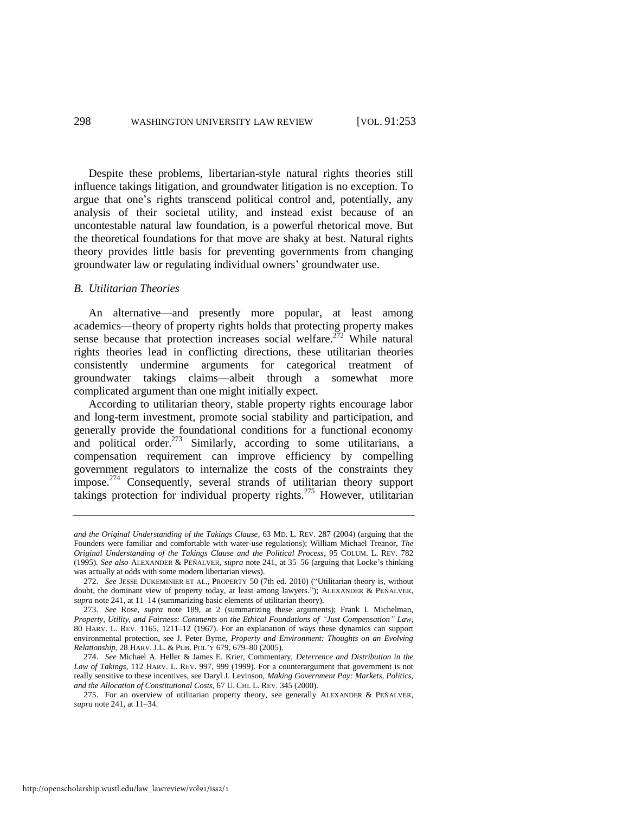Despite these problems, libertarian-style natural rights theories still influence takings litigation, and groundwater litigation is no exception. To argue that one's rights transcend political control and, potentially, any analysis of their societal utility, and instead exist because of an uncontestable natural law foundation, is a powerful rhetorical move. But the theoretical foundations for that move are shaky at best. Natural rights theory provides little basis for preventing governments from changing groundwater law or regulating individual owners' groundwater use.

#### *B. Utilitarian Theories*

An alternative—and presently more popular, at least among academics—theory of property rights holds that protecting property makes sense because that protection increases social welfare.<sup>272</sup> While natural rights theories lead in conflicting directions, these utilitarian theories consistently undermine arguments for categorical treatment of groundwater takings claims—albeit through a somewhat more complicated argument than one might initially expect.

According to utilitarian theory, stable property rights encourage labor and long-term investment, promote social stability and participation, and generally provide the foundational conditions for a functional economy and political order.<sup>273</sup> Similarly, according to some utilitarians, a compensation requirement can improve efficiency by compelling government regulators to internalize the costs of the constraints they impose. $274$  Consequently, several strands of utilitarian theory support takings protection for individual property rights.<sup>275</sup> However, utilitarian

http://openscholarship.wustl.edu/law\_lawreview/vol91/iss2/1

*and the Original Understanding of the Takings Clause*, 63 MD. L. REV. 287 (2004) (arguing that the Founders were familiar and comfortable with water-use regulations); William Michael Treanor, *The Original Understanding of the Takings Clause and the Political Process*, 95 COLUM. L. REV. 782 (1995). *See also* ALEXANDER & PEÑALVER, *supra* not[e 241,](#page-40-1) at 35–56 (arguing that Locke's thinking was actually at odds with some modern libertarian views).

<sup>272.</sup> *See* JESSE DUKEMINIER ET AL., PROPERTY 50 (7th ed. 2010) ("Utilitarian theory is, without doubt, the dominant view of property today, at least among lawyers."); ALEXANDER & PEÑALVER, *supra* not[e 241,](#page-40-1) at 11–14 (summarizing basic elements of utilitarian theory).

<sup>273.</sup> *See* Rose, *supra* note [189,](#page-31-0) at 2 (summarizing these arguments); Frank I. Michelman, *Property, Utility, and Fairness: Comments on the Ethical Foundations of "Just Compensation" Law*, 80 HARV. L. REV. 1165, 1211–12 (1967). For an explanation of ways these dynamics can support environmental protection, see J. Peter Byrne, *Property and Environment: Thoughts on an Evolving Relationship*, 28 HARV. J.L. & PUB. POL'Y 679, 679–80 (2005).

<sup>274.</sup> *See* Michael A. Heller & James E. Krier, Commentary, *Deterrence and Distribution in the Law of Takings*, 112 HARV. L. REV. 997, 999 (1999). For a counterargument that government is not really sensitive to these incentives, see Daryl J. Levinson, *Making Government Pay: Markets, Politics, and the Allocation of Constitutional Costs*, 67 U. CHI. L. REV. 345 (2000).

<sup>275.</sup> For an overview of utilitarian property theory, see generally ALEXANDER & PEÑALVER, *supra* not[e 241,](#page-40-1) at 11–34.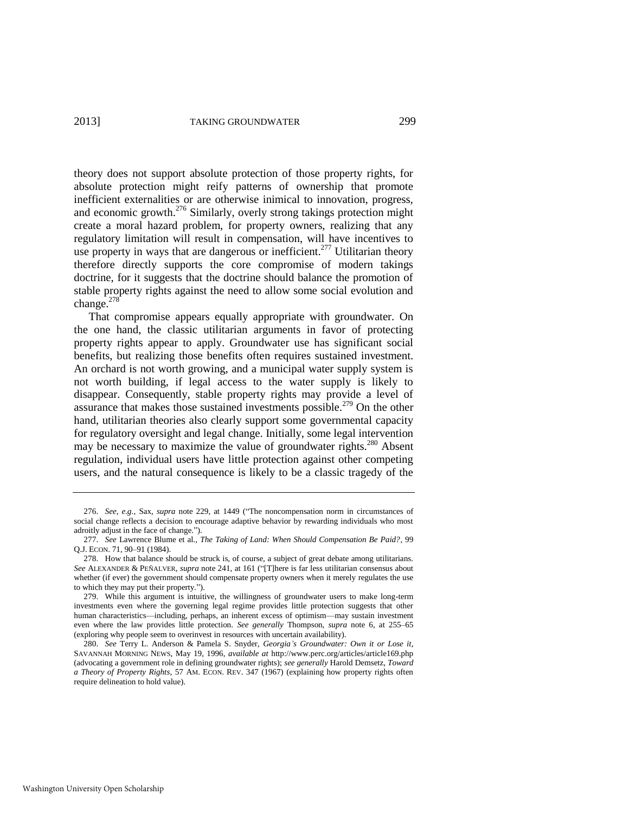theory does not support absolute protection of those property rights, for absolute protection might reify patterns of ownership that promote inefficient externalities or are otherwise inimical to innovation, progress, and economic growth.<sup>276</sup> Similarly, overly strong takings protection might create a moral hazard problem, for property owners, realizing that any regulatory limitation will result in compensation, will have incentives to use property in ways that are dangerous or inefficient.<sup>277</sup> Utilitarian theory therefore directly supports the core compromise of modern takings doctrine, for it suggests that the doctrine should balance the promotion of stable property rights against the need to allow some social evolution and change.<sup>278</sup>

That compromise appears equally appropriate with groundwater. On the one hand, the classic utilitarian arguments in favor of protecting property rights appear to apply. Groundwater use has significant social benefits, but realizing those benefits often requires sustained investment. An orchard is not worth growing, and a municipal water supply system is not worth building, if legal access to the water supply is likely to disappear. Consequently, stable property rights may provide a level of assurance that makes those sustained investments possible.<sup>279</sup> On the other hand, utilitarian theories also clearly support some governmental capacity for regulatory oversight and legal change. Initially, some legal intervention may be necessary to maximize the value of groundwater rights.<sup>280</sup> Absent regulation, individual users have little protection against other competing users, and the natural consequence is likely to be a classic tragedy of the

<sup>276.</sup> *See, e.g.*, Sax, *supra* note [229,](#page-38-0) at 1449 ("The noncompensation norm in circumstances of social change reflects a decision to encourage adaptive behavior by rewarding individuals who most adroitly adjust in the face of change.").

<sup>277.</sup> *See* Lawrence Blume et al., *The Taking of Land: When Should Compensation Be Paid?*, 99 Q.J. ECON. 71, 90–91 (1984).

<sup>278.</sup> How that balance should be struck is, of course, a subject of great debate among utilitarians. *See* ALEXANDER & PEÑALVER, *supra* note [241,](#page-40-1) at 161 ("[T]here is far less utilitarian consensus about whether (if ever) the government should compensate property owners when it merely regulates the use to which they may put their property.").

<sup>279.</sup> While this argument is intuitive, the willingness of groundwater users to make long-term investments even where the governing legal regime provides little protection suggests that other human characteristics—including, perhaps, an inherent excess of optimism—may sustain investment even where the law provides little protection. *See generally* Thompson, *supra* note [6,](#page-3-2) at 255–65 (exploring why people seem to overinvest in resources with uncertain availability).

<sup>280.</sup> *See* Terry L. Anderson & Pamela S. Snyder, *Georgia's Groundwater: Own it or Lose it*, SAVANNAH MORNING NEWS, May 19, 1996, *available at* http://www.perc.org/articles/article169.php (advocating a government role in defining groundwater rights); *see generally* Harold Demsetz, *Toward a Theory of Property Rights*, 57 AM. ECON. REV. 347 (1967) (explaining how property rights often require delineation to hold value).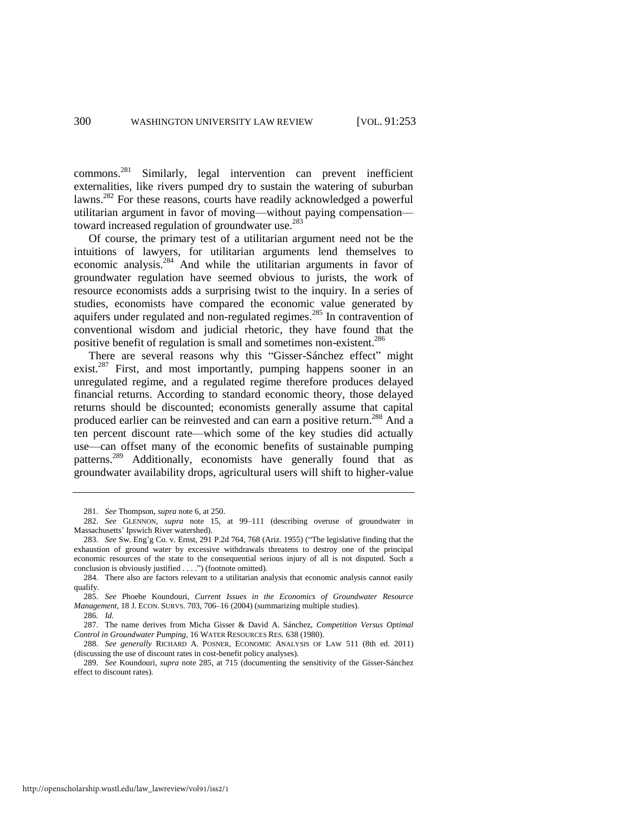commons.<sup>281</sup> Similarly, legal intervention can prevent inefficient externalities, like rivers pumped dry to sustain the watering of suburban lawns.<sup>282</sup> For these reasons, courts have readily acknowledged a powerful utilitarian argument in favor of moving—without paying compensation toward increased regulation of groundwater use.<sup>283</sup>

Of course, the primary test of a utilitarian argument need not be the intuitions of lawyers, for utilitarian arguments lend themselves to economic analysis.<sup>284</sup> And while the utilitarian arguments in favor of groundwater regulation have seemed obvious to jurists, the work of resource economists adds a surprising twist to the inquiry. In a series of studies, economists have compared the economic value generated by aquifers under regulated and non-regulated regimes.<sup>285</sup> In contravention of conventional wisdom and judicial rhetoric, they have found that the positive benefit of regulation is small and sometimes non-existent.<sup>286</sup>

<span id="page-48-0"></span>There are several reasons why this "Gisser-Sánchez effect" might exist.<sup>287</sup> First, and most importantly, pumping happens sooner in an unregulated regime, and a regulated regime therefore produces delayed financial returns. According to standard economic theory, those delayed returns should be discounted; economists generally assume that capital produced earlier can be reinvested and can earn a positive return.<sup>288</sup> And a ten percent discount rate—which some of the key studies did actually use—can offset many of the economic benefits of sustainable pumping patterns.<sup>289</sup> Additionally, economists have generally found that as groundwater availability drops, agricultural users will shift to higher-value

<sup>281.</sup> *See* Thompson, *supra* not[e 6,](#page-3-2) at 250.

<sup>282.</sup> *See* GLENNON, *supra* note [15,](#page-4-2) at 99–111 (describing overuse of groundwater in Massachusetts' Ipswich River watershed).

<sup>283.</sup> *See* Sw. Eng'g Co. v. Ernst, 291 P.2d 764, 768 (Ariz. 1955) ("The legislative finding that the exhaustion of ground water by excessive withdrawals threatens to destroy one of the principal economic resources of the state to the consequential serious injury of all is not disputed. Such a conclusion is obviously justified . . . .") (footnote omitted).

<sup>284.</sup> There also are factors relevant to a utilitarian analysis that economic analysis cannot easily qualify.

<sup>285.</sup> *See* Phoebe Koundouri, *Current Issues in the Economics of Groundwater Resource Management*, 18 J. ECON. SURVS. 703, 706–16 (2004) (summarizing multiple studies).

<sup>286</sup>*. Id.* 

<sup>287.</sup> The name derives from Micha Gisser & David A. Sánchez, *Competition Versus Optimal Control in Groundwater Pumping*, 16 WATER RESOURCES RES. 638 (1980).

<sup>288.</sup> *See generally* RICHARD A. POSNER, ECONOMIC ANALYSIS OF LAW 511 (8th ed. 2011) (discussing the use of discount rates in cost-benefit policy analyses).

<sup>289.</sup> *See* Koundouri, *supra* note [285,](#page-48-0) at 715 (documenting the sensitivity of the Gisser-Sánchez effect to discount rates).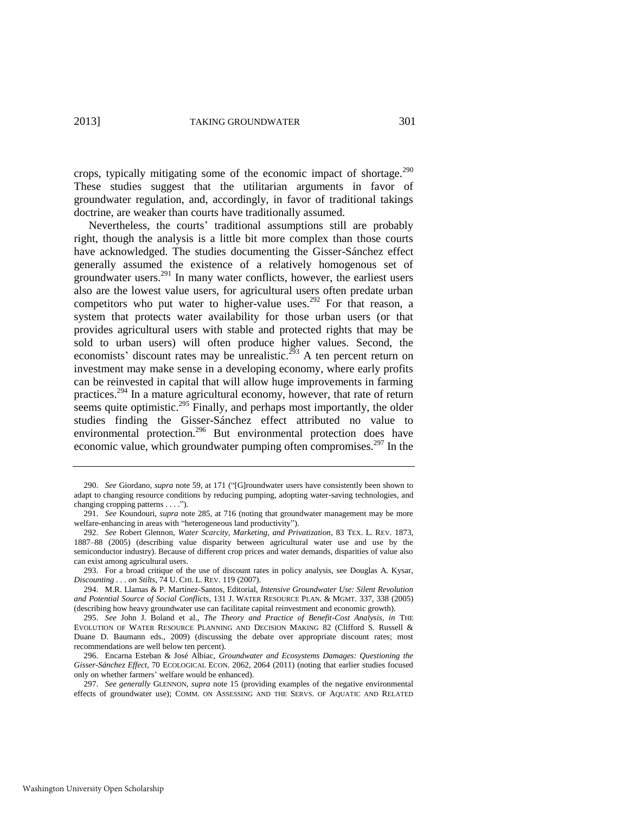crops, typically mitigating some of the economic impact of shortage. $290$ These studies suggest that the utilitarian arguments in favor of groundwater regulation, and, accordingly, in favor of traditional takings doctrine, are weaker than courts have traditionally assumed.

Nevertheless, the courts' traditional assumptions still are probably right, though the analysis is a little bit more complex than those courts have acknowledged. The studies documenting the Gisser-Sánchez effect generally assumed the existence of a relatively homogenous set of groundwater users. $^{291}$  In many water conflicts, however, the earliest users also are the lowest value users, for agricultural users often predate urban competitors who put water to higher-value uses.<sup>292</sup> For that reason, a system that protects water availability for those urban users (or that provides agricultural users with stable and protected rights that may be sold to urban users) will often produce higher values. Second, the economists' discount rates may be unrealistic.<sup>293</sup> A ten percent return on investment may make sense in a developing economy, where early profits can be reinvested in capital that will allow huge improvements in farming practices.<sup>294</sup> In a mature agricultural economy, however, that rate of return seems quite optimistic.<sup>295</sup> Finally, and perhaps most importantly, the older studies finding the Gisser-Sánchez effect attributed no value to environmental protection.<sup>296</sup> But environmental protection does have economic value, which groundwater pumping often compromises.<sup>297</sup> In the

<span id="page-49-0"></span><sup>290.</sup> *See* Giordano, *supra* not[e 59,](#page-10-2) at 171 ("[G]roundwater users have consistently been shown to adapt to changing resource conditions by reducing pumping, adopting water-saving technologies, and changing cropping patterns . . . .").

<sup>291.</sup> *See* Koundouri, *supra* not[e 285,](#page-48-0) at 716 (noting that groundwater management may be more welfare-enhancing in areas with "heterogeneous land productivity").

<sup>292.</sup> *See* Robert Glennon, *Water Scarcity, Marketing, and Privatization*, 83 TEX. L. REV. 1873, 1887–88 (2005) (describing value disparity between agricultural water use and use by the semiconductor industry). Because of different crop prices and water demands, disparities of value also can exist among agricultural users.

<sup>293.</sup> For a broad critique of the use of discount rates in policy analysis, see Douglas A. Kysar, *Discounting . . . on Stilts*, 74 U. CHI. L. REV. 119 (2007).

<sup>294.</sup> M.R. Llamas & P. Martínez-Santos, Editorial, *Intensive Groundwater Use: Silent Revolution and Potential Source of Social Conflicts*, 131 J. WATER RESOURCE PLAN. & MGMT. 337, 338 (2005) (describing how heavy groundwater use can facilitate capital reinvestment and economic growth).

<sup>295.</sup> *See* John J. Boland et al., *The Theory and Practice of Benefit-Cost Analysis*, *in* THE EVOLUTION OF WATER RESOURCE PLANNING AND DECISION MAKING 82 (Clifford S. Russell & Duane D. Baumann eds., 2009) (discussing the debate over appropriate discount rates; most recommendations are well below ten percent).

<sup>296.</sup> Encarna Esteban & José Albiac, *Groundwater and Ecosystems Damages: Questioning the Gisser-Sánchez Effect*, 70 ECOLOGICAL ECON. 2062, 2064 (2011) (noting that earlier studies focused only on whether farmers' welfare would be enhanced).

<sup>297.</sup> *See generally* GLENNON, *supra* note [15](#page-4-2) (providing examples of the negative environmental effects of groundwater use); COMM. ON ASSESSING AND THE SERVS. OF AQUATIC AND RELATED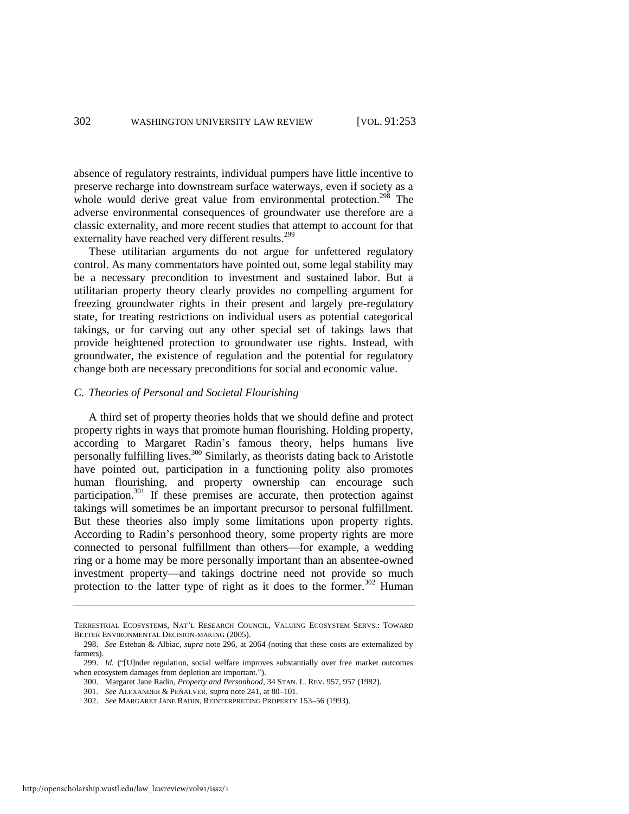absence of regulatory restraints, individual pumpers have little incentive to preserve recharge into downstream surface waterways, even if society as a whole would derive great value from environmental protection.<sup>298</sup> The adverse environmental consequences of groundwater use therefore are a classic externality, and more recent studies that attempt to account for that externality have reached very different results.<sup>299</sup>

These utilitarian arguments do not argue for unfettered regulatory control. As many commentators have pointed out, some legal stability may be a necessary precondition to investment and sustained labor. But a utilitarian property theory clearly provides no compelling argument for freezing groundwater rights in their present and largely pre-regulatory state, for treating restrictions on individual users as potential categorical takings, or for carving out any other special set of takings laws that provide heightened protection to groundwater use rights. Instead, with groundwater, the existence of regulation and the potential for regulatory change both are necessary preconditions for social and economic value.

#### *C. Theories of Personal and Societal Flourishing*

<span id="page-50-0"></span>A third set of property theories holds that we should define and protect property rights in ways that promote human flourishing. Holding property, according to Margaret Radin's famous theory, helps humans live personally fulfilling lives.<sup>300</sup> Similarly, as theorists dating back to Aristotle have pointed out, participation in a functioning polity also promotes human flourishing, and property ownership can encourage such participation. $301$  If these premises are accurate, then protection against takings will sometimes be an important precursor to personal fulfillment. But these theories also imply some limitations upon property rights. According to Radin's personhood theory, some property rights are more connected to personal fulfillment than others—for example, a wedding ring or a home may be more personally important than an absentee-owned investment property—and takings doctrine need not provide so much protection to the latter type of right as it does to the former.<sup>302</sup> Human

TERRESTRIAL ECOSYSTEMS, NAT'L RESEARCH COUNCIL, VALUING ECOSYSTEM SERVS.: TOWARD BETTER ENVIRONMENTAL DECISION-MAKING (2005).

<sup>298.</sup> *See* Esteban & Albiac, *supra* note [296,](#page-49-0) at 2064 (noting that these costs are externalized by farmers).

<sup>299.</sup> *Id.* ("[U]nder regulation, social welfare improves substantially over free market outcomes when ecosystem damages from depletion are important.").

<sup>300.</sup> Margaret Jane Radin, *Property and Personhood*, 34 STAN. L. REV. 957, 957 (1982).

<sup>301.</sup> *See* ALEXANDER & PEÑALVER, *supra* not[e 241,](#page-40-1) at 80–101.

<sup>302.</sup> *See* MARGARET JANE RADIN, REINTERPRETING PROPERTY 153–56 (1993).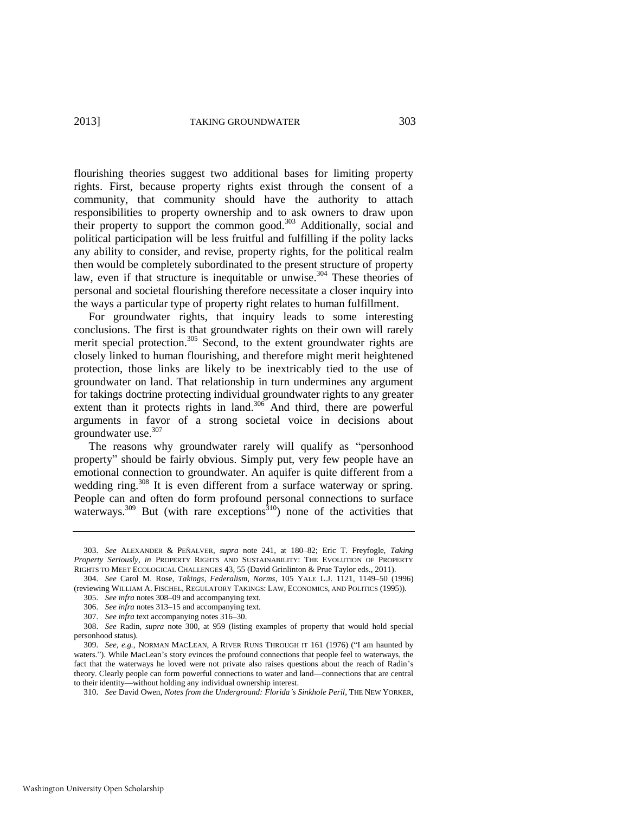flourishing theories suggest two additional bases for limiting property rights. First, because property rights exist through the consent of a community, that community should have the authority to attach responsibilities to property ownership and to ask owners to draw upon their property to support the common good.<sup>303</sup> Additionally, social and political participation will be less fruitful and fulfilling if the polity lacks any ability to consider, and revise, property rights, for the political realm then would be completely subordinated to the present structure of property law, even if that structure is inequitable or unwise.<sup>304</sup> These theories of personal and societal flourishing therefore necessitate a closer inquiry into the ways a particular type of property right relates to human fulfillment.

For groundwater rights, that inquiry leads to some interesting conclusions. The first is that groundwater rights on their own will rarely merit special protection.<sup>305</sup> Second, to the extent groundwater rights are closely linked to human flourishing, and therefore might merit heightened protection, those links are likely to be inextricably tied to the use of groundwater on land. That relationship in turn undermines any argument for takings doctrine protecting individual groundwater rights to any greater extent than it protects rights in land.<sup>306</sup> And third, there are powerful arguments in favor of a strong societal voice in decisions about groundwater use.<sup>307</sup>

<span id="page-51-0"></span>The reasons why groundwater rarely will qualify as "personhood property" should be fairly obvious. Simply put, very few people have an emotional connection to groundwater. An aquifer is quite different from a wedding ring.<sup>308</sup> It is even different from a surface waterway or spring. People can and often do form profound personal connections to surface waterways.<sup>309</sup> But (with rare exceptions<sup>310</sup>) none of the activities that

<sup>303.</sup> *See* ALEXANDER & PEÑALVER, *supra* note [241,](#page-40-1) at 180–82; Eric T. Freyfogle, *Taking Property Seriously*, *in* PROPERTY RIGHTS AND SUSTAINABILITY: THE EVOLUTION OF PROPERTY RIGHTS TO MEET ECOLOGICAL CHALLENGES 43, 55 (David Grinlinton & Prue Taylor eds., 2011).

<sup>304.</sup> *See* Carol M. Rose, *Takings, Federalism, Norms*, 105 YALE L.J. 1121, 1149–50 (1996) (reviewing WILLIAM A. FISCHEL, REGULATORY TAKINGS: LAW, ECONOMICS, AND POLITICS (1995)).

<sup>305.</sup> *See infra* notes [308–](#page-51-0)09 and accompanying text.

<sup>306.</sup> *See infra* notes [313–](#page-52-0)15 and accompanying text.

<sup>307.</sup> *See infra* text accompanying note[s 316–](#page-52-1)30.

<sup>308.</sup> *See* Radin, *supra* note [300,](#page-50-0) at 959 (listing examples of property that would hold special personhood status).

<sup>309.</sup> *See, e.g.*, NORMAN MACLEAN, A RIVER RUNS THROUGH IT 161 (1976) ("I am haunted by waters."). While MacLean's story evinces the profound connections that people feel to waterways, the fact that the waterways he loved were not private also raises questions about the reach of Radin's theory. Clearly people can form powerful connections to water and land—connections that are central to their identity—without holding any individual ownership interest.

<sup>310.</sup> *See* David Owen, *Notes from the Underground: Florida's Sinkhole Peril*, THE NEW YORKER,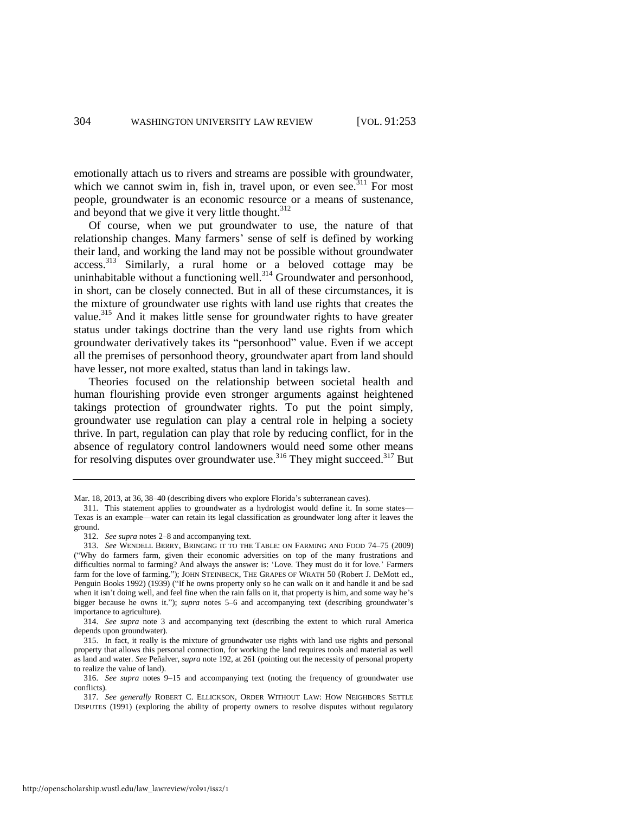emotionally attach us to rivers and streams are possible with groundwater, which we cannot swim in, fish in, travel upon, or even see.<sup>311</sup> For most people, groundwater is an economic resource or a means of sustenance, and beyond that we give it very little thought.<sup>312</sup>

<span id="page-52-0"></span>Of course, when we put groundwater to use, the nature of that relationship changes. Many farmers' sense of self is defined by working their land, and working the land may not be possible without groundwater access.<sup>313</sup> Similarly, a rural home or a beloved cottage may be uninhabitable without a functioning well. $^{314}$  Groundwater and personhood, in short, can be closely connected. But in all of these circumstances, it is the mixture of groundwater use rights with land use rights that creates the value.<sup>315</sup> And it makes little sense for groundwater rights to have greater status under takings doctrine than the very land use rights from which groundwater derivatively takes its "personhood" value. Even if we accept all the premises of personhood theory, groundwater apart from land should have lesser, not more exalted, status than land in takings law.

Theories focused on the relationship between societal health and human flourishing provide even stronger arguments against heightened takings protection of groundwater rights. To put the point simply, groundwater use regulation can play a central role in helping a society thrive. In part, regulation can play that role by reducing conflict, for in the absence of regulatory control landowners would need some other means for resolving disputes over groundwater use.<sup>316</sup> They might succeed.<sup>317</sup> But

<span id="page-52-1"></span>Mar. 18, 2013, at 36, 38–40 (describing divers who explore Florida's subterranean caves).

<sup>311.</sup> This statement applies to groundwater as a hydrologist would define it. In some states— Texas is an example—water can retain its legal classification as groundwater long after it leaves the ground.

<sup>312.</sup> *See supra* note[s 2](#page-2-0)[–8 a](#page-3-3)nd accompanying text.

<sup>313.</sup> *See* WENDELL BERRY, BRINGING IT TO THE TABLE: ON FARMING AND FOOD 74–75 (2009) ("Why do farmers farm, given their economic adversities on top of the many frustrations and difficulties normal to farming? And always the answer is: 'Love. They must do it for love.' Farmers farm for the love of farming."); JOHN STEINBECK, THE GRAPES OF WRATH 50 (Robert J. DeMott ed., Penguin Books 1992) (1939) ("If he owns property only so he can walk on it and handle it and be sad when it isn't doing well, and feel fine when the rain falls on it, that property is him, and some way he's bigger because he owns it."); *supra* notes [5](#page-3-4)[–6](#page-3-2) and accompanying text (describing groundwater's importance to agriculture).

<sup>314.</sup> *See supra* note [3](#page-3-0) and accompanying text (describing the extent to which rural America depends upon groundwater).

<sup>315.</sup> In fact, it really is the mixture of groundwater use rights with land use rights and personal property that allows this personal connection, for working the land requires tools and material as well as land and water. *See* Peñalver, *supra* not[e 192,](#page-32-1) at 261 (pointing out the necessity of personal property to realize the value of land).

<sup>316.</sup> *See supra* notes [9–](#page-3-5)[15](#page-4-2) and accompanying text (noting the frequency of groundwater use conflicts).

<sup>317.</sup> *See generally* ROBERT C. ELLICKSON, ORDER WITHOUT LAW: HOW NEIGHBORS SETTLE DISPUTES (1991) (exploring the ability of property owners to resolve disputes without regulatory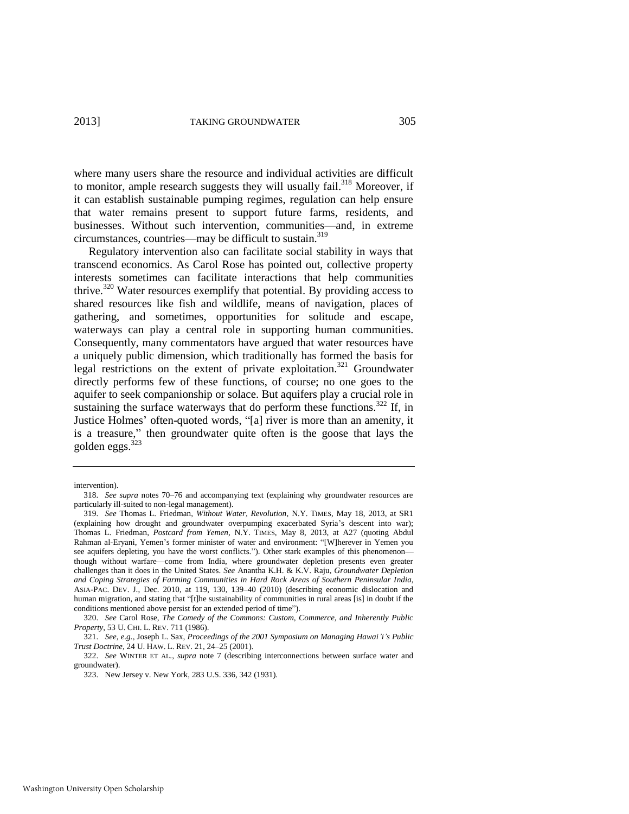where many users share the resource and individual activities are difficult to monitor, ample research suggests they will usually fail.<sup>318</sup> Moreover, if it can establish sustainable pumping regimes, regulation can help ensure that water remains present to support future farms, residents, and businesses. Without such intervention, communities—and, in extreme circumstances, countries—may be difficult to sustain.<sup>319</sup>

Regulatory intervention also can facilitate social stability in ways that transcend economics. As Carol Rose has pointed out, collective property interests sometimes can facilitate interactions that help communities thrive.<sup>320</sup> Water resources exemplify that potential. By providing access to shared resources like fish and wildlife, means of navigation, places of gathering, and sometimes, opportunities for solitude and escape, waterways can play a central role in supporting human communities. Consequently, many commentators have argued that water resources have a uniquely public dimension, which traditionally has formed the basis for legal restrictions on the extent of private exploitation.<sup>321</sup> Groundwater directly performs few of these functions, of course; no one goes to the aquifer to seek companionship or solace. But aquifers play a crucial role in sustaining the surface waterways that do perform these functions.<sup>322</sup> If, in Justice Holmes' often-quoted words, "[a] river is more than an amenity, it is a treasure," then groundwater quite often is the goose that lays the golden eggs. $323$ 

intervention).

<sup>318.</sup> *See supra* notes [70](#page-12-0)[–76](#page-12-2) and accompanying text (explaining why groundwater resources are particularly ill-suited to non-legal management).

<sup>319.</sup> *See* Thomas L. Friedman, *Without Water, Revolution*, N.Y. TIMES, May 18, 2013, at SR1 (explaining how drought and groundwater overpumping exacerbated Syria's descent into war); Thomas L. Friedman, *Postcard from Yemen*, N.Y. TIMES, May 8, 2013, at A27 (quoting Abdul Rahman al-Eryani, Yemen's former minister of water and environment: "[W]herever in Yemen you see aquifers depleting, you have the worst conflicts."). Other stark examples of this phenomenonthough without warfare—come from India, where groundwater depletion presents even greater challenges than it does in the United States. *See* Anantha K.H. & K.V. Raju, *Groundwater Depletion and Coping Strategies of Farming Communities in Hard Rock Areas of Southern Peninsular India*, ASIA-PAC. DEV. J., Dec. 2010, at 119, 130, 139–40 (2010) (describing economic dislocation and human migration, and stating that "[t]he sustainability of communities in rural areas [is] in doubt if the conditions mentioned above persist for an extended period of time").

<sup>320.</sup> *See* Carol Rose, *The Comedy of the Commons: Custom, Commerce, and Inherently Public Property*, 53 U. CHI. L. REV. 711 (1986).

<sup>321.</sup> *See, e.g.*, Joseph L. Sax, *Proceedings of the 2001 Symposium on Managing Hawai'i's Public Trust Doctrine*, 24 U. HAW. L. REV. 21, 24–25 (2001).

<sup>322.</sup> *See* WINTER ET AL., *supra* note [7](#page-3-1) (describing interconnections between surface water and groundwater).

<sup>323.</sup> New Jersey v. New York, 283 U.S. 336, 342 (1931).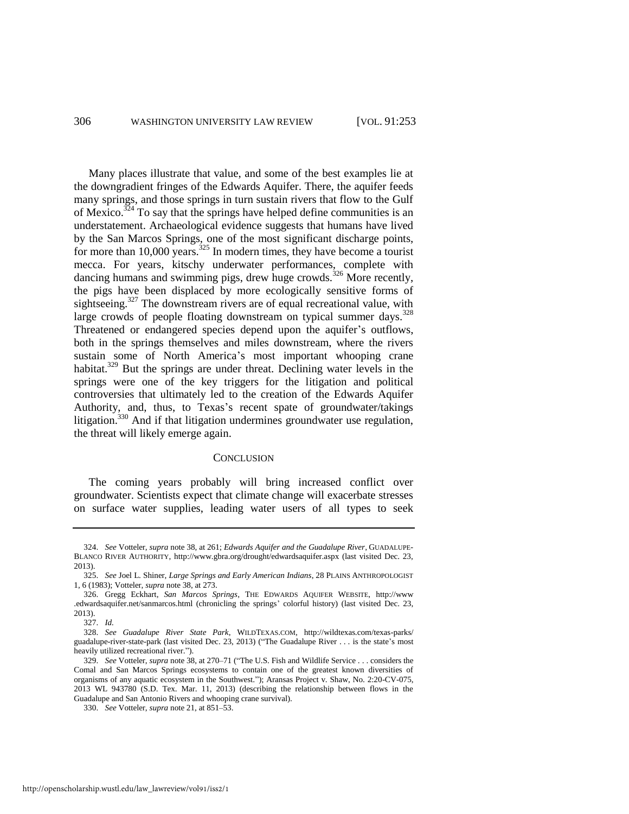Many places illustrate that value, and some of the best examples lie at the downgradient fringes of the Edwards Aquifer. There, the aquifer feeds many springs, and those springs in turn sustain rivers that flow to the Gulf of Mexico.<sup>324</sup> To say that the springs have helped define communities is an understatement. Archaeological evidence suggests that humans have lived by the San Marcos Springs, one of the most significant discharge points, for more than  $10,000$  years.<sup>325</sup> In modern times, they have become a tourist mecca. For years, kitschy underwater performances, complete with dancing humans and swimming pigs, drew huge crowds.<sup>326</sup> More recently, the pigs have been displaced by more ecologically sensitive forms of sightseeing.<sup>327</sup> The downstream rivers are of equal recreational value, with large crowds of people floating downstream on typical summer days.  $328$ Threatened or endangered species depend upon the aquifer's outflows, both in the springs themselves and miles downstream, where the rivers sustain some of North America's most important whooping crane habitat.<sup>329</sup> But the springs are under threat. Declining water levels in the springs were one of the key triggers for the litigation and political controversies that ultimately led to the creation of the Edwards Aquifer Authority, and, thus, to Texas's recent spate of groundwater/takings litigation.<sup>330</sup> And if that litigation undermines groundwater use regulation, the threat will likely emerge again.

#### **CONCLUSION**

The coming years probably will bring increased conflict over groundwater. Scientists expect that climate change will exacerbate stresses on surface water supplies, leading water users of all types to seek

326. Gregg Eckhart, *San Marcos Springs*, THE EDWARDS AQUIFER WEBSITE, http://www .edwardsaquifer.net/sanmarcos.html (chronicling the springs' colorful history) (last visited Dec. 23, 2013).

<sup>324.</sup> *See* Votteler, *supra* note [38,](#page-8-0) at 261; *Edwards Aquifer and the Guadalupe River*, GUADALUPE-BLANCO RIVER AUTHORITY, http://www.gbra.org/drought/edwardsaquifer.aspx (last visited Dec. 23, 2013).

<sup>325.</sup> *See* Joel L. Shiner, *Large Springs and Early American Indians*, 28 PLAINS ANTHROPOLOGIST 1, 6 (1983); Votteler, *supra* note [38,](#page-8-0) at 273.

<sup>327.</sup> *Id.* 

<sup>328.</sup> *See Guadalupe River State Park*, WILDTEXAS.COM, http://wildtexas.com/texas-parks/ guadalupe-river-state-park (last visited Dec. 23, 2013) ("The Guadalupe River . . . is the state's most heavily utilized recreational river.").

<sup>329.</sup> *See* Votteler, *supra* not[e 38,](#page-8-0) at 270–71 ("The U.S. Fish and Wildlife Service . . . considers the Comal and San Marcos Springs ecosystems to contain one of the greatest known diversities of organisms of any aquatic ecosystem in the Southwest."); Aransas Project v. Shaw, No. 2:20-CV-075, 2013 WL 943780 (S.D. Tex. Mar. 11, 2013) (describing the relationship between flows in the Guadalupe and San Antonio Rivers and whooping crane survival).

<sup>330.</sup> *See* Votteler, *supra* not[e 21,](#page-5-0) at 851–53.